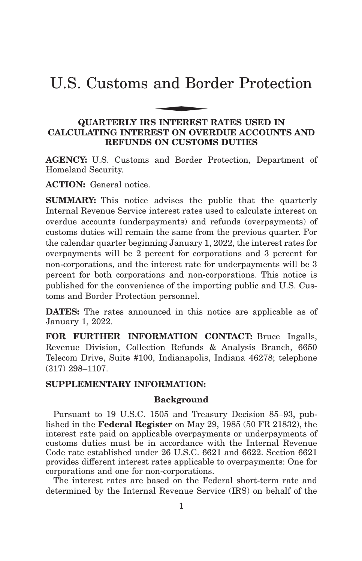# U.S. Customs and Border Protection and Bor

# **QUARTERLY IRS INTEREST RATES USED IN CALCULATING INTEREST ON OVERDUE ACCOUNTS AND REFUNDS ON CUSTOMS DUTIES**

**AGENCY:** U.S. Customs and Border Protection, Department of Homeland Security.

**ACTION:** General notice.

**SUMMARY:** This notice advises the public that the quarterly Internal Revenue Service interest rates used to calculate interest on overdue accounts (underpayments) and refunds (overpayments) of customs duties will remain the same from the previous quarter. For the calendar quarter beginning January 1, 2022, the interest rates for overpayments will be 2 percent for corporations and 3 percent for non-corporations, and the interest rate for underpayments will be 3 percent for both corporations and non-corporations. This notice is published for the convenience of the importing public and U.S. Customs and Border Protection personnel.

**DATES:** The rates announced in this notice are applicable as of January 1, 2022.

FOR FURTHER INFORMATION CONTACT: Bruce Ingalls, Revenue Division, Collection Refunds & Analysis Branch, 6650 Telecom Drive, Suite #100, Indianapolis, Indiana 46278; telephone (317) 298–1107.

# **SUPPLEMENTARY INFORMATION:**

### **Background**

Pursuant to 19 U.S.C. 1505 and Treasury Decision 85–93, published in the **Federal Register** on May 29, 1985 (50 FR 21832), the interest rate paid on applicable overpayments or underpayments of customs duties must be in accordance with the Internal Revenue Code rate established under 26 U.S.C. 6621 and 6622. Section 6621 provides different interest rates applicable to overpayments: One for corporations and one for non-corporations.

The interest rates are based on the Federal short-term rate and determined by the Internal Revenue Service (IRS) on behalf of the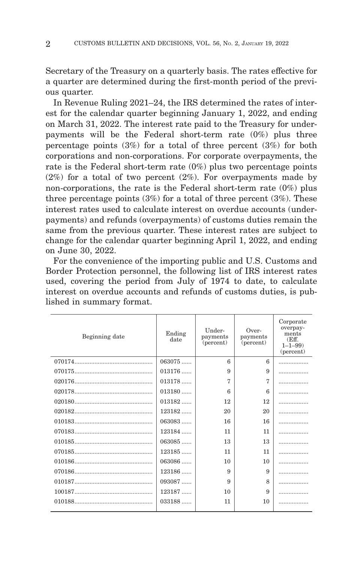Secretary of the Treasury on a quarterly basis. The rates effective for a quarter are determined during the first-month period of the previous quarter.

In Revenue Ruling 2021–24, the IRS determined the rates of interest for the calendar quarter beginning January 1, 2022, and ending on March 31, 2022. The interest rate paid to the Treasury for underpayments will be the Federal short-term rate (0%) plus three percentage points  $(3\%)$  for a total of three percent  $(3\%)$  for both corporations and non-corporations. For corporate overpayments, the rate is the Federal short-term rate (0%) plus two percentage points  $(2\%)$  for a total of two percent  $(2\%)$ . For overpayments made by non-corporations, the rate is the Federal short-term rate (0%) plus three percentage points  $(3\%)$  for a total of three percent  $(3\%)$ . These interest rates used to calculate interest on overdue accounts (underpayments) and refunds (overpayments) of customs duties remain the same from the previous quarter. These interest rates are subject to change for the calendar quarter beginning April 1, 2022, and ending on June 30, 2022.

For the convenience of the importing public and U.S. Customs and Border Protection personnel, the following list of IRS interest rates used, covering the period from July of 1974 to date, to calculate interest on overdue accounts and refunds of customs duties, is published in summary format.

| Beginning date | Ending<br>date | Under-<br>payments<br>(percent) | Over-<br>payments<br>(percent) | Corporate<br>overpay-<br>ments<br>(Eff.<br>$1 - 1 - 99$<br>(percent) |
|----------------|----------------|---------------------------------|--------------------------------|----------------------------------------------------------------------|
|                | $063075$       | 6                               | $\epsilon$                     |                                                                      |
|                | $013176$       | 9                               | 9                              |                                                                      |
|                | $013178$       | 7                               | 7                              | .                                                                    |
|                | $013180$       | 6                               | 6                              | .                                                                    |
|                | $013182$       | 12                              | 12                             | .                                                                    |
|                | $123182$       | 20                              | 20                             | .                                                                    |
|                | $063083$       | 16                              | 16                             | .                                                                    |
|                | 123184         | 11                              | 11                             | .                                                                    |
|                | $063085$       | 13                              | 13                             | .                                                                    |
|                | $123185$       | 11                              | 11                             | .                                                                    |
|                | $063086$       | 10                              | 10                             | .                                                                    |
|                | 123186         | 9                               | 9                              | .                                                                    |
|                | 093087         | 9                               | 8                              | .                                                                    |
|                | 123187         | 10                              | 9                              | .                                                                    |
|                | $033188$       | 11                              | 10                             | .                                                                    |
|                |                |                                 |                                |                                                                      |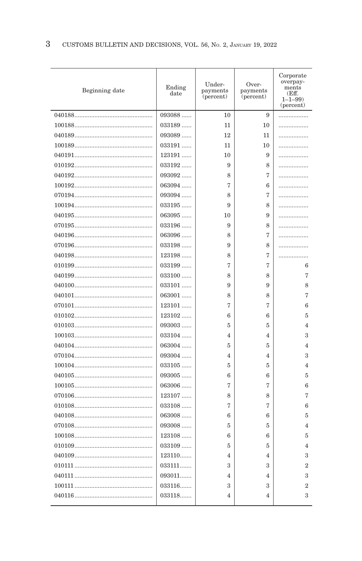| 093088<br>10<br>9<br>$033189$<br>10<br>11<br>093089<br>12<br>11<br>033191<br>11<br>10<br>123191<br>10<br>9<br>033192<br>9<br>8<br>093092<br>8<br>7<br>063094<br>7<br>6<br>093094<br>8<br>7<br>8<br>$033195$<br>9<br>$063095$<br>9<br>10<br>033196<br>9<br>8<br>7<br>$063096$<br>8<br>$033198$<br>9<br>8<br>7<br>123198<br>8<br>033199<br>7<br>7<br>033100<br>8<br>8<br>9<br>9<br>$033101$<br>063001<br>8<br>8<br>123101<br>7<br>7<br>$123102$<br>6<br>6<br>093003<br>5<br>5<br>$033104$<br>$\overline{4}$<br>4<br>063004<br>5<br>5<br>093004<br>4<br>4<br>$033105$<br>5<br>5<br>$093005$<br>6<br>6<br>$063006$<br>7<br>7<br>123107<br>8<br>8<br>7<br>7<br>$033108$<br>$063008$<br>6<br>6<br>093008<br>5<br>5<br>123108<br>6<br>6<br>$033109$<br>5<br>5<br>123110<br>$\overline{4}$<br>4<br>033111<br>3<br>3 | Beginning date | Ending<br>date | Under-<br>payments<br>(percent) | Over-<br>payments<br>(percent) | Corporate<br>overpay-<br>ments<br>(Eff.<br>$1 - 1 - 99$<br>(percent) |
|-------------------------------------------------------------------------------------------------------------------------------------------------------------------------------------------------------------------------------------------------------------------------------------------------------------------------------------------------------------------------------------------------------------------------------------------------------------------------------------------------------------------------------------------------------------------------------------------------------------------------------------------------------------------------------------------------------------------------------------------------------------------------------------------------------------|----------------|----------------|---------------------------------|--------------------------------|----------------------------------------------------------------------|
|                                                                                                                                                                                                                                                                                                                                                                                                                                                                                                                                                                                                                                                                                                                                                                                                             |                |                |                                 |                                | .                                                                    |
|                                                                                                                                                                                                                                                                                                                                                                                                                                                                                                                                                                                                                                                                                                                                                                                                             |                |                |                                 |                                | .                                                                    |
|                                                                                                                                                                                                                                                                                                                                                                                                                                                                                                                                                                                                                                                                                                                                                                                                             |                |                |                                 |                                | .                                                                    |
|                                                                                                                                                                                                                                                                                                                                                                                                                                                                                                                                                                                                                                                                                                                                                                                                             |                |                |                                 |                                | .                                                                    |
|                                                                                                                                                                                                                                                                                                                                                                                                                                                                                                                                                                                                                                                                                                                                                                                                             |                |                |                                 |                                | .                                                                    |
|                                                                                                                                                                                                                                                                                                                                                                                                                                                                                                                                                                                                                                                                                                                                                                                                             |                |                |                                 |                                | .                                                                    |
|                                                                                                                                                                                                                                                                                                                                                                                                                                                                                                                                                                                                                                                                                                                                                                                                             |                |                |                                 |                                | .                                                                    |
|                                                                                                                                                                                                                                                                                                                                                                                                                                                                                                                                                                                                                                                                                                                                                                                                             |                |                |                                 |                                | .                                                                    |
|                                                                                                                                                                                                                                                                                                                                                                                                                                                                                                                                                                                                                                                                                                                                                                                                             |                |                |                                 |                                | .                                                                    |
|                                                                                                                                                                                                                                                                                                                                                                                                                                                                                                                                                                                                                                                                                                                                                                                                             |                |                |                                 |                                | .                                                                    |
|                                                                                                                                                                                                                                                                                                                                                                                                                                                                                                                                                                                                                                                                                                                                                                                                             |                |                |                                 |                                | .                                                                    |
|                                                                                                                                                                                                                                                                                                                                                                                                                                                                                                                                                                                                                                                                                                                                                                                                             |                |                |                                 |                                | .                                                                    |
|                                                                                                                                                                                                                                                                                                                                                                                                                                                                                                                                                                                                                                                                                                                                                                                                             |                |                |                                 |                                | .                                                                    |
|                                                                                                                                                                                                                                                                                                                                                                                                                                                                                                                                                                                                                                                                                                                                                                                                             |                |                |                                 |                                | .                                                                    |
|                                                                                                                                                                                                                                                                                                                                                                                                                                                                                                                                                                                                                                                                                                                                                                                                             |                |                |                                 |                                | .                                                                    |
|                                                                                                                                                                                                                                                                                                                                                                                                                                                                                                                                                                                                                                                                                                                                                                                                             |                |                |                                 |                                | 6                                                                    |
|                                                                                                                                                                                                                                                                                                                                                                                                                                                                                                                                                                                                                                                                                                                                                                                                             |                |                |                                 |                                | 7                                                                    |
|                                                                                                                                                                                                                                                                                                                                                                                                                                                                                                                                                                                                                                                                                                                                                                                                             |                |                |                                 |                                | 8                                                                    |
|                                                                                                                                                                                                                                                                                                                                                                                                                                                                                                                                                                                                                                                                                                                                                                                                             |                |                |                                 |                                | 7                                                                    |
|                                                                                                                                                                                                                                                                                                                                                                                                                                                                                                                                                                                                                                                                                                                                                                                                             |                |                |                                 |                                | 6                                                                    |
|                                                                                                                                                                                                                                                                                                                                                                                                                                                                                                                                                                                                                                                                                                                                                                                                             |                |                |                                 |                                | 5                                                                    |
|                                                                                                                                                                                                                                                                                                                                                                                                                                                                                                                                                                                                                                                                                                                                                                                                             |                |                |                                 |                                | $\overline{4}$                                                       |
|                                                                                                                                                                                                                                                                                                                                                                                                                                                                                                                                                                                                                                                                                                                                                                                                             |                |                |                                 |                                | 3                                                                    |
|                                                                                                                                                                                                                                                                                                                                                                                                                                                                                                                                                                                                                                                                                                                                                                                                             |                |                |                                 |                                | $\overline{4}$                                                       |
|                                                                                                                                                                                                                                                                                                                                                                                                                                                                                                                                                                                                                                                                                                                                                                                                             |                |                |                                 |                                | 3                                                                    |
|                                                                                                                                                                                                                                                                                                                                                                                                                                                                                                                                                                                                                                                                                                                                                                                                             |                |                |                                 |                                | $\overline{4}$                                                       |
|                                                                                                                                                                                                                                                                                                                                                                                                                                                                                                                                                                                                                                                                                                                                                                                                             |                |                |                                 |                                | 5                                                                    |
|                                                                                                                                                                                                                                                                                                                                                                                                                                                                                                                                                                                                                                                                                                                                                                                                             |                |                |                                 |                                | 6                                                                    |
|                                                                                                                                                                                                                                                                                                                                                                                                                                                                                                                                                                                                                                                                                                                                                                                                             |                |                |                                 |                                | 7                                                                    |
|                                                                                                                                                                                                                                                                                                                                                                                                                                                                                                                                                                                                                                                                                                                                                                                                             |                |                |                                 |                                | 6                                                                    |
|                                                                                                                                                                                                                                                                                                                                                                                                                                                                                                                                                                                                                                                                                                                                                                                                             |                |                |                                 |                                | 5                                                                    |
|                                                                                                                                                                                                                                                                                                                                                                                                                                                                                                                                                                                                                                                                                                                                                                                                             |                |                |                                 |                                | $\overline{4}$                                                       |
|                                                                                                                                                                                                                                                                                                                                                                                                                                                                                                                                                                                                                                                                                                                                                                                                             |                |                |                                 |                                | 5                                                                    |
|                                                                                                                                                                                                                                                                                                                                                                                                                                                                                                                                                                                                                                                                                                                                                                                                             |                |                |                                 |                                | $\overline{4}$                                                       |
|                                                                                                                                                                                                                                                                                                                                                                                                                                                                                                                                                                                                                                                                                                                                                                                                             |                |                |                                 |                                | 3                                                                    |
|                                                                                                                                                                                                                                                                                                                                                                                                                                                                                                                                                                                                                                                                                                                                                                                                             |                |                |                                 |                                | $\overline{2}$                                                       |
|                                                                                                                                                                                                                                                                                                                                                                                                                                                                                                                                                                                                                                                                                                                                                                                                             |                | 093011         | 4                               | 4                              | 3                                                                    |
| 033116<br>3<br>3                                                                                                                                                                                                                                                                                                                                                                                                                                                                                                                                                                                                                                                                                                                                                                                            |                |                |                                 |                                | $\boldsymbol{2}$                                                     |
| 033118<br>$\overline{4}$<br>4                                                                                                                                                                                                                                                                                                                                                                                                                                                                                                                                                                                                                                                                                                                                                                               |                |                |                                 |                                | 3                                                                    |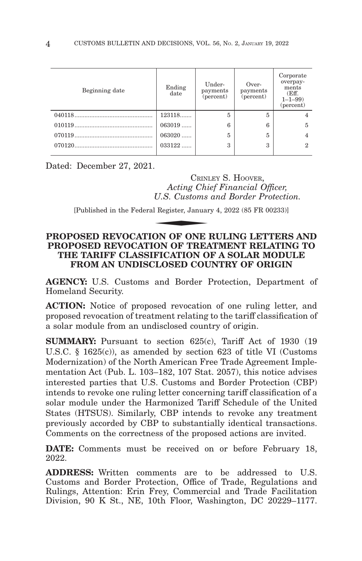| Beginning date | Ending<br>date | Under-<br>payments<br>(percent) | Over-<br>payments<br>(percent) | Corporate<br>overpay-<br>ments<br>(Eff.<br>$1 - 1 - 99$<br>(percent) |
|----------------|----------------|---------------------------------|--------------------------------|----------------------------------------------------------------------|
|                | 123118         | 5                               | 5                              |                                                                      |
|                | $063019$       | 6                               | 6                              |                                                                      |
|                | $063020$       | 5                               | 5                              |                                                                      |
|                | $033122$       | 3                               | 3                              | 2                                                                    |
|                |                |                                 |                                |                                                                      |

Dated: December 27, 2021.

CRINLEY S. HOOVER, *Acting Chief Financial Officer, U.S. Customs and Border Protection.* CRINI<br> *Acting Chi*<br>
U.S. Customs<br>
Il Register, Januar<br> **ON OF ONE** 

[Published in the Federal Register, January 4, 2022 (85 FR 00233)]

# **PROPOSED REVOCATION OF ONE RULING LETTERS AND PROPOSED REVOCATION OF TREATMENT RELATING TO THE TARIFF CLASSIFICATION OF A SOLAR MODULE FROM AN UNDISCLOSED COUNTRY OF ORIGIN**

**AGENCY:** U.S. Customs and Border Protection, Department of Homeland Security.

**ACTION:** Notice of proposed revocation of one ruling letter, and proposed revocation of treatment relating to the tariff classification of a solar module from an undisclosed country of origin.

**SUMMARY:** Pursuant to section 625(c), Tariff Act of 1930 (19) U.S.C. § 1625(c)), as amended by section 623 of title VI (Customs Modernization) of the North American Free Trade Agreement Implementation Act (Pub. L. 103–182, 107 Stat. 2057), this notice advises interested parties that U.S. Customs and Border Protection (CBP) intends to revoke one ruling letter concerning tariff classification of a solar module under the Harmonized Tariff Schedule of the United States (HTSUS). Similarly, CBP intends to revoke any treatment previously accorded by CBP to substantially identical transactions. Comments on the correctness of the proposed actions are invited.

**DATE:** Comments must be received on or before February 18, 2022.

**ADDRESS:** Written comments are to be addressed to U.S. Customs and Border Protection, Office of Trade, Regulations and Rulings, Attention: Erin Frey, Commercial and Trade Facilitation Division, 90 K St., NE, 10th Floor, Washington, DC 20229–1177.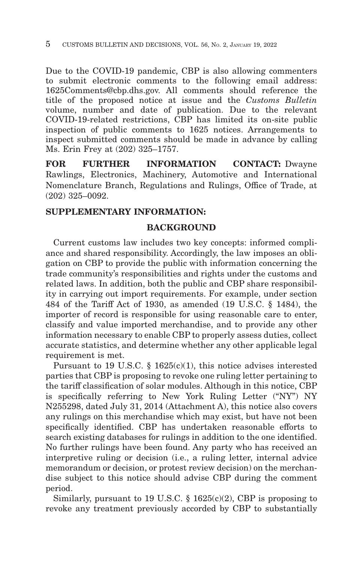Due to the COVID-19 pandemic, CBP is also allowing commenters to submit electronic comments to the following email address: 1625Comments@cbp.dhs.gov. All comments should reference the title of the proposed notice at issue and the *Customs Bulletin* volume, number and date of publication. Due to the relevant COVID-19-related restrictions, CBP has limited its on-site public inspection of public comments to 1625 notices. Arrangements to inspect submitted comments should be made in advance by calling Ms. Erin Frey at (202) 325–1757.

**FOR FURTHER INFORMATION CONTACT:** Dwayne Rawlings, Electronics, Machinery, Automotive and International Nomenclature Branch, Regulations and Rulings, Office of Trade, at (202) 325–0092.

# **SUPPLEMENTARY INFORMATION:**

# **BACKGROUND**

Current customs law includes two key concepts: informed compliance and shared responsibility. Accordingly, the law imposes an obligation on CBP to provide the public with information concerning the trade community's responsibilities and rights under the customs and related laws. In addition, both the public and CBP share responsibility in carrying out import requirements. For example, under section 484 of the Tariff Act of 1930, as amended (19 U.S.C. § 1484), the importer of record is responsible for using reasonable care to enter, classify and value imported merchandise, and to provide any other information necessary to enable CBP to properly assess duties, collect accurate statistics, and determine whether any other applicable legal requirement is met.

Pursuant to 19 U.S.C. § 1625(c)(1), this notice advises interested parties that CBP is proposing to revoke one ruling letter pertaining to the tariff classification of solar modules. Although in this notice, CBP is specifically referring to New York Ruling Letter ("NY") NY N255298, dated July 31, 2014 (Attachment A), this notice also covers any rulings on this merchandise which may exist, but have not been specifically identified. CBP has undertaken reasonable efforts to search existing databases for rulings in addition to the one identified. No further rulings have been found. Any party who has received an interpretive ruling or decision (i.e., a ruling letter, internal advice memorandum or decision, or protest review decision) on the merchandise subject to this notice should advise CBP during the comment period.

Similarly, pursuant to 19 U.S.C.  $\S$  1625(c)(2), CBP is proposing to revoke any treatment previously accorded by CBP to substantially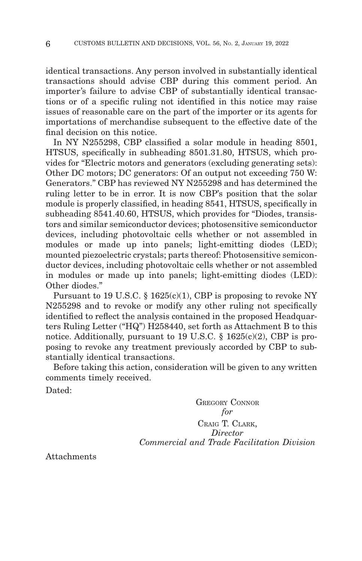identical transactions. Any person involved in substantially identical transactions should advise CBP during this comment period. An importer's failure to advise CBP of substantially identical transactions or of a specific ruling not identified in this notice may raise issues of reasonable care on the part of the importer or its agents for importations of merchandise subsequent to the effective date of the final decision on this notice.

In NY N255298, CBP classified a solar module in heading 8501, HTSUS, specifically in subheading 8501.31.80, HTSUS, which provides for "Electric motors and generators (excluding generating sets): Other DC motors; DC generators: Of an output not exceeding 750 W: Generators." CBP has reviewed NY N255298 and has determined the ruling letter to be in error. It is now CBP's position that the solar module is properly classified, in heading 8541, HTSUS, specifically in subheading 8541.40.60, HTSUS, which provides for "Diodes, transistors and similar semiconductor devices; photosensitive semiconductor devices, including photovoltaic cells whether or not assembled in modules or made up into panels; light-emitting diodes (LED); mounted piezoelectric crystals; parts thereof: Photosensitive semiconductor devices, including photovoltaic cells whether or not assembled in modules or made up into panels; light-emitting diodes (LED): Other diodes."

Pursuant to 19 U.S.C. § 1625(c)(1), CBP is proposing to revoke NY N255298 and to revoke or modify any other ruling not specifically identified to reflect the analysis contained in the proposed Headquarters Ruling Letter ("HQ") H258440, set forth as Attachment B to this notice. Additionally, pursuant to 19 U.S.C.  $\S$  1625(c)(2), CBP is proposing to revoke any treatment previously accorded by CBP to substantially identical transactions.

Before taking this action, consideration will be given to any written comments timely received.

Dated:

GREGORY CONNOR *for* CRAIG T. CLARK, *Director Commercial and Trade Facilitation Division*

Attachments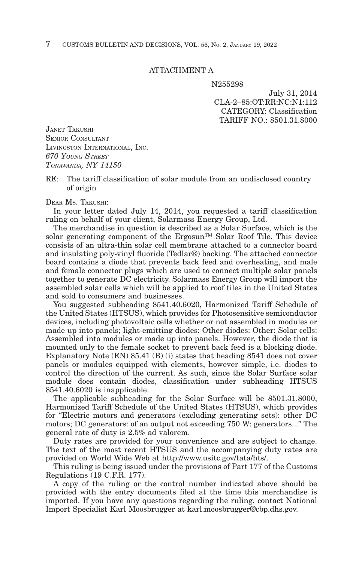# ATTACHMENT A

N255298

July 31, 2014 CLA-2–85:OT:RR:NC:N1:112 CATEGORY: Classification TARIFF NO.: 8501.31.8000

JANET TAKUSHI SENIOR CONSULTANT LIVINGSTON INTERNATIONAL, INC. *670 YOUNG STREET TONAWANDA, NY 14150*

RE: The tariff classification of solar module from an undisclosed country of origin

#### DEAR MS. TAKUSHI:

In your letter dated July 14, 2014, you requested a tariff classification ruling on behalf of your client, Solarmass Energy Group, Ltd.

The merchandise in question is described as a Solar Surface, which is the solar generating component of the Ergosun™ Solar Roof Tile. This device consists of an ultra-thin solar cell membrane attached to a connector board and insulating poly-vinyl fluoride (Tedlar®) backing. The attached connector board contains a diode that prevents back feed and overheating, and male and female connector plugs which are used to connect multiple solar panels together to generate DC electricity. Solarmass Energy Group will import the assembled solar cells which will be applied to roof tiles in the United States and sold to consumers and businesses.

You suggested subheading 8541.40.6020, Harmonized Tariff Schedule of the United States (HTSUS), which provides for Photosensitive semiconductor devices, including photovoltaic cells whether or not assembled in modules or made up into panels; light-emitting diodes: Other diodes: Other: Solar cells: Assembled into modules or made up into panels. However, the diode that is mounted only to the female socket to prevent back feed is a blocking diode. Explanatory Note (EN) 85.41 (B) (i) states that heading 8541 does not cover panels or modules equipped with elements, however simple, i.e. diodes to control the direction of the current. As such, since the Solar Surface solar module does contain diodes, classification under subheading HTSUS 8541.40.6020 is inapplicable.

The applicable subheading for the Solar Surface will be 8501.31.8000, Harmonized Tariff Schedule of the United States (HTSUS), which provides for "Electric motors and generators (excluding generating sets): other DC motors; DC generators: of an output not exceeding 750 W: generators..." The general rate of duty is 2.5% ad valorem.

Duty rates are provided for your convenience and are subject to change. The text of the most recent HTSUS and the accompanying duty rates are provided on World Wide Web at http://www.usitc.gov/tata/hts/.

This ruling is being issued under the provisions of Part 177 of the Customs Regulations (19 C.F.R. 177).

A copy of the ruling or the control number indicated above should be provided with the entry documents filed at the time this merchandise is imported. If you have any questions regarding the ruling, contact National Import Specialist Karl Moosbrugger at karl.moosbrugger@cbp.dhs.gov.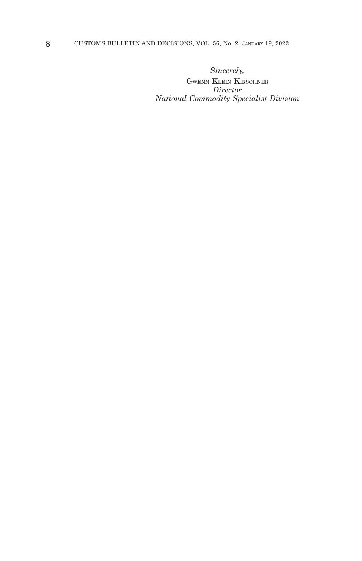*Sincerely,*

GWENN KLEIN KIRSCHNER *Director National Commodity Specialist Division*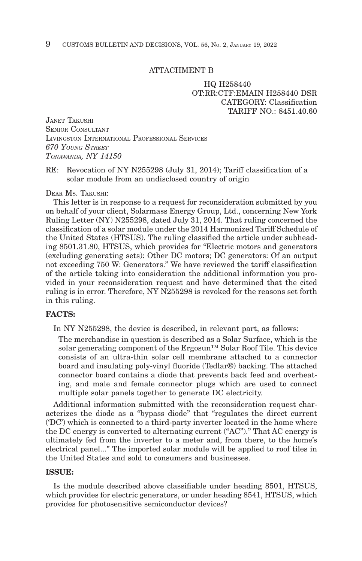#### ATTACHMENT B

# HQ H258440 OT:RR:CTF:EMAIN H258440 DSR CATEGORY: Classification TARIFF  $NO.8451.40.60$

JANET TAKUSHI SENIOR CONSULTANT LIVINGSTON INTERNATIONAL PROFESSIONAL SERVICES *670 YOUNG STREET TONAWANDA, NY 14150*

RE: Revocation of NY N255298 (July 31, 2014); Tariff classification of a solar module from an undisclosed country of origin

#### DEAR MS. TAKUSHI:

This letter is in response to a request for reconsideration submitted by you on behalf of your client, Solarmass Energy Group, Ltd., concerning New York Ruling Letter (NY) N255298, dated July 31, 2014. That ruling concerned the classification of a solar module under the 2014 Harmonized Tariff Schedule of the United States (HTSUS). The ruling classified the article under subheading 8501.31.80, HTSUS, which provides for "Electric motors and generators (excluding generating sets): Other DC motors; DC generators: Of an output not exceeding 750 W: Generators." We have reviewed the tariff classification of the article taking into consideration the additional information you provided in your reconsideration request and have determined that the cited ruling is in error. Therefore, NY N255298 is revoked for the reasons set forth in this ruling.

# **FACTS:**

In NY N255298, the device is described, in relevant part, as follows:

The merchandise in question is described as a Solar Surface, which is the solar generating component of the Ergosun™ Solar Roof Tile. This device consists of an ultra-thin solar cell membrane attached to a connector board and insulating poly-vinyl fluoride (Tedlar®) backing. The attached connector board contains a diode that prevents back feed and overheating, and male and female connector plugs which are used to connect multiple solar panels together to generate DC electricity.

Additional information submitted with the reconsideration request characterizes the diode as a "bypass diode" that "regulates the direct current ('DC') which is connected to a third-party inverter located in the home where the DC energy is converted to alternating current ("AC")." That AC energy is ultimately fed from the inverter to a meter and, from there, to the home's electrical panel..." The imported solar module will be applied to roof tiles in the United States and sold to consumers and businesses.

# **ISSUE:**

Is the module described above classifiable under heading 8501, HTSUS, which provides for electric generators, or under heading 8541, HTSUS, which provides for photosensitive semiconductor devices?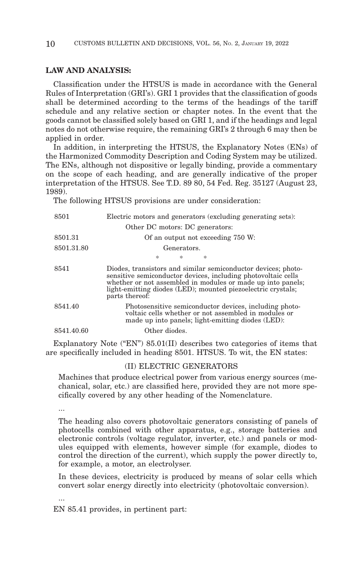# **LAW AND ANALYSIS:**

Classification under the HTSUS is made in accordance with the General Rules of Interpretation (GRI's). GRI 1 provides that the classification of goods shall be determined according to the terms of the headings of the tariff schedule and any relative section or chapter notes. In the event that the goods cannot be classified solely based on GRI 1, and if the headings and legal notes do not otherwise require, the remaining GRI's 2 through 6 may then be applied in order.

In addition, in interpreting the HTSUS, the Explanatory Notes (ENs) of the Harmonized Commodity Description and Coding System may be utilized. The ENs, although not dispositive or legally binding, provide a commentary on the scope of each heading, and are generally indicative of the proper interpretation of the HTSUS. See T.D. 89 80, 54 Fed. Reg. 35127 (August 23, 1989).

The following HTSUS provisions are under consideration:

| 8501       | Electric motors and generators (excluding generating sets):                                                                                                                                                                                                                     |
|------------|---------------------------------------------------------------------------------------------------------------------------------------------------------------------------------------------------------------------------------------------------------------------------------|
|            | Other DC motors: DC generators:                                                                                                                                                                                                                                                 |
| 8501.31    | Of an output not exceeding 750 W:                                                                                                                                                                                                                                               |
| 8501.31.80 | Generators.                                                                                                                                                                                                                                                                     |
|            | $\ast$<br>*<br>水                                                                                                                                                                                                                                                                |
| 8541       | Diodes, transistors and similar semiconductor devices; photo-<br>sensitive semiconductor devices, including photovoltaic cells<br>whether or not assembled in modules or made up into panels;<br>light-emitting diodes (LED); mounted piezoelectric crystals;<br>parts thereof: |
| 8541.40    | Photosensitive semiconductor devices, including photo-<br>voltaic cells whether or not assembled in modules or<br>made up into panels; light-emitting diodes (LED);                                                                                                             |
| 8541.40.60 | Other diodes.                                                                                                                                                                                                                                                                   |

Explanatory Note ("EN") 85.01(II) describes two categories of items that are specifically included in heading 8501. HTSUS. To wit, the EN states:

#### (II) ELECTRIC GENERATORS

Machines that produce electrical power from various energy sources (mechanical, solar, etc.) are classified here, provided they are not more specifically covered by any other heading of the Nomenclature.

...

...

The heading also covers photovoltaic generators consisting of panels of photocells combined with other apparatus, e.g., storage batteries and electronic controls (voltage regulator, inverter, etc.) and panels or modules equipped with elements, however simple (for example, diodes to control the direction of the current), which supply the power directly to, for example, a motor, an electrolyser.

In these devices, electricity is produced by means of solar cells which convert solar energy directly into electricity (photovoltaic conversion).

EN 85.41 provides, in pertinent part: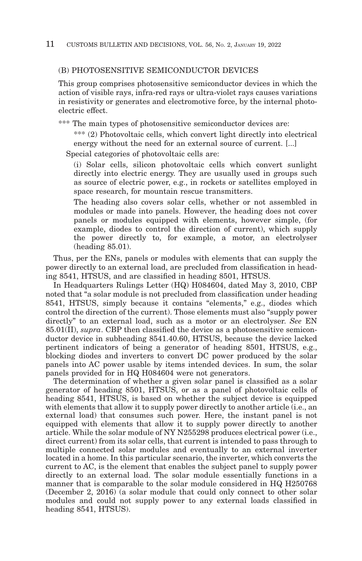# (B) PHOTOSENSITIVE SEMICONDUCTOR DEVICES

This group comprises photosensitive semiconductor devices in which the action of visible rays, infra-red rays or ultra-violet rays causes variations in resistivity or generates and electromotive force, by the internal photoelectric effect.

\*\*\* The main types of photosensitive semiconductor devices are:

\*\*\* (2) Photovoltaic cells, which convert light directly into electrical energy without the need for an external source of current. [...]

Special categories of photovoltaic cells are:

(i) Solar cells, silicon photovoltaic cells which convert sunlight directly into electric energy. They are usually used in groups such as source of electric power, e.g., in rockets or satellites employed in space research, for mountain rescue transmitters.

The heading also covers solar cells, whether or not assembled in modules or made into panels. However, the heading does not cover panels or modules equipped with elements, however simple, (for example, diodes to control the direction of current), which supply the power directly to, for example, a motor, an electrolyser (heading 85.01).

Thus, per the ENs, panels or modules with elements that can supply the power directly to an external load, are precluded from classification in heading 8541, HTSUS, and are classified in heading 8501, HTSUS.

In Headquarters Rulings Letter (HQ) H084604, dated May 3, 2010, CBP noted that "a solar module is not precluded from classification under heading 8541, HTSUS, simply because it contains "elements," e.g., diodes which control the direction of the current). Those elements must also "supply power directly" to an external load, such as a motor or an electrolyser. *See* EN 85.01(II), *supra*. CBP then classified the device as a photosensitive semiconductor device in subheading 8541.40.60, HTSUS, because the device lacked pertinent indicators of being a generator of heading 8501, HTSUS, e.g., blocking diodes and inverters to convert DC power produced by the solar panels into AC power usable by items intended devices. In sum, the solar panels provided for in HQ H084604 were not generators.

The determination of whether a given solar panel is classified as a solar generator of heading 8501, HTSUS, or as a panel of photovoltaic cells of heading 8541, HTSUS, is based on whether the subject device is equipped with elements that allow it to supply power directly to another article (i.e., an external load) that consumes such power. Here, the instant panel is not equipped with elements that allow it to supply power directly to another article. While the solar module of NY N255298 produces electrical power (i.e., direct current) from its solar cells, that current is intended to pass through to multiple connected solar modules and eventually to an external inverter located in a home. In this particular scenario, the inverter, which converts the current to AC, is the element that enables the subject panel to supply power directly to an external load. The solar module essentially functions in a manner that is comparable to the solar module considered in HQ H250768 (December 2, 2016) (a solar module that could only connect to other solar modules and could not supply power to any external loads classified in heading 8541, HTSUS).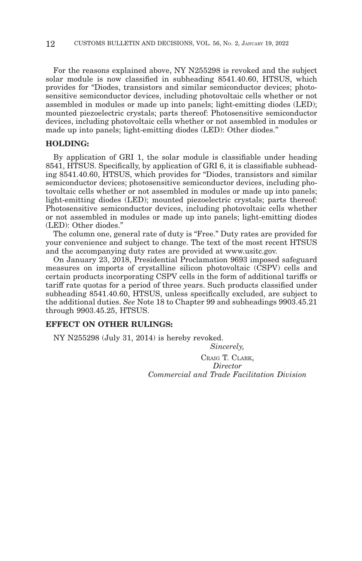For the reasons explained above, NY N255298 is revoked and the subject solar module is now classified in subheading 8541.40.60, HTSUS, which provides for "Diodes, transistors and similar semiconductor devices; photosensitive semiconductor devices, including photovoltaic cells whether or not assembled in modules or made up into panels; light-emitting diodes (LED); mounted piezoelectric crystals; parts thereof: Photosensitive semiconductor devices, including photovoltaic cells whether or not assembled in modules or made up into panels; light-emitting diodes (LED): Other diodes."

# **HOLDING:**

By application of GRI 1, the solar module is classifiable under heading 8541, HTSUS. Specifically, by application of GRI 6, it is classifiable subheading 8541.40.60, HTSUS, which provides for "Diodes, transistors and similar semiconductor devices; photosensitive semiconductor devices, including photovoltaic cells whether or not assembled in modules or made up into panels; light-emitting diodes (LED); mounted piezoelectric crystals; parts thereof: Photosensitive semiconductor devices, including photovoltaic cells whether or not assembled in modules or made up into panels; light-emitting diodes (LED): Other diodes."

The column one, general rate of duty is "Free." Duty rates are provided for your convenience and subject to change. The text of the most recent HTSUS and the accompanying duty rates are provided at www.usitc.gov.

On January 23, 2018, Presidential Proclamation 9693 imposed safeguard measures on imports of crystalline silicon photovoltaic (CSPV) cells and certain products incorporating CSPV cells in the form of additional tariffs or tariff rate quotas for a period of three years. Such products classified under subheading 8541.40.60, HTSUS, unless specifically excluded, are subject to the additional duties. *See* Note 18 to Chapter 99 and subheadings 9903.45.21 through 9903.45.25, HTSUS.

## **EFFECT ON OTHER RULINGS:**

NY N255298 (July 31, 2014) is hereby revoked.

*Sincerely,* CRAIG T. CLARK, *Director Commercial and Trade Facilitation Division*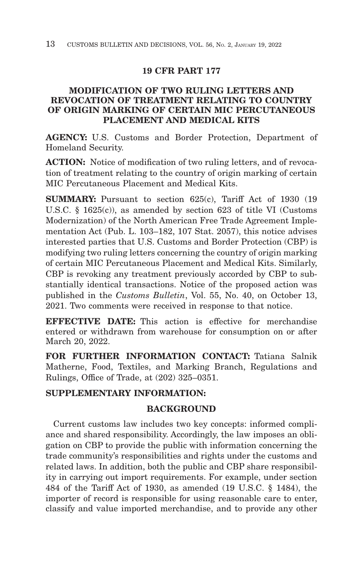# **19 CFR PART 177**

# **MODIFICATION OF TWO RULING LETTERS AND REVOCATION OF TREATMENT RELATING TO COUNTRY OF ORIGIN MARKING OF CERTAIN MIC PERCUTANEOUS PLACEMENT AND MEDICAL KITS**

**AGENCY:** U.S. Customs and Border Protection, Department of Homeland Security.

**ACTION:** Notice of modification of two ruling letters, and of revocation of treatment relating to the country of origin marking of certain MIC Percutaneous Placement and Medical Kits.

**SUMMARY:** Pursuant to section 625(c), Tariff Act of 1930 (19) U.S.C. § 1625(c)), as amended by section 623 of title VI (Customs Modernization) of the North American Free Trade Agreement Implementation Act (Pub. L. 103–182, 107 Stat. 2057), this notice advises interested parties that U.S. Customs and Border Protection (CBP) is modifying two ruling letters concerning the country of origin marking of certain MIC Percutaneous Placement and Medical Kits. Similarly, CBP is revoking any treatment previously accorded by CBP to substantially identical transactions. Notice of the proposed action was published in the *Customs Bulletin*, Vol. 55, No. 40, on October 13, 2021. Two comments were received in response to that notice.

**EFFECTIVE DATE:** This action is effective for merchandise entered or withdrawn from warehouse for consumption on or after March 20, 2022.

**FOR FURTHER INFORMATION CONTACT:** Tatiana Salnik Matherne, Food, Textiles, and Marking Branch, Regulations and Rulings, Office of Trade, at (202) 325–0351.

# **SUPPLEMENTARY INFORMATION:**

# **BACKGROUND**

Current customs law includes two key concepts: informed compliance and shared responsibility. Accordingly, the law imposes an obligation on CBP to provide the public with information concerning the trade community's responsibilities and rights under the customs and related laws. In addition, both the public and CBP share responsibility in carrying out import requirements. For example, under section 484 of the Tariff Act of 1930, as amended (19 U.S.C. § 1484), the importer of record is responsible for using reasonable care to enter, classify and value imported merchandise, and to provide any other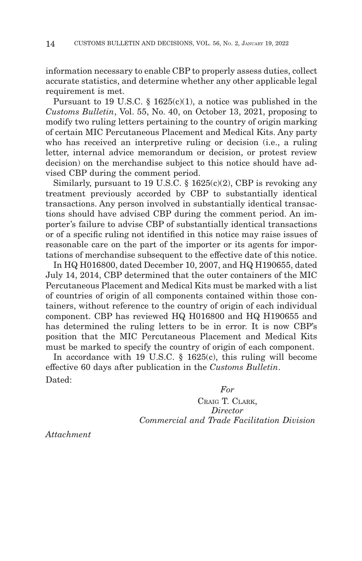information necessary to enable CBP to properly assess duties, collect accurate statistics, and determine whether any other applicable legal requirement is met.

Pursuant to 19 U.S.C. § 1625(c)(1), a notice was published in the *Customs Bulletin*, Vol. 55, No. 40, on October 13, 2021, proposing to modify two ruling letters pertaining to the country of origin marking of certain MIC Percutaneous Placement and Medical Kits. Any party who has received an interpretive ruling or decision (i.e., a ruling letter, internal advice memorandum or decision, or protest review decision) on the merchandise subject to this notice should have advised CBP during the comment period.

Similarly, pursuant to 19 U.S.C. § 1625(c)(2), CBP is revoking any treatment previously accorded by CBP to substantially identical transactions. Any person involved in substantially identical transactions should have advised CBP during the comment period. An importer's failure to advise CBP of substantially identical transactions or of a specific ruling not identified in this notice may raise issues of reasonable care on the part of the importer or its agents for importations of merchandise subsequent to the effective date of this notice.

In HQ H016800, dated December 10, 2007, and HQ H190655, dated July 14, 2014, CBP determined that the outer containers of the MIC Percutaneous Placement and Medical Kits must be marked with a list of countries of origin of all components contained within those containers, without reference to the country of origin of each individual component. CBP has reviewed HQ H016800 and HQ H190655 and has determined the ruling letters to be in error. It is now CBP's position that the MIC Percutaneous Placement and Medical Kits must be marked to specify the country of origin of each component.

In accordance with 19 U.S.C. § 1625(c), this ruling will become effective 60 days after publication in the *Customs Bulletin*. Dated:

*For*

CRAIG T. CLARK, *Director Commercial and Trade Facilitation Division*

*Attachment*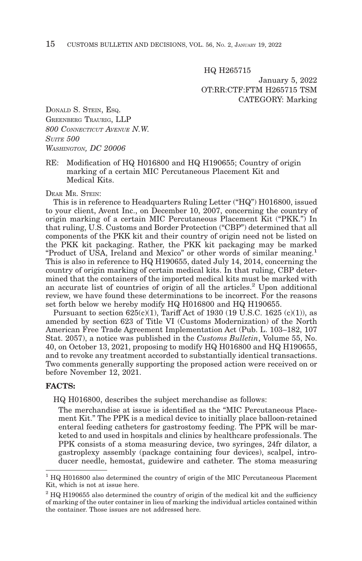HQ H265715

January 5, 2022 OT:RR:CTF:FTM H265715 TSM CATEGORY: Marking

DONALD S. STEIN, ESQ. GREENBERG TRAURIG, LLP *800 CONNECTICUT AVENUE N.W. SUITE 500 WASHINGTON, DC 20006*

RE: Modification of HQ H016800 and HQ H190655; Country of origin marking of a certain MIC Percutaneous Placement Kit and Medical Kits.

#### DEAR MR. STEIN:

This is in reference to Headquarters Ruling Letter ("HQ") H016800, issued to your client, Avent Inc., on December 10, 2007, concerning the country of origin marking of a certain MIC Percutaneous Placement Kit ("PKK.") In that ruling, U.S. Customs and Border Protection ("CBP") determined that all components of the PKK kit and their country of origin need not be listed on the PKK kit packaging. Rather, the PKK kit packaging may be marked "Product of USA, Ireland and Mexico" or other words of similar meaning.1 This is also in reference to HQ H190655, dated July 14, 2014, concerning the country of origin marking of certain medical kits. In that ruling, CBP determined that the containers of the imported medical kits must be marked with an accurate list of countries of origin of all the articles.<sup>2</sup> Upon additional review, we have found these determinations to be incorrect. For the reasons set forth below we hereby modify HQ H016800 and HQ H190655.

Pursuant to section  $625(c)(1)$ , Tariff Act of 1930 (19 U.S.C. 1625 (c)(1)), as amended by section 623 of Title VI (Customs Modernization) of the North American Free Trade Agreement Implementation Act (Pub. L. 103–182, 107 Stat. 2057), a notice was published in the *Customs Bulletin*, Volume 55, No. 40, on October 13, 2021, proposing to modify HQ H016800 and HQ H190655, and to revoke any treatment accorded to substantially identical transactions. Two comments generally supporting the proposed action were received on or before November 12, 2021.

#### **FACTS:**

HQ H016800, describes the subject merchandise as follows:

The merchandise at issue is identified as the "MIC Percutaneous Placement Kit." The PPK is a medical device to initially place balloon-retained enteral feeding catheters for gastrostomy feeding. The PPK will be marketed to and used in hospitals and clinics by healthcare professionals. The PPK consists of a stoma measuring device, two syringes, 24fr dilator, a gastroplexy assembly (package containing four devices), scalpel, introducer needle, hemostat, guidewire and catheter. The stoma measuring

<sup>&</sup>lt;sup>1</sup> HQ H016800 also determined the country of origin of the MIC Percutaneous Placement Kit, which is not at issue here.

<sup>2</sup> HQ H190655 also determined the country of origin of the medical kit and the sufficiency of marking of the outer container in lieu of marking the individual articles contained within the container. Those issues are not addressed here.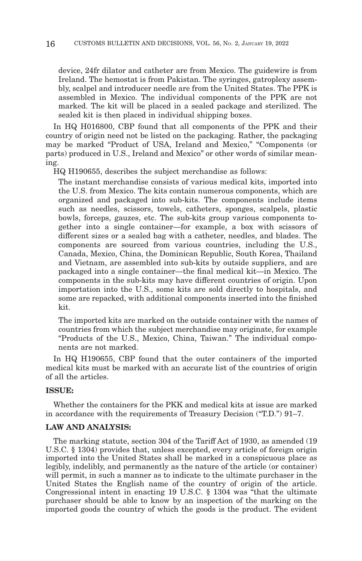device, 24fr dilator and catheter are from Mexico. The guidewire is from Ireland. The hemostat is from Pakistan. The syringes, gatroplexy assembly, scalpel and introducer needle are from the United States. The PPK is assembled in Mexico. The individual components of the PPK are not marked. The kit will be placed in a sealed package and sterilized. The sealed kit is then placed in individual shipping boxes.

In HQ H016800, CBP found that all components of the PPK and their country of origin need not be listed on the packaging. Rather, the packaging may be marked "Product of USA, Ireland and Mexico," "Components (or parts) produced in U.S., Ireland and Mexico" or other words of similar meaning.

HQ H190655, describes the subject merchandise as follows:

The instant merchandise consists of various medical kits, imported into the U.S. from Mexico. The kits contain numerous components, which are organized and packaged into sub-kits. The components include items such as needles, scissors, towels, catheters, sponges, scalpels, plastic bowls, forceps, gauzes, etc. The sub-kits group various components together into a single container—for example, a box with scissors of different sizes or a sealed bag with a catheter, needles, and blades. The components are sourced from various countries, including the U.S., Canada, Mexico, China, the Dominican Republic, South Korea, Thailand and Vietnam, are assembled into sub-kits by outside suppliers, and are packaged into a single container—the final medical kit—in Mexico. The components in the sub-kits may have different countries of origin. Upon importation into the U.S., some kits are sold directly to hospitals, and some are repacked, with additional components inserted into the finished kit.

The imported kits are marked on the outside container with the names of countries from which the subject merchandise may originate, for example "Products of the U.S., Mexico, China, Taiwan." The individual components are not marked.

In HQ H190655, CBP found that the outer containers of the imported medical kits must be marked with an accurate list of the countries of origin of all the articles.

#### **ISSUE:**

Whether the containers for the PKK and medical kits at issue are marked in accordance with the requirements of Treasury Decision ("T.D.") 91–7.

#### **LAW AND ANALYSIS:**

The marking statute, section 304 of the Tariff Act of 1930, as amended (19 U.S.C. § 1304) provides that, unless excepted, every article of foreign origin imported into the United States shall be marked in a conspicuous place as legibly, indelibly, and permanently as the nature of the article (or container) will permit, in such a manner as to indicate to the ultimate purchaser in the United States the English name of the country of origin of the article. Congressional intent in enacting 19 U.S.C. § 1304 was "that the ultimate purchaser should be able to know by an inspection of the marking on the imported goods the country of which the goods is the product. The evident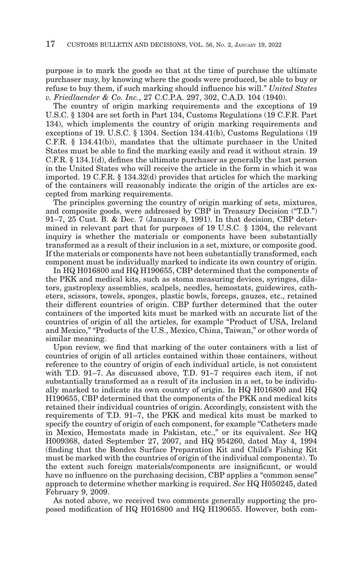purpose is to mark the goods so that at the time of purchase the ultimate purchaser may, by knowing where the goods were produced, be able to buy or refuse to buy them, if such marking should influence his will." *United States v. Friedlaender & Co. Inc.*, 27 C.C.P.A. 297, 302, C.A.D. 104 (1940).

The country of origin marking requirements and the exceptions of 19 U.S.C. § 1304 are set forth in Part 134, Customs Regulations (19 C.F.R. Part 134), which implements the country of origin marking requirements and exceptions of 19. U.S.C. § 1304. Section 134.41(b), Customs Regulations (19 C.F.R. § 134.41(b)), mandates that the ultimate purchaser in the United States must be able to find the marking easily and read it without strain. 19 C.F.R. § 134.1(d), defines the ultimate purchaser as generally the last person in the United States who will receive the article in the form in which it was imported. 19 C.F.R. § 134.32(d) provides that articles for which the marking of the containers will reasonably indicate the origin of the articles are excepted from marking requirements.

The principles governing the country of origin marking of sets, mixtures, and composite goods, were addressed by CBP in Treasury Decision ("T.D.") 91–7, 25 Cust. B. & Dec. 7 (January 8, 1991). In that decision, CBP determined in relevant part that for purposes of 19 U.S.C. § 1304, the relevant inquiry is whether the materials or components have been substantially transformed as a result of their inclusion in a set, mixture, or composite good. If the materials or components have not been substantially transformed, each component must be individually marked to indicate its own country of origin.

In HQ H016800 and HQ H190655, CBP determined that the components of the PKK and medical kits, such as stoma measuring devices, syringes, dilators, gastroplexy assemblies, scalpels, needles, hemostats, guidewires, catheters, scissors, towels, sponges, plastic bowls, forceps, gauzes, etc., retained their different countries of origin. CBP further determined that the outer containers of the imported kits must be marked with an accurate list of the countries of origin of all the articles, for example "Product of USA, Ireland and Mexico," "Products of the U.S., Mexico, China, Taiwan," or other words of similar meaning.

Upon review, we find that marking of the outer containers with a list of countries of origin of all articles contained within those containers, without reference to the country of origin of each individual article, is not consistent with T.D. 91–7. As discussed above, T.D. 91–7 requires each item, if not substantially transformed as a result of its inclusion in a set, to be individually marked to indicate its own country of origin. In HQ H016800 and HQ H190655, CBP determined that the components of the PKK and medical kits retained their individual countries of origin. Accordingly, consistent with the requirements of T.D. 91–7, the PKK and medical kits must be marked to specify the country of origin of each component, for example "Catheters made in Mexico, Hemostats made in Pakistan, etc.," or its equivalent. *See* HQ H009368, dated September 27, 2007, and HQ 954260, dated May 4, 1994 (finding that the Bondex Surface Preparation Kit and Child's Fishing Kit must be marked with the countries of origin of the individual components). To the extent such foreign materials/components are insignificant, or would have no influence on the purchasing decision, CBP applies a "common sense" approach to determine whether marking is required. *See* HQ H050245, dated February 9, 2009.

As noted above, we received two comments generally supporting the proposed modification of HQ H016800 and HQ H190655. However, both com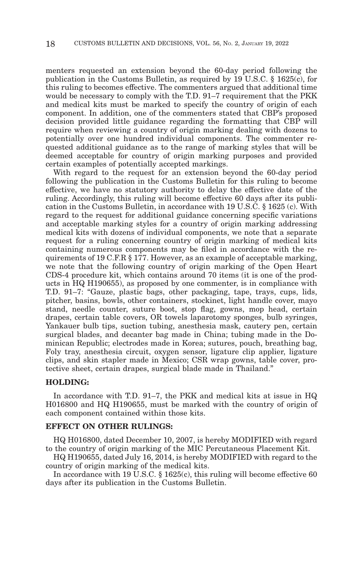menters requested an extension beyond the 60-day period following the publication in the Customs Bulletin, as required by 19 U.S.C. § 1625(c), for this ruling to becomes effective. The commenters argued that additional time would be necessary to comply with the T.D. 91–7 requirement that the PKK and medical kits must be marked to specify the country of origin of each component. In addition, one of the commenters stated that CBP's proposed decision provided little guidance regarding the formatting that CBP will require when reviewing a country of origin marking dealing with dozens to potentially over one hundred individual components. The commenter requested additional guidance as to the range of marking styles that will be deemed acceptable for country of origin marking purposes and provided certain examples of potentially accepted markings.

With regard to the request for an extension beyond the 60-day period following the publication in the Customs Bulletin for this ruling to become effective, we have no statutory authority to delay the effective date of the ruling. Accordingly, this ruling will become effective 60 days after its publication in the Customs Bulletin, in accordance with 19 U.S.C. § 1625 (c). With regard to the request for additional guidance concerning specific variations and acceptable marking styles for a country of origin marking addressing medical kits with dozens of individual components, we note that a separate request for a ruling concerning country of origin marking of medical kits containing numerous components may be filed in accordance with the requirements of 19 C.F.R § 177. However, as an example of acceptable marking, we note that the following country of origin marking of the Open Heart CDS-4 procedure kit, which contains around 70 items (it is one of the products in HQ H190655), as proposed by one commenter, is in compliance with T.D. 91–7: "Gauze, plastic bags, other packaging, tape, trays, cups, lids, pitcher, basins, bowls, other containers, stockinet, light handle cover, mayo stand, needle counter, suture boot, stop flag, gowns, mop head, certain drapes, certain table covers, OR towels laparotomy sponges, bulb syringes, Yankauer bulb tips, suction tubing, anesthesia mask, cautery pen, certain surgical blades, and decanter bag made in China; tubing made in the Dominican Republic; electrodes made in Korea; sutures, pouch, breathing bag, Foly tray, anesthesia circuit, oxygen sensor, ligature clip applier, ligature clips, and skin stapler made in Mexico; CSR wrap gowns, table cover, protective sheet, certain drapes, surgical blade made in Thailand."

#### **HOLDING:**

In accordance with T.D. 91–7, the PKK and medical kits at issue in HQ H016800 and HQ H190655, must be marked with the country of origin of each component contained within those kits.

#### **EFFECT ON OTHER RULINGS:**

HQ H016800, dated December 10, 2007, is hereby MODIFIED with regard to the country of origin marking of the MIC Percutaneous Placement Kit.

HQ H190655, dated July 16, 2014, is hereby MODIFIED with regard to the country of origin marking of the medical kits.

In accordance with 19 U.S.C. § 1625(c), this ruling will become effective 60 days after its publication in the Customs Bulletin.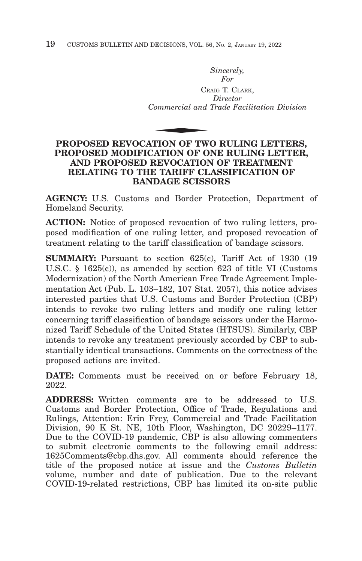*Sincerely, For* CRAIG T. CLARK, *Director Commercial and Trade Facilitation Division* CR<br>
Commercial and<br>
TION OF TW

# **PROPOSED REVOCATION OF TWO RULING LETTERS, PROPOSED MODIFICATION OF ONE RULING LETTER, AND PROPOSED REVOCATION OF TREATMENT RELATING TO THE TARIFF CLASSIFICATION OF BANDAGE SCISSORS**

**AGENCY:** U.S. Customs and Border Protection, Department of Homeland Security.

**ACTION:** Notice of proposed revocation of two ruling letters, proposed modification of one ruling letter, and proposed revocation of treatment relating to the tariff classification of bandage scissors.

**SUMMARY:** Pursuant to section 625(c), Tariff Act of 1930 (19) U.S.C. § 1625(c)), as amended by section 623 of title VI (Customs Modernization) of the North American Free Trade Agreement Implementation Act (Pub. L. 103–182, 107 Stat. 2057), this notice advises interested parties that U.S. Customs and Border Protection (CBP) intends to revoke two ruling letters and modify one ruling letter concerning tariff classification of bandage scissors under the Harmonized Tariff Schedule of the United States (HTSUS). Similarly, CBP intends to revoke any treatment previously accorded by CBP to substantially identical transactions. Comments on the correctness of the proposed actions are invited.

**DATE:** Comments must be received on or before February 18, 2022.

**ADDRESS:** Written comments are to be addressed to U.S. Customs and Border Protection, Office of Trade, Regulations and Rulings, Attention: Erin Frey, Commercial and Trade Facilitation Division, 90 K St. NE, 10th Floor, Washington, DC 20229–1177. Due to the COVID-19 pandemic, CBP is also allowing commenters to submit electronic comments to the following email address: 1625Comments@cbp.dhs.gov. All comments should reference the title of the proposed notice at issue and the *Customs Bulletin* volume, number and date of publication. Due to the relevant COVID-19-related restrictions, CBP has limited its on-site public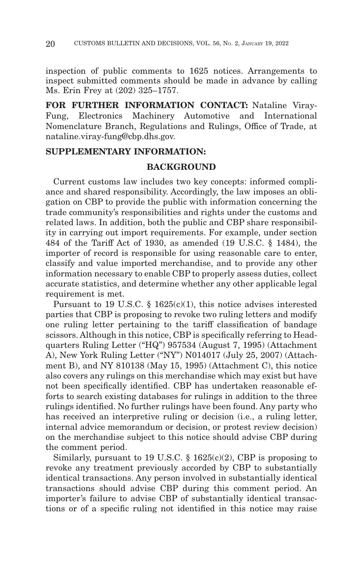inspection of public comments to 1625 notices. Arrangements to inspect submitted comments should be made in advance by calling Ms. Erin Frey at (202) 325–1757.

**FOR FURTHER INFORMATION CONTACT:** Nataline Viray-Fung, Electronics Machinery Automotive and International Nomenclature Branch, Regulations and Rulings, Office of Trade, at nataline.viray-fung@cbp.dhs.gov.

# **SUPPLEMENTARY INFORMATION:**

# **BACKGROUND**

Current customs law includes two key concepts: informed compliance and shared responsibility. Accordingly, the law imposes an obligation on CBP to provide the public with information concerning the trade community's responsibilities and rights under the customs and related laws. In addition, both the public and CBP share responsibility in carrying out import requirements. For example, under section 484 of the Tariff Act of 1930, as amended (19 U.S.C. § 1484), the importer of record is responsible for using reasonable care to enter, classify and value imported merchandise, and to provide any other information necessary to enable CBP to properly assess duties, collect accurate statistics, and determine whether any other applicable legal requirement is met.

Pursuant to 19 U.S.C. § 1625(c)(1), this notice advises interested parties that CBP is proposing to revoke two ruling letters and modify one ruling letter pertaining to the tariff classification of bandage scissors. Although in this notice, CBP is specifically referring to Headquarters Ruling Letter ("HQ") 957534 (August 7, 1995) (Attachment A), New York Ruling Letter ("NY") N014017 (July 25, 2007) (Attachment B), and NY 810138 (May 15, 1995) (Attachment C), this notice also covers any rulings on this merchandise which may exist but have not been specifically identified. CBP has undertaken reasonable efforts to search existing databases for rulings in addition to the three rulings identified. No further rulings have been found. Any party who has received an interpretive ruling or decision (i.e., a ruling letter, internal advice memorandum or decision, or protest review decision) on the merchandise subject to this notice should advise CBP during the comment period.

Similarly, pursuant to 19 U.S.C.  $\S$  1625(c)(2), CBP is proposing to revoke any treatment previously accorded by CBP to substantially identical transactions. Any person involved in substantially identical transactions should advise CBP during this comment period. An importer's failure to advise CBP of substantially identical transactions or of a specific ruling not identified in this notice may raise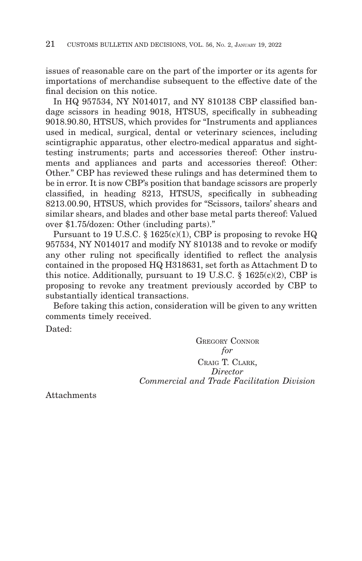issues of reasonable care on the part of the importer or its agents for importations of merchandise subsequent to the effective date of the final decision on this notice.

In HQ 957534, NY N014017, and NY 810138 CBP classified bandage scissors in heading 9018, HTSUS, specifically in subheading 9018.90.80, HTSUS, which provides for "Instruments and appliances used in medical, surgical, dental or veterinary sciences, including scintigraphic apparatus, other electro-medical apparatus and sighttesting instruments; parts and accessories thereof: Other instruments and appliances and parts and accessories thereof: Other: Other." CBP has reviewed these rulings and has determined them to be in error. It is now CBP's position that bandage scissors are properly classified, in heading 8213, HTSUS, specifically in subheading 8213.00.90, HTSUS, which provides for "Scissors, tailors' shears and similar shears, and blades and other base metal parts thereof: Valued over \$1.75/dozen: Other (including parts)."

Pursuant to 19 U.S.C. § 1625(c)(1), CBP is proposing to revoke HQ 957534, NY N014017 and modify NY 810138 and to revoke or modify any other ruling not specifically identified to reflect the analysis contained in the proposed HQ H318631, set forth as Attachment D to this notice. Additionally, pursuant to 19 U.S.C. § 1625(c)(2), CBP is proposing to revoke any treatment previously accorded by CBP to substantially identical transactions.

Before taking this action, consideration will be given to any written comments timely received.

Dated:

GREGORY CONNOR *for* CRAIG T. CLARK, *Director Commercial and Trade Facilitation Division*

Attachments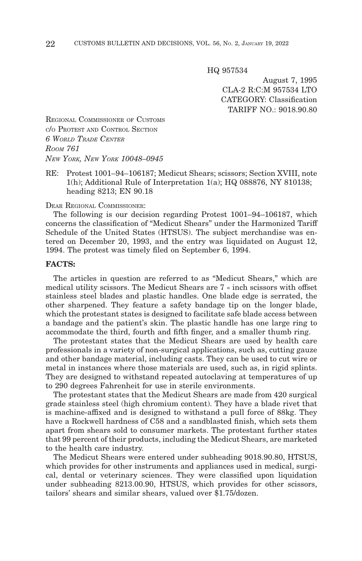HQ 957534

August 7, 1995 CLA-2 R:C:M 957534 LTO CATEGORY: Classification TARIFF NO.: 9018.90.80

REGIONAL COMMISSIONER OF CUSTOMS C/O PROTEST AND CONTROL SECTION *6 WORLD TRADE CENTER ROOM 761 NEW YORK, NEW YORK 10048–0945*

RE: Protest 1001–94–106187; Medicut Shears; scissors; Section XVIII, note 1(h); Additional Rule of Interpretation 1(a); HQ 088876, NY 810138; heading 8213; EN 90.18

DEAR REGIONAL COMMISSIONER:

The following is our decision regarding Protest 1001–94–106187, which concerns the classification of "Medicut Shears" under the Harmonized Tariff Schedule of the United States (HTSUS). The subject merchandise was entered on December 20, 1993, and the entry was liquidated on August 12, 1994. The protest was timely filed on September 6, 1994.

### **FACTS:**

The articles in question are referred to as "Medicut Shears," which are medical utility scissors. The Medicut Shears are 7 « inch scissors with offset stainless steel blades and plastic handles. One blade edge is serrated, the other sharpened. They feature a safety bandage tip on the longer blade, which the protestant states is designed to facilitate safe blade access between a bandage and the patient's skin. The plastic handle has one large ring to accommodate the third, fourth and fifth finger, and a smaller thumb ring.

The protestant states that the Medicut Shears are used by health care professionals in a variety of non-surgical applications, such as, cutting gauze and other bandage material, including casts. They can be used to cut wire or metal in instances where those materials are used, such as, in rigid splints. They are designed to withstand repeated autoclaving at temperatures of up to 290 degrees Fahrenheit for use in sterile environments.

The protestant states that the Medicut Shears are made from 420 surgical grade stainless steel (high chromium content). They have a blade rivet that is machine-affixed and is designed to withstand a pull force of 88kg. They have a Rockwell hardness of C58 and a sandblasted finish, which sets them apart from shears sold to consumer markets. The protestant further states that 99 percent of their products, including the Medicut Shears, are marketed to the health care industry.

The Medicut Shears were entered under subheading 9018.90.80, HTSUS, which provides for other instruments and appliances used in medical, surgical, dental or veterinary sciences. They were classified upon liquidation under subheading 8213.00.90, HTSUS, which provides for other scissors, tailors' shears and similar shears, valued over \$1.75/dozen.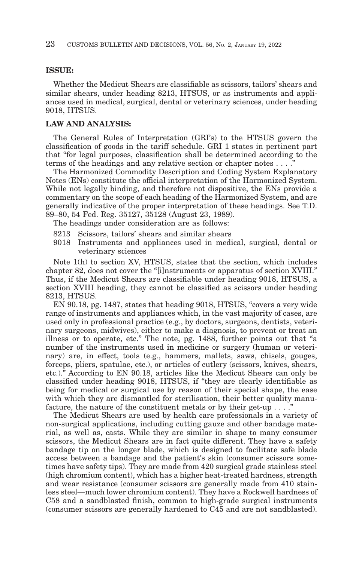# **ISSUE:**

Whether the Medicut Shears are classifiable as scissors, tailors' shears and similar shears, under heading 8213, HTSUS, or as instruments and appliances used in medical, surgical, dental or veterinary sciences, under heading 9018, HTSUS.

#### **LAW AND ANALYSIS:**

The General Rules of Interpretation (GRI's) to the HTSUS govern the classification of goods in the tariff schedule. GRI 1 states in pertinent part that "for legal purposes, classification shall be determined according to the terms of the headings and any relative section or chapter notes  $\dots$ .

The Harmonized Commodity Description and Coding System Explanatory Notes (ENs) constitute the official interpretation of the Harmonized System. While not legally binding, and therefore not dispositive, the ENs provide a commentary on the scope of each heading of the Harmonized System, and are generally indicative of the proper interpretation of these headings. See T.D. 89–80, 54 Fed. Reg. 35127, 35128 (August 23, 1989).

The headings under consideration are as follows:

- 8213 Scissors, tailors' shears and similar shears
- 9018 Instruments and appliances used in medical, surgical, dental or veterinary sciences

Note 1(h) to section XV, HTSUS, states that the section, which includes chapter 82, does not cover the "[i]nstruments or apparatus of section XVIII." Thus, if the Medicut Shears are classifiable under heading 9018, HTSUS, a section XVIII heading, they cannot be classified as scissors under heading 8213, HTSUS.

EN 90.18, pg. 1487, states that heading 9018, HTSUS, "covers a very wide range of instruments and appliances which, in the vast majority of cases, are used only in professional practice (e.g., by doctors, surgeons, dentists, veterinary surgeons, midwives), either to make a diagnosis, to prevent or treat an illness or to operate, etc." The note, pg. 1488, further points out that "a number of the instruments used in medicine or surgery (human or veterinary) are, in effect, tools (e.g., hammers, mallets, saws, chisels, gouges, forceps, pliers, spatulae, etc.), or articles of cutlery (scissors, knives, shears, etc.)." According to EN 90.18, articles like the Medicut Shears can only be classified under heading 9018, HTSUS, if "they are clearly identifiable as being for medical or surgical use by reason of their special shape, the ease with which they are dismantled for sterilisation, their better quality manufacture, the nature of the constituent metals or by their get-up . . . ."

The Medicut Shears are used by health care professionals in a variety of non-surgical applications, including cutting gauze and other bandage material, as well as, casts. While they are similar in shape to many consumer scissors, the Medicut Shears are in fact quite different. They have a safety bandage tip on the longer blade, which is designed to facilitate safe blade access between a bandage and the patient's skin (consumer scissors sometimes have safety tips). They are made from 420 surgical grade stainless steel (high chromium content), which has a higher heat-treated hardness, strength and wear resistance (consumer scissors are generally made from 410 stainless steel—much lower chromium content). They have a Rockwell hardness of C58 and a sandblasted finish, common to high-grade surgical instruments (consumer scissors are generally hardened to C45 and are not sandblasted).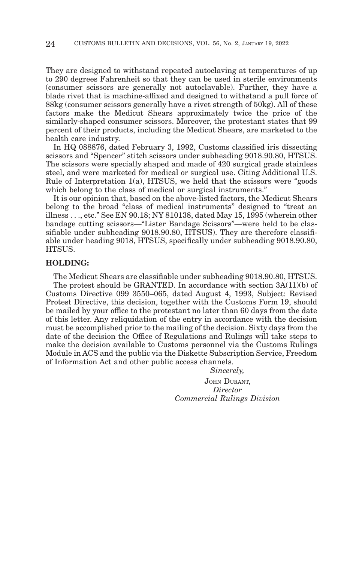They are designed to withstand repeated autoclaving at temperatures of up to 290 degrees Fahrenheit so that they can be used in sterile environments (consumer scissors are generally not autoclavable). Further, they have a blade rivet that is machine-affixed and designed to withstand a pull force of 88kg (consumer scissors generally have a rivet strength of 50kg). All of these factors make the Medicut Shears approximately twice the price of the similarly-shaped consumer scissors. Moreover, the protestant states that 99 percent of their products, including the Medicut Shears, are marketed to the health care industry.

In HQ 088876, dated February 3, 1992, Customs classified iris dissecting scissors and "Spencer" stitch scissors under subheading 9018.90.80, HTSUS. The scissors were specially shaped and made of 420 surgical grade stainless steel, and were marketed for medical or surgical use. Citing Additional U.S. Rule of Interpretation  $1(a)$ , HTSUS, we held that the scissors were "goods" which belong to the class of medical or surgical instruments."

It is our opinion that, based on the above-listed factors, the Medicut Shears belong to the broad "class of medical instruments" designed to "treat an illness . . ., etc." See EN 90.18; NY 810138, dated May 15, 1995 (wherein other bandage cutting scissors—"Lister Bandage Scissors"—were held to be classifiable under subheading 9018.90.80, HTSUS). They are therefore classifiable under heading 9018, HTSUS, specifically under subheading 9018.90.80, HTSUS.

# **HOLDING:**

The Medicut Shears are classifiable under subheading 9018.90.80, HTSUS. The protest should be GRANTED. In accordance with section 3A(11)(b) of Customs Directive 099 3550–065, dated August 4, 1993, Subject: Revised Protest Directive, this decision, together with the Customs Form 19, should be mailed by your office to the protestant no later than 60 days from the date of this letter. Any reliquidation of the entry in accordance with the decision must be accomplished prior to the mailing of the decision. Sixty days from the date of the decision the Office of Regulations and Rulings will take steps to make the decision available to Customs personnel via the Customs Rulings Module in ACS and the public via the Diskette Subscription Service, Freedom of Information Act and other public access channels.

> *Sincerely,* JOHN DURANT, *Director Commercial Rulings Division*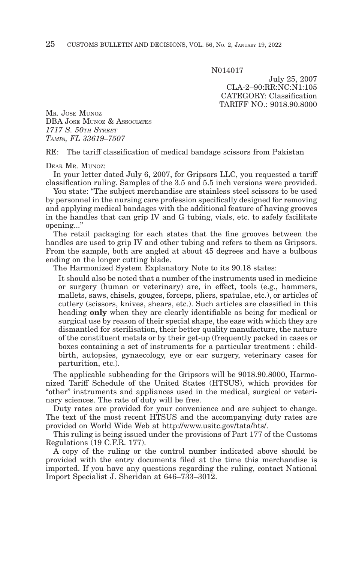N014017

July 25, 2007 CLA-2–90:RR:NC:N1:105 CATEGORY: Classification TARIFF NO.: 9018.90.8000

MR. JOSE MUNOZ DBA JOSE MUNOZ & ASSOCIATES *1717 S. 50TH STREET TAMPA, FL 33619–7507*

RE: The tariff classification of medical bandage scissors from Pakistan

DEAR MR. MUNOZ:

In your letter dated July 6, 2007, for Gripsors LLC, you requested a tariff classification ruling. Samples of the 3.5 and 5.5 inch versions were provided.

You state: "The subject merchandise are stainless steel scissors to be used by personnel in the nursing care profession specifically designed for removing and applying medical bandages with the additional feature of having grooves in the handles that can grip IV and G tubing, vials, etc. to safely facilitate opening..."

The retail packaging for each states that the fine grooves between the handles are used to grip IV and other tubing and refers to them as Gripsors. From the sample, both are angled at about 45 degrees and have a bulbous ending on the longer cutting blade.

The Harmonized System Explanatory Note to its 90.18 states:

It should also be noted that a number of the instruments used in medicine or surgery (human or veterinary) are, in effect, tools (e.g., hammers, mallets, saws, chisels, gouges, forceps, pliers, spatulae, etc.), or articles of cutlery (scissors, knives, shears, etc.). Such articles are classified in this heading **only** when they are clearly identifiable as being for medical or surgical use by reason of their special shape, the ease with which they are dismantled for sterilisation, their better quality manufacture, the nature of the constituent metals or by their get-up (frequently packed in cases or boxes containing a set of instruments for a particular treatment : childbirth, autopsies, gynaecology, eye or ear surgery, veterinary cases for parturition, etc.).

The applicable subheading for the Gripsors will be 9018.90.8000, Harmonized Tariff Schedule of the United States (HTSUS), which provides for "other" instruments and appliances used in the medical, surgical or veterinary sciences. The rate of duty will be free.

Duty rates are provided for your convenience and are subject to change. The text of the most recent HTSUS and the accompanying duty rates are provided on World Wide Web at http://www.usitc.gov/tata/hts/.

This ruling is being issued under the provisions of Part 177 of the Customs Regulations (19 C.F.R. 177).

A copy of the ruling or the control number indicated above should be provided with the entry documents filed at the time this merchandise is imported. If you have any questions regarding the ruling, contact National Import Specialist J. Sheridan at 646–733–3012.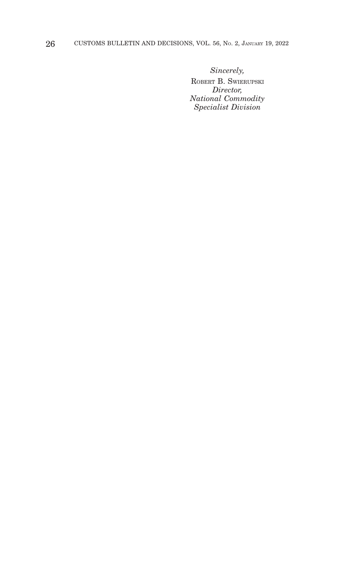*Sincerely,*

ROBERT B. SWIERUPSKI *Director, National Commodity Specialist Division*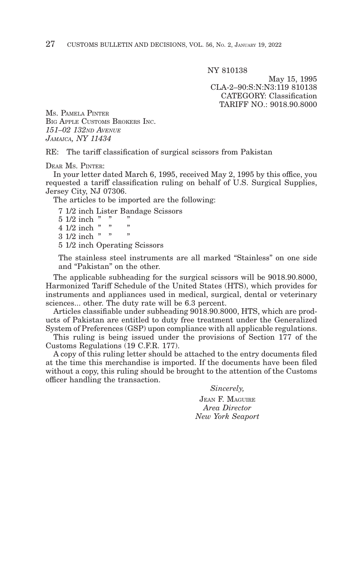NY 810138

May 15, 1995 CLA-2–90:S:N:N3:119 810138 CATEGORY: Classification TARIFF NO.: 9018.90.8000

MS. PAMELA PINTER BIG APPLE CUSTOMS BROKERS INC. *151–02 132ND AVENUE JAMAICA, NY 11434*

RE: The tariff classification of surgical scissors from Pakistan

DEAR MS. PINTER:

In your letter dated March 6, 1995, received May 2, 1995 by this office, you requested a tariff classification ruling on behalf of U.S. Surgical Supplies, Jersey City, NJ 07306.

The articles to be imported are the following:

7 1/2 inch Lister Bandage Scissors  $5 \frac{1}{2}$  inch " " "  $4 \frac{1}{2}$  inch "  $3 \frac{1}{2}$  inch " 5 1/2 inch Operating Scissors

The stainless steel instruments are all marked "Stainless" on one side and "Pakistan" on the other.

The applicable subheading for the surgical scissors will be 9018.90.8000, Harmonized Tariff Schedule of the United States (HTS), which provides for instruments and appliances used in medical, surgical, dental or veterinary sciences... other. The duty rate will be 6.3 percent.

Articles classifiable under subheading 9018.90.8000, HTS, which are products of Pakistan are entitled to duty free treatment under the Generalized System of Preferences (GSP) upon compliance with all applicable regulations.

This ruling is being issued under the provisions of Section 177 of the Customs Regulations (19 C.F.R. 177).

A copy of this ruling letter should be attached to the entry documents filed at the time this merchandise is imported. If the documents have been filed without a copy, this ruling should be brought to the attention of the Customs officer handling the transaction.

*Sincerely,*

JEAN F. MAGUIRE *Area Director New York Seaport*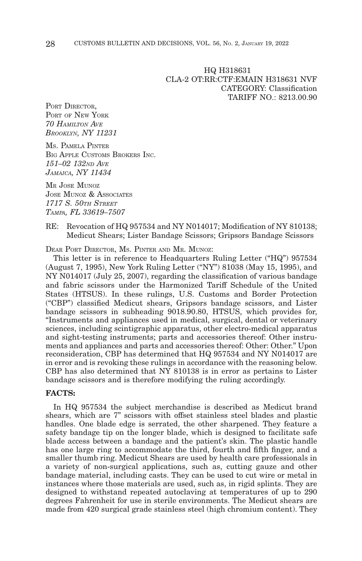HQ H318631 CLA-2 OT:RR:CTF:EMAIN H318631 NVF CATEGORY: Classification TARIFF NO.: 8213.00.90

PORT DIRECTOR. PORT OF NEW YORK *70 HAMILTON AVE BROOKLYN, NY 11231*

MS. PAMELA PINTER BIG APPLE CUSTOMS BROKERS INC. *151–02 132ND AVE JAMAICA, NY 11434*

MR JOSE MUNOZ JOSE MUNOZ & ASSOCIATES *1717 S. 50TH STREET TAMPA, FL 33619–7507*

# RE: Revocation of HQ 957534 and NY N014017; Modification of NY 810138; Medicut Shears; Lister Bandage Scissors; Gripsors Bandage Scissors

DEAR PORT DIRECTOR, MS. PINTER AND MR. MUNOZ:

This letter is in reference to Headquarters Ruling Letter ("HQ") 957534 (August 7, 1995), New York Ruling Letter ("NY") 81038 (May 15, 1995), and NY N014017 (July 25, 2007), regarding the classification of various bandage and fabric scissors under the Harmonized Tariff Schedule of the United States (HTSUS). In these rulings, U.S. Customs and Border Protection ("CBP") classified Medicut shears, Gripsors bandage scissors, and Lister bandage scissors in subheading 9018.90.80, HTSUS, which provides for, "Instruments and appliances used in medical, surgical, dental or veterinary sciences, including scintigraphic apparatus, other electro-medical apparatus and sight-testing instruments; parts and accessories thereof: Other instruments and appliances and parts and accessories thereof: Other: Other." Upon reconsideration, CBP has determined that HQ 957534 and NY N014017 are in error and is revoking these rulings in accordance with the reasoning below. CBP has also determined that NY 810138 is in error as pertains to Lister bandage scissors and is therefore modifying the ruling accordingly.

# **FACTS:**

In HQ 957534 the subject merchandise is described as Medicut brand shears, which are 7" scissors with offset stainless steel blades and plastic handles. One blade edge is serrated, the other sharpened. They feature a safety bandage tip on the longer blade, which is designed to facilitate safe blade access between a bandage and the patient's skin. The plastic handle has one large ring to accommodate the third, fourth and fifth finger, and a smaller thumb ring. Medicut Shears are used by health care professionals in a variety of non-surgical applications, such as, cutting gauze and other bandage material, including casts. They can be used to cut wire or metal in instances where those materials are used, such as, in rigid splints. They are designed to withstand repeated autoclaving at temperatures of up to 290 degrees Fahrenheit for use in sterile environments. The Medicut shears are made from 420 surgical grade stainless steel (high chromium content). They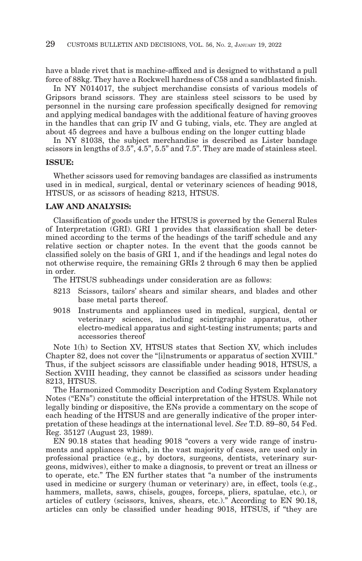have a blade rivet that is machine-affixed and is designed to withstand a pull force of 88kg. They have a Rockwell hardness of C58 and a sandblasted finish.

In NY N014017, the subject merchandise consists of various models of Gripsors brand scissors. They are stainless steel scissors to be used by personnel in the nursing care profession specifically designed for removing and applying medical bandages with the additional feature of having grooves in the handles that can grip IV and G tubing, vials, etc. They are angled at about 45 degrees and have a bulbous ending on the longer cutting blade

In NY 81038, the subject merchandise is described as Lister bandage scissors in lengths of 3.5", 4.5", 5.5" and 7.5". They are made of stainless steel.

#### **ISSUE:**

Whether scissors used for removing bandages are classified as instruments used in in medical, surgical, dental or veterinary sciences of heading 9018, HTSUS, or as scissors of heading 8213, HTSUS.

### **LAW AND ANALYSIS:**

Classification of goods under the HTSUS is governed by the General Rules of Interpretation (GRI). GRI 1 provides that classification shall be determined according to the terms of the headings of the tariff schedule and any relative section or chapter notes. In the event that the goods cannot be classified solely on the basis of GRI 1, and if the headings and legal notes do not otherwise require, the remaining GRIs 2 through 6 may then be applied in order.

The HTSUS subheadings under consideration are as follows:

- 8213 Scissors, tailors' shears and similar shears, and blades and other base metal parts thereof.
- 9018 Instruments and appliances used in medical, surgical, dental or veterinary sciences, including scintigraphic apparatus, other electro-medical apparatus and sight-testing instruments; parts and accessories thereof

Note 1(h) to Section XV, HTSUS states that Section XV, which includes Chapter 82, does not cover the "[i]nstruments or apparatus of section XVIII." Thus, if the subject scissors are classifiable under heading 9018, HTSUS, a Section XVIII heading, they cannot be classified as scissors under heading 8213, HTSUS.

The Harmonized Commodity Description and Coding System Explanatory Notes ("ENs") constitute the official interpretation of the HTSUS. While not legally binding or dispositive, the ENs provide a commentary on the scope of each heading of the HTSUS and are generally indicative of the proper interpretation of these headings at the international level. *See* T.D. 89–80, 54 Fed. Reg. 35127 (August 23, 1989).

EN 90.18 states that heading 9018 "covers a very wide range of instruments and appliances which, in the vast majority of cases, are used only in professional practice (e.g., by doctors, surgeons, dentists, veterinary surgeons, midwives), either to make a diagnosis, to prevent or treat an illness or to operate, etc." The EN further states that "a number of the instruments used in medicine or surgery (human or veterinary) are, in effect, tools (e.g., hammers, mallets, saws, chisels, gouges, forceps, pliers, spatulae, etc.), or articles of cutlery (scissors, knives, shears, etc.)." According to EN 90.18, articles can only be classified under heading 9018, HTSUS, if "they are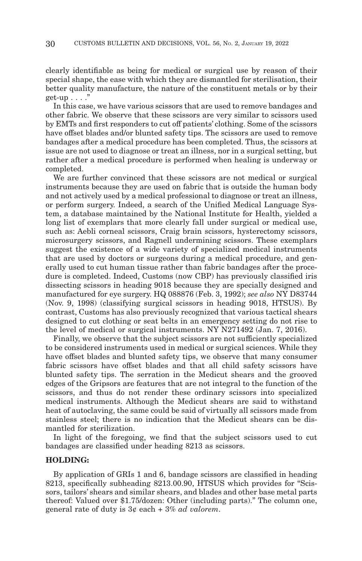clearly identifiable as being for medical or surgical use by reason of their special shape, the ease with which they are dismantled for sterilisation, their better quality manufacture, the nature of the constituent metals or by their get-up  $\ldots$  ."

In this case, we have various scissors that are used to remove bandages and other fabric. We observe that these scissors are very similar to scissors used by EMTs and first responders to cut off patients' clothing. Some of the scissors have offset blades and/or blunted safety tips. The scissors are used to remove bandages after a medical procedure has been completed. Thus, the scissors at issue are not used to diagnose or treat an illness, nor in a surgical setting, but rather after a medical procedure is performed when healing is underway or completed.

We are further convinced that these scissors are not medical or surgical instruments because they are used on fabric that is outside the human body and not actively used by a medical professional to diagnose or treat an illness, or perform surgery. Indeed, a search of the Unified Medical Language System, a database maintained by the National Institute for Health, yielded a long list of exemplars that more clearly fall under surgical or medical use, such as: Aebli corneal scissors, Craig brain scissors, hysterectomy scissors, microsurgery scissors, and Ragnell undermining scissors. These exemplars suggest the existence of a wide variety of specialized medical instruments that are used by doctors or surgeons during a medical procedure, and generally used to cut human tissue rather than fabric bandages after the procedure is completed. Indeed, Customs (now CBP) has previously classified iris dissecting scissors in heading 9018 because they are specially designed and manufactured for eye surgery. HQ 088876 (Feb. 3, 1992); *see also* NY D83744 (Nov. 9, 1998) (classifying surgical scissors in heading 9018, HTSUS). By contrast, Customs has also previously recognized that various tactical shears designed to cut clothing or seat belts in an emergency setting do not rise to the level of medical or surgical instruments. NY N271492 (Jan. 7, 2016).

Finally, we observe that the subject scissors are not sufficiently specialized to be considered instruments used in medical or surgical sciences. While they have offset blades and blunted safety tips, we observe that many consumer fabric scissors have offset blades and that all child safety scissors have blunted safety tips. The serration in the Medicut shears and the grooved edges of the Gripsors are features that are not integral to the function of the scissors, and thus do not render these ordinary scissors into specialized medical instruments. Although the Medicut shears are said to withstand heat of autoclaving, the same could be said of virtually all scissors made from stainless steel; there is no indication that the Medicut shears can be dismantled for sterilization.

In light of the foregoing, we find that the subject scissors used to cut bandages are classified under heading 8213 as scissors.

# **HOLDING:**

By application of GRIs 1 and 6, bandage scissors are classified in heading 8213, specifically subheading 8213.00.90, HTSUS which provides for "Scissors, tailors' shears and similar shears, and blades and other base metal parts thereof: Valued over \$1.75/dozen: Other (including parts)." The column one, general rate of duty is 3¢ each + 3% *ad valorem*.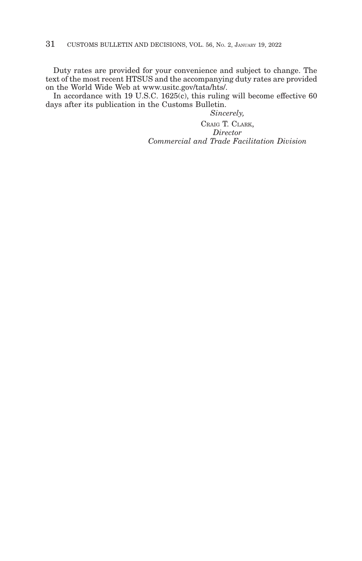Duty rates are provided for your convenience and subject to change. The text of the most recent HTSUS and the accompanying duty rates are provided on the World Wide Web at www.usitc.gov/tata/hts/.

In accordance with 19 U.S.C. 1625(c), this ruling will become effective 60 days after its publication in the Customs Bulletin.

*Sincerely,*

CRAIG T. CLARK, *Director Commercial and Trade Facilitation Division*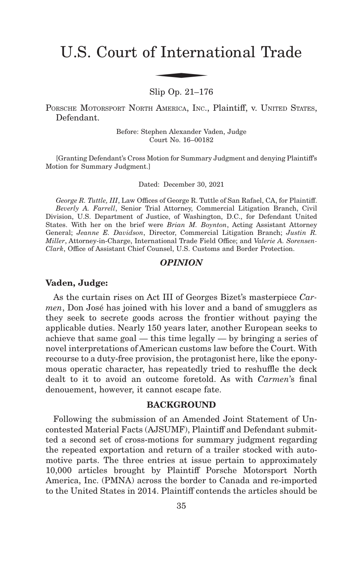# U.S. Court of International Trade f Interna

Slip Op. 21–176

PORSCHE MOTORSPORT NORTH AMERICA, INC., Plaintiff, v. UNITED STATES, Defendant.

> Before: Stephen Alexander Vaden, Judge Court No. 16–00182

[Granting Defendant's Cross Motion for Summary Judgment and denying Plaintiff's Motion for Summary Judgment.]

Dated: December 30, 2021

*George R. Tuttle, III*, Law Offices of George R. Tuttle of San Rafael, CA, for Plaintiff. *Beverly A. Farrell*, Senior Trial Attorney, Commercial Litigation Branch, Civil Division, U.S. Department of Justice, of Washington, D.C., for Defendant United States. With her on the brief were *Brian M. Boynton*, Acting Assistant Attorney General; *Jeanne E. Davidson*, Director, Commercial Litigation Branch; *Justin R. Miller*, Attorney-in-Charge, International Trade Field Office; and *Valerie A. Sorensen-Clark*, Office of Assistant Chief Counsel, U.S. Customs and Border Protection.

# *OPINION*

## **Vaden, Judge:**

As the curtain rises on Act III of Georges Bizet's masterpiece *Carmen*, Don José has joined with his lover and a band of smugglers as they seek to secrete goods across the frontier without paying the applicable duties. Nearly 150 years later, another European seeks to achieve that same goal — this time legally — by bringing a series of novel interpretations of American customs law before the Court. With recourse to a duty-free provision, the protagonist here, like the eponymous operatic character, has repeatedly tried to reshuffle the deck dealt to it to avoid an outcome foretold. As with *Carmen*'s final denouement, however, it cannot escape fate.

# **BACKGROUND**

Following the submission of an Amended Joint Statement of Uncontested Material Facts (AJSUMF), Plaintiff and Defendant submitted a second set of cross-motions for summary judgment regarding the repeated exportation and return of a trailer stocked with automotive parts. The three entries at issue pertain to approximately 10,000 articles brought by Plaintiff Porsche Motorsport North America, Inc. (PMNA) across the border to Canada and re-imported to the United States in 2014. Plaintiff contends the articles should be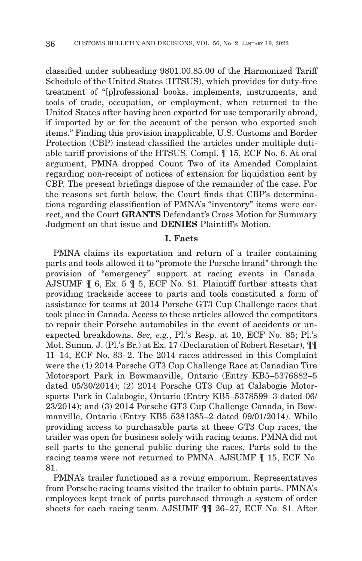classified under subheading 9801.00.85.00 of the Harmonized Tariff Schedule of the United States (HTSUS), which provides for duty-free treatment of "[p]rofessional books, implements, instruments, and tools of trade, occupation, or employment, when returned to the United States after having been exported for use temporarily abroad, if imported by or for the account of the person who exported such items." Finding this provision inapplicable, U.S. Customs and Border Protection (CBP) instead classified the articles under multiple dutiable tariff provisions of the HTSUS. Compl. ¶ 15, ECF No. 6. At oral argument, PMNA dropped Count Two of its Amended Complaint regarding non-receipt of notices of extension for liquidation sent by CBP. The present briefings dispose of the remainder of the case. For the reasons set forth below, the Court finds that CBP's determinations regarding classification of PMNA's "inventory" items were correct, and the Court **GRANTS** Defendant's Cross Motion for Summary Judgment on that issue and **DENIES** Plaintiff's Motion.

# **I. Facts**

PMNA claims its exportation and return of a trailer containing parts and tools allowed it to "promote the Porsche brand" through the provision of "emergency" support at racing events in Canada. AJSUMF ¶ 6, Ex. 5 ¶ 5, ECF No. 81. Plaintiff further attests that providing trackside access to parts and tools constituted a form of assistance for teams at 2014 Porsche GT3 Cup Challenge races that took place in Canada. Access to these articles allowed the competitors to repair their Porsche automobiles in the event of accidents or unexpected breakdowns. *See, e.g.*, Pl.'s Resp. at 10, ECF No. 85; Pl.'s Mot. Summ. J. (Pl.'s Br.) at Ex. 17 (Declaration of Robert Resetar), ¶¶ 11–14, ECF No. 83–2. The 2014 races addressed in this Complaint were the (1) 2014 Porsche GT3 Cup Challenge Race at Canadian Tire Motorsport Park in Bowmanville, Ontario (Entry KB5–5376882–5 dated 05/30/2014); (2) 2014 Porsche GT3 Cup at Calabogie Motorsports Park in Calabogie, Ontario (Entry KB5–5378599–3 dated 06/ 23/2014); and (3) 2014 Porsche GT3 Cup Challenge Canada, in Bowmanville, Ontario (Entry KB5 5381385–2 dated 09/01/2014). While providing access to purchasable parts at these GT3 Cup races, the trailer was open for business solely with racing teams. PMNA did not sell parts to the general public during the races. Parts sold to the racing teams were not returned to PMNA. AJSUMF ¶ 15, ECF No. 81.

PMNA's trailer functioned as a roving emporium. Representatives from Porsche racing teams visited the trailer to obtain parts. PMNA's employees kept track of parts purchased through a system of order sheets for each racing team. AJSUMF ¶¶ 26–27, ECF No. 81. After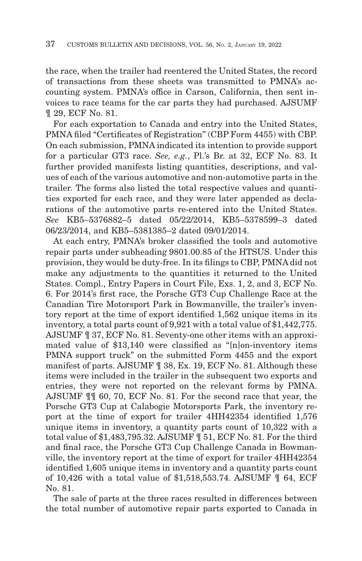the race, when the trailer had reentered the United States, the record of transactions from these sheets was transmitted to PMNA's accounting system. PMNA's office in Carson, California, then sent invoices to race teams for the car parts they had purchased. AJSUMF ¶ 29, ECF No. 81.

For each exportation to Canada and entry into the United States, PMNA filed "Certificates of Registration" (CBP Form 4455) with CBP. On each submission, PMNA indicated its intention to provide support for a particular GT3 race. *See, e.g.*, Pl.'s Br. at 32, ECF No. 83. It further provided manifests listing quantities, descriptions, and values of each of the various automotive and non-automotive parts in the trailer. The forms also listed the total respective values and quantities exported for each race, and they were later appended as declarations of the automotive parts re-entered into the United States. *See* KB5–5376882–5 dated 05/22/2014, KB5–5378599–3 dated 06/23/2014, and KB5–5381385–2 dated 09/01/2014.

At each entry, PMNA's broker classified the tools and automotive repair parts under subheading 9801.00.85 of the HTSUS. Under this provision, they would be duty-free. In its filings to CBP, PMNA did not make any adjustments to the quantities it returned to the United States. Compl., Entry Papers in Court File, Exs. 1, 2, and 3, ECF No. 6. For 2014's first race, the Porsche GT3 Cup Challenge Race at the Canadian Tire Motorsport Park in Bowmanville, the trailer's inventory report at the time of export identified 1,562 unique items in its inventory, a total parts count of 9,921 with a total value of \$1,442,775. AJSUMF ¶ 37, ECF No. 81. Seventy-one other items with an approximated value of \$13,140 were classified as "[n]on-inventory items PMNA support truck" on the submitted Form 4455 and the export manifest of parts. AJSUMF ¶ 38, Ex. 19, ECF No. 81. Although these items were included in the trailer in the subsequent two exports and entries, they were not reported on the relevant forms by PMNA. AJSUMF ¶¶ 60, 70, ECF No. 81. For the second race that year, the Porsche GT3 Cup at Calabogie Motorsports Park, the inventory report at the time of export for trailer 4HH42354 identified 1,576 unique items in inventory, a quantity parts count of 10,322 with a total value of \$1,483,795.32. AJSUMF ¶ 51, ECF No. 81. For the third and final race, the Porsche GT3 Cup Challenge Canada in Bowmanville, the inventory report at the time of export for trailer 4HH42354 identified 1,605 unique items in inventory and a quantity parts count of 10,426 with a total value of \$1,518,553.74. AJSUMF ¶ 64, ECF No. 81.

The sale of parts at the three races resulted in differences between the total number of automotive repair parts exported to Canada in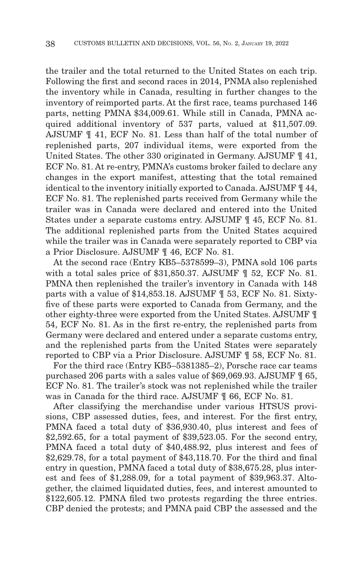the trailer and the total returned to the United States on each trip. Following the first and second races in 2014, PNMA also replenished the inventory while in Canada, resulting in further changes to the inventory of reimported parts. At the first race, teams purchased 146 parts, netting PMNA \$34,009.61. While still in Canada, PMNA acquired additional inventory of 537 parts, valued at \$11,507.09. AJSUMF ¶ 41, ECF No. 81. Less than half of the total number of replenished parts, 207 individual items, were exported from the United States. The other 330 originated in Germany. AJSUMF ¶ 41, ECF No. 81. At re-entry, PMNA's customs broker failed to declare any changes in the export manifest, attesting that the total remained identical to the inventory initially exported to Canada. AJSUMF ¶ 44, ECF No. 81. The replenished parts received from Germany while the trailer was in Canada were declared and entered into the United States under a separate customs entry. AJSUMF ¶ 45, ECF No. 81. The additional replenished parts from the United States acquired while the trailer was in Canada were separately reported to CBP via a Prior Disclosure. AJSUMF ¶ 46, ECF No. 81.

At the second race (Entry KB5–5378599–3), PMNA sold 106 parts with a total sales price of \$31,850.37. AJSUMF ¶ 52, ECF No. 81. PMNA then replenished the trailer's inventory in Canada with 148 parts with a value of \$14,853.18. AJSUMF ¶ 53, ECF No. 81. Sixtyfive of these parts were exported to Canada from Germany, and the other eighty-three were exported from the United States. AJSUMF ¶ 54, ECF No. 81. As in the first re-entry, the replenished parts from Germany were declared and entered under a separate customs entry, and the replenished parts from the United States were separately reported to CBP via a Prior Disclosure. AJSUMF ¶ 58, ECF No. 81.

For the third race (Entry KB5–5381385–2), Porsche race car teams purchased 206 parts with a sales value of \$69,069.93. AJSUMF ¶ 65, ECF No. 81. The trailer's stock was not replenished while the trailer was in Canada for the third race. AJSUMF ¶ 66, ECF No. 81.

After classifying the merchandise under various HTSUS provisions, CBP assessed duties, fees, and interest. For the first entry, PMNA faced a total duty of \$36,930.40, plus interest and fees of \$2,592.65, for a total payment of \$39,523.05. For the second entry, PMNA faced a total duty of \$40,488.92, plus interest and fees of \$2,629.78, for a total payment of \$43,118.70. For the third and final entry in question, PMNA faced a total duty of \$38,675.28, plus interest and fees of \$1,288.09, for a total payment of \$39,963.37. Altogether, the claimed liquidated duties, fees, and interest amounted to \$122,605.12. PMNA filed two protests regarding the three entries. CBP denied the protests; and PMNA paid CBP the assessed and the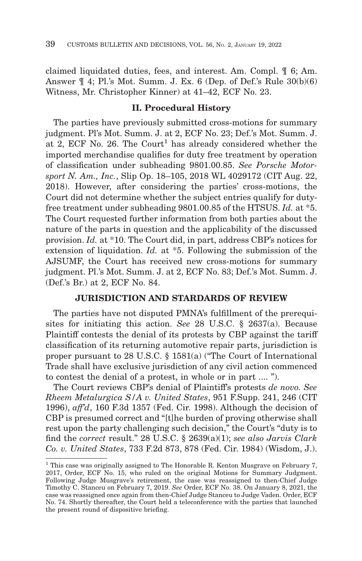claimed liquidated duties, fees, and interest. Am. Compl. ¶ 6; Am. Answer ¶ 4; Pl.'s Mot. Summ. J. Ex. 6 (Dep. of Def.'s Rule 30(b)(6) Witness, Mr. Christopher Kinner) at 41–42, ECF No. 23.

# **II. Procedural History**

The parties have previously submitted cross-motions for summary judgment. Pl's Mot. Summ. J. at 2, ECF No. 23; Def.'s Mot. Summ. J. at 2, ECF No. 26. The Court<sup>1</sup> has already considered whether the imported merchandise qualifies for duty free treatment by operation of classification under subheading 9801.00.85. *See Porsche Motorsport N. Am., Inc.*, Slip Op. 18–105, 2018 WL 4029172 (CIT Aug. 22, 2018). However, after considering the parties' cross-motions, the Court did not determine whether the subject entries qualify for dutyfree treatment under subheading 9801.00.85 of the HTSUS. *Id.* at \*5. The Court requested further information from both parties about the nature of the parts in question and the applicability of the discussed provision. *Id.* at \*10. The Court did, in part, address CBP's notices for extension of liquidation. *Id.* at \*5. Following the submission of the AJSUMF, the Court has received new cross-motions for summary judgment. Pl.'s Mot. Summ. J. at 2, ECF No. 83; Def.'s Mot. Summ. J. (Def.'s Br.) at 2, ECF No. 84.

# **JURISDICTION AND STARDARDS OF REVIEW**

The parties have not disputed PMNA's fulfillment of the prerequisites for initiating this action. *See* 28 U.S.C. § 2637(a). Because Plaintiff contests the denial of its protests by CBP against the tariff classification of its returning automotive repair parts, jurisdiction is proper pursuant to 28 U.S.C. § 1581(a) ("The Court of International Trade shall have exclusive jurisdiction of any civil action commenced to contest the denial of a protest, in whole or in part .... ").

The Court reviews CBP's denial of Plaintiff's protests *de novo. See Rheem Metalurgica S/A v. United States*, 951 F.Supp. 241, 246 (CIT 1996), *aff'd*, 160 F.3d 1357 (Fed. Cir. 1998). Although the decision of CBP is presumed correct and "[t]he burden of proving otherwise shall rest upon the party challenging such decision," the Court's "duty is to find the *correct* result." 28 U.S.C. § 2639(a)(1); *see also Jarvis Clark Co. v. United States*, 733 F.2d 873, 878 (Fed. Cir. 1984) (Wisdom, J.).

<sup>&</sup>lt;sup>1</sup> This case was originally assigned to The Honorable R. Kenton Musgrave on February 7, 2017, Order, ECF No. 15, who ruled on the original Motions for Summary Judgment. Following Judge Musgrave's retirement, the case was reassigned to then-Chief Judge Timothy C. Stanceu on February 7, 2019. *See* Order, ECF No. 38. On January 8, 2021, the case was reassigned once again from then-Chief Judge Stanceu to Judge Vaden. Order, ECF No. 74. Shortly thereafter, the Court held a teleconference with the parties that launched the present round of dispositive briefing.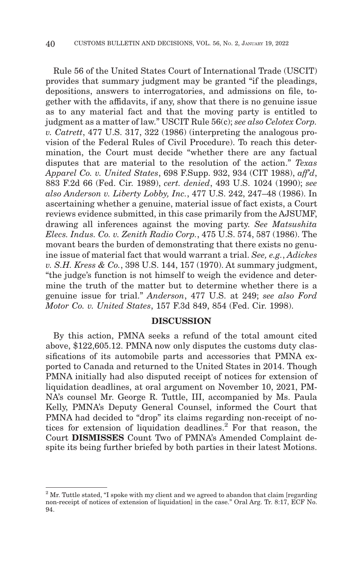Rule 56 of the United States Court of International Trade (USCIT) provides that summary judgment may be granted "if the pleadings, depositions, answers to interrogatories, and admissions on file, together with the affidavits, if any, show that there is no genuine issue as to any material fact and that the moving party is entitled to judgment as a matter of law." USCIT Rule 56(c); *see also Celotex Corp. v. Catrett*, 477 U.S. 317, 322 (1986) (interpreting the analogous provision of the Federal Rules of Civil Procedure). To reach this determination, the Court must decide "whether there are any factual disputes that are material to the resolution of the action." *Texas Apparel Co. v. United States*, 698 F.Supp. 932, 934 (CIT 1988), *aff'd*, 883 F.2d 66 (Fed. Cir. 1989), *cert. denied*, 493 U.S. 1024 (1990); *see also Anderson v. Liberty Lobby, Inc.*, 477 U.S. 242, 247–48 (1986). In ascertaining whether a genuine, material issue of fact exists, a Court reviews evidence submitted, in this case primarily from the AJSUMF, drawing all inferences against the moving party. *See Matsushita Elecs. Indus. Co. v. Zenith Radio Corp.*, 475 U.S. 574, 587 (1986). The movant bears the burden of demonstrating that there exists no genuine issue of material fact that would warrant a trial. *See, e.g.*, *Adickes v. S.H. Kress & Co.*, 398 U.S. 144, 157 (1970). At summary judgment, "the judge's function is not himself to weigh the evidence and determine the truth of the matter but to determine whether there is a genuine issue for trial." *Anderson*, 477 U.S. at 249; *see also Ford Motor Co. v. United States*, 157 F.3d 849, 854 (Fed. Cir. 1998).

### **DISCUSSION**

By this action, PMNA seeks a refund of the total amount cited above, \$122,605.12. PMNA now only disputes the customs duty classifications of its automobile parts and accessories that PMNA exported to Canada and returned to the United States in 2014. Though PMNA initially had also disputed receipt of notices for extension of liquidation deadlines, at oral argument on November 10, 2021, PM-NA's counsel Mr. George R. Tuttle, III, accompanied by Ms. Paula Kelly, PMNA's Deputy General Counsel, informed the Court that PMNA had decided to "drop" its claims regarding non-receipt of notices for extension of liquidation deadlines.<sup>2</sup> For that reason, the Court **DISMISSES** Count Two of PMNA's Amended Complaint despite its being further briefed by both parties in their latest Motions.

<sup>&</sup>lt;sup>2</sup> Mr. Tuttle stated, "I spoke with my client and we agreed to abandon that claim [regarding] non-receipt of notices of extension of liquidation] in the case." Oral Arg. Tr. 8:17, ECF No. 94.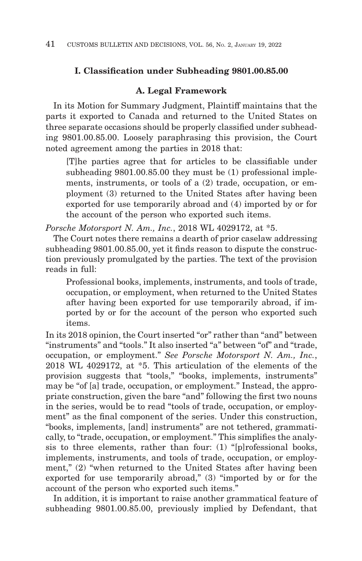# **I. Classification under Subheading 9801.00.85.00**

# **A. Legal Framework**

In its Motion for Summary Judgment, Plaintiff maintains that the parts it exported to Canada and returned to the United States on three separate occasions should be properly classified under subheading 9801.00.85.00. Loosely paraphrasing this provision, the Court noted agreement among the parties in 2018 that:

[T]he parties agree that for articles to be classifiable under subheading 9801.00.85.00 they must be (1) professional implements, instruments, or tools of a (2) trade, occupation, or employment (3) returned to the United States after having been exported for use temporarily abroad and (4) imported by or for the account of the person who exported such items.

*Porsche Motorsport N. Am., Inc.*, 2018 WL 4029172, at \*5.

The Court notes there remains a dearth of prior caselaw addressing subheading 9801.00.85.00, yet it finds reason to dispute the construction previously promulgated by the parties. The text of the provision reads in full:

Professional books, implements, instruments, and tools of trade, occupation, or employment, when returned to the United States after having been exported for use temporarily abroad, if imported by or for the account of the person who exported such items.

In its 2018 opinion, the Court inserted "or" rather than "and" between "instruments" and "tools." It also inserted "a" between "of" and "trade, occupation, or employment." *See Porsche Motorsport N. Am., Inc.*, 2018 WL 4029172, at \*5. This articulation of the elements of the provision suggests that "tools," "books, implements, instruments" may be "of [a] trade, occupation, or employment." Instead, the appropriate construction, given the bare "and" following the first two nouns in the series, would be to read "tools of trade, occupation, or employment" as the final component of the series. Under this construction, "books, implements, [and] instruments" are not tethered, grammatically, to "trade, occupation, or employment." This simplifies the analysis to three elements, rather than four: (1) "[p]rofessional books, implements, instruments, and tools of trade, occupation, or employment," (2) "when returned to the United States after having been exported for use temporarily abroad," (3) "imported by or for the account of the person who exported such items."

In addition, it is important to raise another grammatical feature of subheading 9801.00.85.00, previously implied by Defendant, that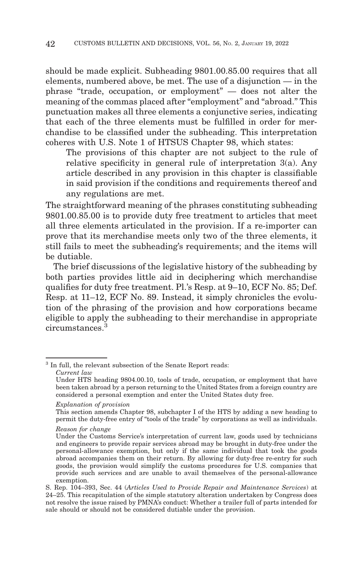should be made explicit. Subheading 9801.00.85.00 requires that all elements, numbered above, be met. The use of a disjunction — in the phrase "trade, occupation, or employment" — does not alter the meaning of the commas placed after "employment" and "abroad." This punctuation makes all three elements a conjunctive series, indicating that each of the three elements must be fulfilled in order for merchandise to be classified under the subheading. This interpretation coheres with U.S. Note 1 of HTSUS Chapter 98, which states:

The provisions of this chapter are not subject to the rule of relative specificity in general rule of interpretation 3(a). Any article described in any provision in this chapter is classifiable in said provision if the conditions and requirements thereof and any regulations are met.

The straightforward meaning of the phrases constituting subheading 9801.00.85.00 is to provide duty free treatment to articles that meet all three elements articulated in the provision. If a re-importer can prove that its merchandise meets only two of the three elements, it still fails to meet the subheading's requirements; and the items will be dutiable.

The brief discussions of the legislative history of the subheading by both parties provides little aid in deciphering which merchandise qualifies for duty free treatment. Pl.'s Resp. at 9–10, ECF No. 85; Def. Resp. at 11–12, ECF No. 89. Instead, it simply chronicles the evolution of the phrasing of the provision and how corporations became eligible to apply the subheading to their merchandise in appropriate circumstances<sup>3</sup>

*Explanation of provision*

<sup>&</sup>lt;sup>3</sup> In full, the relevant subsection of the Senate Report reads: *Current law*

Under HTS heading 9804.00.10, tools of trade, occupation, or employment that have been taken abroad by a person returning to the United States from a foreign country are considered a personal exemption and enter the United States duty free.

This section amends Chapter 98, subchapter I of the HTS by adding a new heading to permit the duty-free entry of ''tools of the trade'' by corporations as well as individuals.

*Reason for change*

Under the Customs Service's interpretation of current law, goods used by technicians and engineers to provide repair services abroad may be brought in duty-free under the personal-allowance exemption, but only if the same individual that took the goods abroad accompanies them on their return. By allowing for duty-free re-entry for such goods, the provision would simplify the customs procedures for U.S. companies that provide such services and are unable to avail themselves of the personal-allowance exemption.

S. Rep. 104–393, Sec. 44 (*Articles Used to Provide Repair and Maintenance Services*) at 24–25. This recapitulation of the simple statutory alteration undertaken by Congress does not resolve the issue raised by PMNA's conduct: Whether a trailer full of parts intended for sale should or should not be considered dutiable under the provision.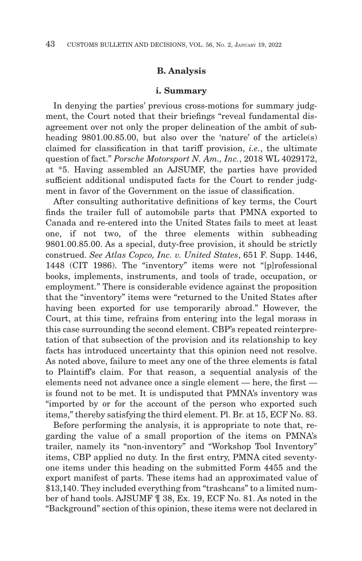### **B. Analysis**

#### **i. Summary**

In denying the parties' previous cross-motions for summary judgment, the Court noted that their briefings "reveal fundamental disagreement over not only the proper delineation of the ambit of subheading 9801.00.85.00, but also over the 'nature' of the article(s) claimed for classification in that tariff provision, *i.e.*, the ultimate question of fact." *Porsche Motorsport N. Am., Inc.*, 2018 WL 4029172, at \*5. Having assembled an AJSUMF, the parties have provided sufficient additional undisputed facts for the Court to render judgment in favor of the Government on the issue of classification.

After consulting authoritative definitions of key terms, the Court finds the trailer full of automobile parts that PMNA exported to Canada and re-entered into the United States fails to meet at least one, if not two, of the three elements within subheading 9801.00.85.00. As a special, duty-free provision, it should be strictly construed. *See Atlas Copco, Inc. v. United States*, 651 F. Supp. 1446, 1448 (CIT 1986). The "inventory" items were not "[p]rofessional books, implements, instruments, and tools of trade, occupation, or employment." There is considerable evidence against the proposition that the "inventory" items were "returned to the United States after having been exported for use temporarily abroad." However, the Court, at this time, refrains from entering into the legal morass in this case surrounding the second element. CBP's repeated reinterpretation of that subsection of the provision and its relationship to key facts has introduced uncertainty that this opinion need not resolve. As noted above, failure to meet any one of the three elements is fatal to Plaintiff's claim. For that reason, a sequential analysis of the elements need not advance once a single element — here, the first is found not to be met. It is undisputed that PMNA's inventory was "imported by or for the account of the person who exported such items," thereby satisfying the third element. Pl. Br. at 15, ECF No. 83.

Before performing the analysis, it is appropriate to note that, regarding the value of a small proportion of the items on PMNA's trailer, namely its "non-inventory" and "Workshop Tool Inventory" items, CBP applied no duty. In the first entry, PMNA cited seventyone items under this heading on the submitted Form 4455 and the export manifest of parts. These items had an approximated value of \$13,140. They included everything from "trashcans" to a limited number of hand tools. AJSUMF ¶ 38, Ex. 19, ECF No. 81. As noted in the "Background" section of this opinion, these items were not declared in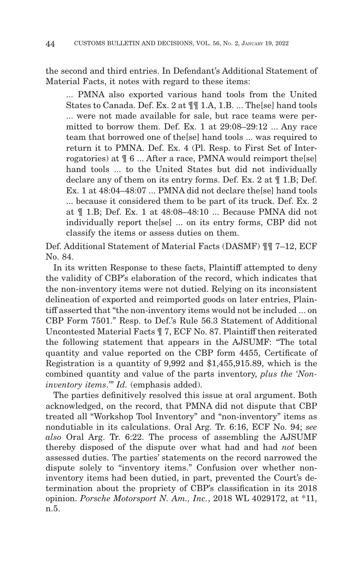the second and third entries. In Defendant's Additional Statement of Material Facts, it notes with regard to these items:

... PMNA also exported various hand tools from the United States to Canada. Def. Ex. 2 at ¶¶ 1.A, 1.B. ... The[se] hand tools ... were not made available for sale, but race teams were permitted to borrow them. Def. Ex. 1 at 29:08–29:12 ... Any race team that borrowed one of the[se] hand tools ... was required to return it to PMNA. Def. Ex. 4 (Pl. Resp. to First Set of Interrogatories) at  $\parallel 6$  ... After a race, PMNA would reimport the [se] hand tools ... to the United States but did not individually declare any of them on its entry forms. Def. Ex. 2 at ¶ 1.B; Def. Ex. 1 at 48:04–48:07 ... PMNA did not declare the[se] hand tools ... because it considered them to be part of its truck. Def. Ex. 2 at ¶ 1.B; Def. Ex. 1 at 48:08–48:10 ... Because PMNA did not individually report the[se] ... on its entry forms, CBP did not classify the items or assess duties on them.

Def. Additional Statement of Material Facts (DASMF) ¶¶ 7–12, ECF No. 84.

In its written Response to these facts, Plaintiff attempted to deny the validity of CBP's elaboration of the record, which indicates that the non-inventory items were not dutied. Relying on its inconsistent delineation of exported and reimported goods on later entries, Plaintiff asserted that "the non-inventory items would not be included ... on CBP Form 7501." Resp. to Def.'s Rule 56.3 Statement of Additional Uncontested Material Facts ¶ 7, ECF No. 87. Plaintiff then reiterated the following statement that appears in the AJSUMF: "The total quantity and value reported on the CBP form 4455, Certificate of Registration is a quantity of 9,992 and \$1,455,915.89, which is the combined quantity and value of the parts inventory, *plus the 'Noninventory items*.'" *Id.* (emphasis added).

The parties definitively resolved this issue at oral argument. Both acknowledged, on the record, that PMNA did not dispute that CBP treated all "Workshop Tool Inventory" and "non-inventory" items as nondutiable in its calculations. Oral Arg. Tr. 6:16, ECF No. 94; *see also* Oral Arg. Tr. 6:22. The process of assembling the AJSUMF thereby disposed of the dispute over what had and had *not* been assessed duties. The parties' statements on the record narrowed the dispute solely to "inventory items." Confusion over whether noninventory items had been dutied, in part, prevented the Court's determination about the propriety of CBP's classification in its 2018 opinion. *Porsche Motorsport N. Am., Inc.*, 2018 WL 4029172, at \*11, n.5.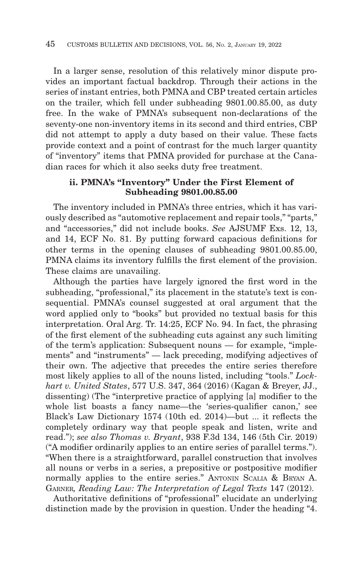In a larger sense, resolution of this relatively minor dispute provides an important factual backdrop. Through their actions in the series of instant entries, both PMNA and CBP treated certain articles on the trailer, which fell under subheading 9801.00.85.00, as duty free. In the wake of PMNA's subsequent non-declarations of the seventy-one non-inventory items in its second and third entries, CBP did not attempt to apply a duty based on their value. These facts provide context and a point of contrast for the much larger quantity of "inventory" items that PMNA provided for purchase at the Canadian races for which it also seeks duty free treatment.

# **ii. PMNA's "Inventory" Under the First Element of Subheading 9801.00.85.00**

The inventory included in PMNA's three entries, which it has variously described as "automotive replacement and repair tools," "parts," and "accessories," did not include books. *See* AJSUMF Exs. 12, 13, and 14, ECF No. 81. By putting forward capacious definitions for other terms in the opening clauses of subheading 9801.00.85.00, PMNA claims its inventory fulfills the first element of the provision. These claims are unavailing.

Although the parties have largely ignored the first word in the subheading, "professional," its placement in the statute's text is consequential. PMNA's counsel suggested at oral argument that the word applied only to "books" but provided no textual basis for this interpretation. Oral Arg. Tr. 14:25, ECF No. 94. In fact, the phrasing of the first element of the subheading cuts against any such limiting of the term's application: Subsequent nouns — for example, "implements" and "instruments" — lack preceding, modifying adjectives of their own. The adjective that precedes the entire series therefore most likely applies to all of the nouns listed, including "tools." *Lockhart v. United States*, 577 U.S. 347, 364 (2016) (Kagan & Breyer, JJ., dissenting) (The "interpretive practice of applying [a] modifier to the whole list boasts a fancy name—the 'series-qualifier canon,' see Black's Law Dictionary 1574 (10th ed. 2014)—but ... it reflects the completely ordinary way that people speak and listen, write and read."); *see also Thomas v. Bryant*, 938 F.3d 134, 146 (5th Cir. 2019) ("A modifier ordinarily applies to an entire series of parallel terms."). "When there is a straightforward, parallel construction that involves all nouns or verbs in a series, a prepositive or postpositive modifier normally applies to the entire series." ANTONIN SCALIA & BRYAN A. GARNER*, Reading Law: The Interpretation of Legal Texts* 147 (2012).

Authoritative definitions of "professional" elucidate an underlying distinction made by the provision in question. Under the heading "4.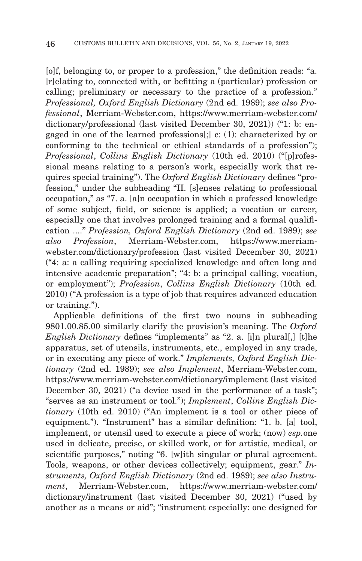[o]f, belonging to, or proper to a profession," the definition reads: "a. [r]elating to, connected with, or befitting a (particular) profession or calling; preliminary or necessary to the practice of a profession." *Professional, Oxford English Dictionary* (2nd ed. 1989); *see also Professional*, Merriam-Webster.com, https://www.merriam-webster.com/ dictionary/professional (last visited December 30, 2021)) ("1: b: engaged in one of the learned professions[;] c: (1): characterized by or conforming to the technical or ethical standards of a profession"); *Professional*, *Collins English Dictionary* (10th ed. 2010) ("[p]rofessional means relating to a person's work, especially work that requires special training"). The *Oxford English Dictionary* defines "profession," under the subheading "II. [s]enses relating to professional occupation," as "7. a. [a]n occupation in which a professed knowledge of some subject, field, or science is applied; a vocation or career, especially one that involves prolonged training and a formal qualification ...." *Profession, Oxford English Dictionary* (2nd ed. 1989); *see also Profession*, Merriam-Webster.com, https://www.merriamwebster.com/dictionary/profession (last visited December 30, 2021) ("4: a: a calling requiring specialized knowledge and often long and intensive academic preparation"; "4: b: a principal calling, vocation, or employment"); *Profession*, *Collins English Dictionary* (10th ed. 2010) ("A profession is a type of job that requires advanced education or training.").

Applicable definitions of the first two nouns in subheading 9801.00.85.00 similarly clarify the provision's meaning. The *Oxford English Dictionary* defines "implements" as "2. a. [i]n plural[,] [t]he apparatus, set of utensils, instruments, etc., employed in any trade, or in executing any piece of work." *Implements, Oxford English Dictionary* (2nd ed. 1989); *see also Implement*, Merriam-Webster.com, https://www.merriam-webster.com/dictionary/implement (last visited December 30, 2021) ("a device used in the performance of a task"; "serves as an instrument or tool."); *Implement*, *Collins English Dictionary* (10th ed. 2010) ("An implement is a tool or other piece of equipment."). "Instrument" has a similar definition: "1. b. [a] tool, implement, or utensil used to execute a piece of work; (now) *esp.*one used in delicate, precise, or skilled work, or for artistic, medical, or scientific purposes," noting "6. [w]ith singular or plural agreement. Tools, weapons, or other devices collectively; equipment, gear." *Instruments, Oxford English Dictionary* (2nd ed. 1989); *see also Instrument*, Merriam-Webster.com, https://www.merriam-webster.com/ dictionary/instrument (last visited December 30, 2021) ("used by another as a means or aid"; "instrument especially: one designed for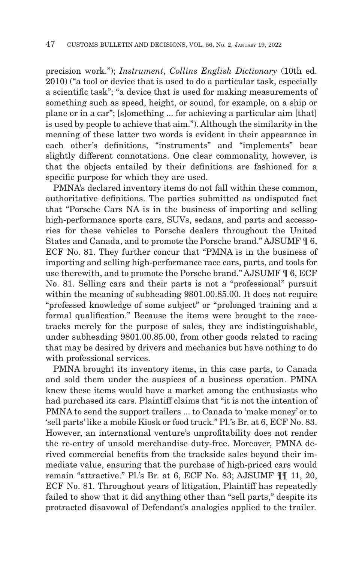precision work."); *Instrument*, *Collins English Dictionary* (10th ed. 2010) ("a tool or device that is used to do a particular task, especially a scientific task"; "a device that is used for making measurements of something such as speed, height, or sound, for example, on a ship or plane or in a car"; [s]omething ... for achieving a particular aim [that] is used by people to achieve that aim."). Although the similarity in the meaning of these latter two words is evident in their appearance in each other's definitions, "instruments" and "implements" bear slightly different connotations. One clear commonality, however, is that the objects entailed by their definitions are fashioned for a specific purpose for which they are used.

PMNA's declared inventory items do not fall within these common, authoritative definitions. The parties submitted as undisputed fact that "Porsche Cars NA is in the business of importing and selling high-performance sports cars, SUVs, sedans, and parts and accessories for these vehicles to Porsche dealers throughout the United States and Canada, and to promote the Porsche brand." AJSUMF ¶ 6, ECF No. 81. They further concur that "PMNA is in the business of importing and selling high-performance race cars, parts, and tools for use therewith, and to promote the Porsche brand." AJSUMF ¶ 6, ECF No. 81. Selling cars and their parts is not a "professional" pursuit within the meaning of subheading 9801.00.85.00. It does not require "professed knowledge of some subject" or "prolonged training and a formal qualification." Because the items were brought to the racetracks merely for the purpose of sales, they are indistinguishable, under subheading 9801.00.85.00, from other goods related to racing that may be desired by drivers and mechanics but have nothing to do with professional services.

PMNA brought its inventory items, in this case parts, to Canada and sold them under the auspices of a business operation. PMNA knew these items would have a market among the enthusiasts who had purchased its cars. Plaintiff claims that "it is not the intention of PMNA to send the support trailers ... to Canada to 'make money' or to 'sell parts' like a mobile Kiosk or food truck." Pl.'s Br. at 6, ECF No. 83. However, an international venture's unprofitability does not render the re-entry of unsold merchandise duty-free. Moreover, PMNA derived commercial benefits from the trackside sales beyond their immediate value, ensuring that the purchase of high-priced cars would remain "attractive." Pl.'s Br. at 6, ECF No. 83; AJSUMF ¶¶ 11, 20, ECF No. 81. Throughout years of litigation, Plaintiff has repeatedly failed to show that it did anything other than "sell parts," despite its protracted disavowal of Defendant's analogies applied to the trailer.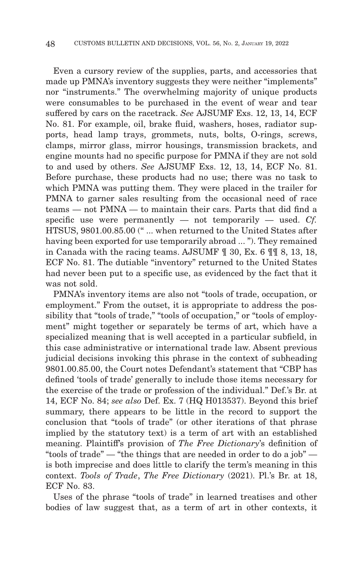Even a cursory review of the supplies, parts, and accessories that made up PMNA's inventory suggests they were neither "implements" nor "instruments." The overwhelming majority of unique products were consumables to be purchased in the event of wear and tear suffered by cars on the racetrack. *See* AJSUMF Exs. 12, 13, 14, ECF No. 81. For example, oil, brake fluid, washers, hoses, radiator supports, head lamp trays, grommets, nuts, bolts, O-rings, screws, clamps, mirror glass, mirror housings, transmission brackets, and engine mounts had no specific purpose for PMNA if they are not sold to and used by others. *See* AJSUMF Exs. 12, 13, 14, ECF No. 81. Before purchase, these products had no use; there was no task to which PMNA was putting them. They were placed in the trailer for PMNA to garner sales resulting from the occasional need of race teams — not PMNA — to maintain their cars. Parts that did find a specific use were permanently — not temporarily — used. *Cf.* HTSUS, 9801.00.85.00 (" ... when returned to the United States after having been exported for use temporarily abroad ... "). They remained in Canada with the racing teams. AJSUMF ¶ 30, Ex. 6 ¶¶ 8, 13, 18, ECF No. 81. The dutiable "inventory" returned to the United States had never been put to a specific use, as evidenced by the fact that it was not sold.

PMNA's inventory items are also not "tools of trade, occupation, or employment." From the outset, it is appropriate to address the possibility that "tools of trade," "tools of occupation," or "tools of employment" might together or separately be terms of art, which have a specialized meaning that is well accepted in a particular subfield, in this case administrative or international trade law. Absent previous judicial decisions invoking this phrase in the context of subheading 9801.00.85.00, the Court notes Defendant's statement that "CBP has defined 'tools of trade' generally to include those items necessary for the exercise of the trade or profession of the individual." Def.'s Br. at 14, ECF No. 84; *see also* Def. Ex. 7 (HQ H013537). Beyond this brief summary, there appears to be little in the record to support the conclusion that "tools of trade" (or other iterations of that phrase implied by the statutory text) is a term of art with an established meaning. Plaintiff's provision of *The Free Dictionary*'s definition of "tools of trade" — "the things that are needed in order to do a job" is both imprecise and does little to clarify the term's meaning in this context. *Tools of Trade*, *The Free Dictionary* (2021). Pl.'s Br. at 18, ECF No. 83.

Uses of the phrase "tools of trade" in learned treatises and other bodies of law suggest that, as a term of art in other contexts, it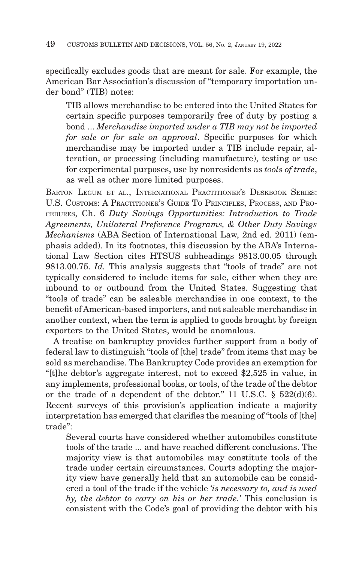specifically excludes goods that are meant for sale. For example, the American Bar Association's discussion of "temporary importation under bond" (TIB) notes:

TIB allows merchandise to be entered into the United States for certain specific purposes temporarily free of duty by posting a bond ... *Merchandise imported under a TIB may not be imported for sale or for sale on approval*. Specific purposes for which merchandise may be imported under a TIB include repair, alteration, or processing (including manufacture), testing or use for experimental purposes, use by nonresidents as *tools of trade*, as well as other more limited purposes.

BARTON LEGUM ET AL., INTERNATIONAL PRACTITIONER'S DESKBOOK SERIES: U.S. CUSTOMS: A PRACTITIONER'S GUIDE TO PRINCIPLES, PROCESS, AND PRO-CEDURES, Ch. 6 *Duty Savings Opportunities: Introduction to Trade Agreements, Unilateral Preference Programs, & Other Duty Savings Mechanisms* (ABA Section of International Law, 2nd ed. 2011) (emphasis added). In its footnotes, this discussion by the ABA's International Law Section cites HTSUS subheadings 9813.00.05 through 9813.00.75. *Id.* This analysis suggests that "tools of trade" are not typically considered to include items for sale, either when they are inbound to or outbound from the United States. Suggesting that "tools of trade" can be saleable merchandise in one context, to the benefit of American-based importers, and not saleable merchandise in another context, when the term is applied to goods brought by foreign exporters to the United States, would be anomalous.

A treatise on bankruptcy provides further support from a body of federal law to distinguish "tools of [the] trade" from items that may be sold as merchandise. The Bankruptcy Code provides an exemption for "[t]he debtor's aggregate interest, not to exceed \$2,525 in value, in any implements, professional books, or tools, of the trade of the debtor or the trade of a dependent of the debtor." 11 U.S.C.  $\S$  522(d)(6). Recent surveys of this provision's application indicate a majority interpretation has emerged that clarifies the meaning of "tools of [the] trade":

Several courts have considered whether automobiles constitute tools of the trade ... and have reached different conclusions. The majority view is that automobiles may constitute tools of the trade under certain circumstances. Courts adopting the majority view have generally held that an automobile can be considered a tool of the trade if the vehicle *'is necessary to, and is used by, the debtor to carry on his or her trade.'* This conclusion is consistent with the Code's goal of providing the debtor with his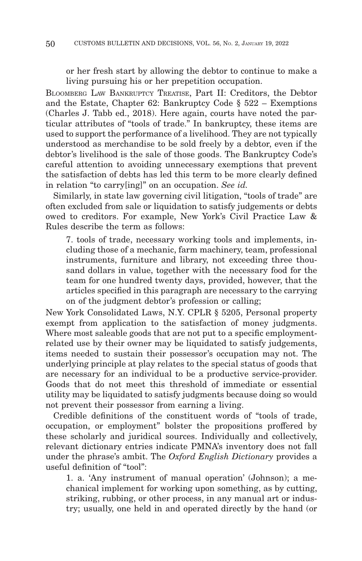or her fresh start by allowing the debtor to continue to make a living pursuing his or her prepetition occupation.

BLOOMBERG LAW BANKRUPTCY TREATISE, Part II: Creditors, the Debtor and the Estate, Chapter 62: Bankruptcy Code § 522 – Exemptions (Charles J. Tabb ed., 2018). Here again, courts have noted the particular attributes of "tools of trade." In bankruptcy, these items are used to support the performance of a livelihood. They are not typically understood as merchandise to be sold freely by a debtor, even if the debtor's livelihood is the sale of those goods. The Bankruptcy Code's careful attention to avoiding unnecessary exemptions that prevent the satisfaction of debts has led this term to be more clearly defined in relation "to carry[ing]" on an occupation. *See id.*

Similarly, in state law governing civil litigation, "tools of trade" are often excluded from sale or liquidation to satisfy judgements or debts owed to creditors. For example, New York's Civil Practice Law & Rules describe the term as follows:

7. tools of trade, necessary working tools and implements, including those of a mechanic, farm machinery, team, professional instruments, furniture and library, not exceeding three thousand dollars in value, together with the necessary food for the team for one hundred twenty days, provided, however, that the articles specified in this paragraph are necessary to the carrying on of the judgment debtor's profession or calling;

New York Consolidated Laws, N.Y. CPLR § 5205, Personal property exempt from application to the satisfaction of money judgments. Where most saleable goods that are not put to a specific employmentrelated use by their owner may be liquidated to satisfy judgements, items needed to sustain their possessor's occupation may not. The underlying principle at play relates to the special status of goods that are necessary for an individual to be a productive service-provider. Goods that do not meet this threshold of immediate or essential utility may be liquidated to satisfy judgments because doing so would not prevent their possessor from earning a living.

Credible definitions of the constituent words of "tools of trade, occupation, or employment" bolster the propositions proffered by these scholarly and juridical sources. Individually and collectively, relevant dictionary entries indicate PMNA's inventory does not fall under the phrase's ambit. The *Oxford English Dictionary* provides a useful definition of "tool":

1. a. 'Any instrument of manual operation' (Johnson); a mechanical implement for working upon something, as by cutting, striking, rubbing, or other process, in any manual art or industry; usually, one held in and operated directly by the hand (or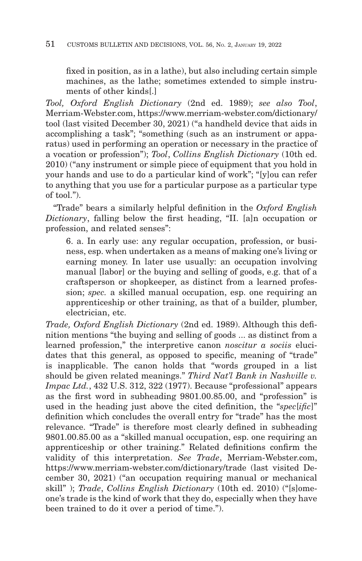fixed in position, as in a lathe), but also including certain simple machines, as the lathe; sometimes extended to simple instruments of other kinds[.]

*Tool, Oxford English Dictionary* (2nd ed. 1989); *see also Tool*, Merriam-Webster.com, https://www.merriam-webster.com/dictionary/ tool (last visited December 30, 2021) ("a handheld device that aids in accomplishing a task"; "something (such as an instrument or apparatus) used in performing an operation or necessary in the practice of a vocation or profession"); *Tool*, *Collins English Dictionary* (10th ed. 2010) ("any instrument or simple piece of equipment that you hold in your hands and use to do a particular kind of work"; "[y]ou can refer to anything that you use for a particular purpose as a particular type of tool.").

"Trade" bears a similarly helpful definition in the *Oxford English Dictionary*, falling below the first heading, "II. [a]n occupation or profession, and related senses":

6. a. In early use: any regular occupation, profession, or business, esp. when undertaken as a means of making one's living or earning money. In later use usually: an occupation involving manual [labor] or the buying and selling of goods, e.g. that of a craftsperson or shopkeeper, as distinct from a learned profession; *spec.* a skilled manual occupation, esp. one requiring an apprenticeship or other training, as that of a builder, plumber, electrician, etc.

*Trade, Oxford English Dictionary* (2nd ed. 1989). Although this definition mentions "the buying and selling of goods ... as distinct from a learned profession," the interpretive canon *noscitur a sociis* elucidates that this general, as opposed to specific, meaning of "trade" is inapplicable. The canon holds that "words grouped in a list should be given related meanings." *Third Nat'l Bank in Nashville v. Impac Ltd.*, 432 U.S. 312, 322 (1977). Because "professional" appears as the first word in subheading 9801.00.85.00, and "profession" is used in the heading just above the cited definition, the "*spec*[*ific*]" definition which concludes the overall entry for "trade" has the most relevance. "Trade" is therefore most clearly defined in subheading 9801.00.85.00 as a "skilled manual occupation, esp. one requiring an apprenticeship or other training." Related definitions confirm the validity of this interpretation. *See Trade*, Merriam-Webster.com, https://www.merriam-webster.com/dictionary/trade (last visited December 30, 2021) ("an occupation requiring manual or mechanical skill" ); *Trade*, *Collins English Dictionary* (10th ed. 2010) ("[s]omeone's trade is the kind of work that they do, especially when they have been trained to do it over a period of time.").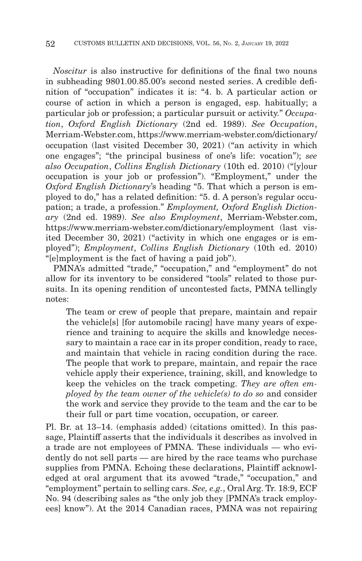*Noscitur* is also instructive for definitions of the final two nouns in subheading 9801.00.85.00's second nested series. A credible definition of "occupation" indicates it is: "4. b. A particular action or course of action in which a person is engaged, esp. habitually; a particular job or profession; a particular pursuit or activity." *Occupation*, *Oxford English Dictionary* (2nd ed. 1989). *See Occupation*, Merriam-Webster.com, https://www.merriam-webster.com/dictionary/ occupation (last visited December 30, 2021) ("an activity in which one engages"; "the principal business of one's life: vocation"); *see also Occupation*, *Collins English Dictionary* (10th ed. 2010) ("[y]our occupation is your job or profession"). "Employment," under the *Oxford English Dictionary*'s heading "5. That which a person is employed to do," has a related definition: "5. d. A person's regular occupation; a trade, a profession." *Employment, Oxford English Dictionary* (2nd ed. 1989). *See also Employment*, Merriam-Webster.com, https://www.merriam-webster.com/dictionary/employment (last visited December 30, 2021) ("activity in which one engages or is employed"); *Employment*, *Collins English Dictionary* (10th ed. 2010) "[e]mployment is the fact of having a paid job").

PMNA's admitted "trade," "occupation," and "employment" do not allow for its inventory to be considered "tools" related to those pursuits. In its opening rendition of uncontested facts, PMNA tellingly notes:

The team or crew of people that prepare, maintain and repair the vehicle[s] [for automobile racing] have many years of experience and training to acquire the skills and knowledge necessary to maintain a race car in its proper condition, ready to race, and maintain that vehicle in racing condition during the race. The people that work to prepare, maintain, and repair the race vehicle apply their experience, training, skill, and knowledge to keep the vehicles on the track competing. *They are often employed by the team owner of the vehicle(s) to do so* and consider the work and service they provide to the team and the car to be their full or part time vocation, occupation, or career.

Pl. Br. at 13–14. (emphasis added) (citations omitted). In this passage, Plaintiff asserts that the individuals it describes as involved in a trade are not employees of PMNA. These individuals — who evidently do not sell parts — are hired by the race teams who purchase supplies from PMNA. Echoing these declarations, Plaintiff acknowledged at oral argument that its avowed "trade," "occupation," and "employment" pertain to selling cars. *See, e.g.*, Oral Arg. Tr. 18:9, ECF No. 94 (describing sales as "the only job they [PMNA's track employees] know"). At the 2014 Canadian races, PMNA was not repairing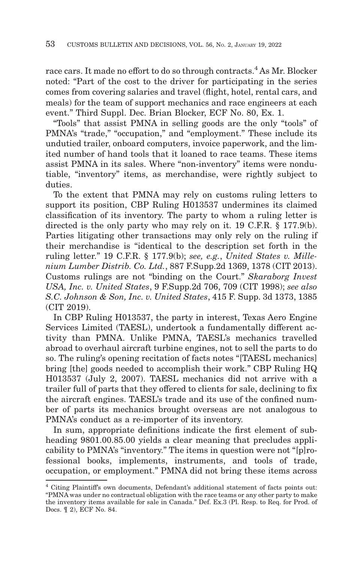race cars. It made no effort to do so through contracts.<sup>4</sup> As Mr. Blocker noted: "Part of the cost to the driver for participating in the series comes from covering salaries and travel (flight, hotel, rental cars, and meals) for the team of support mechanics and race engineers at each event." Third Suppl. Dec. Brian Blocker, ECF No. 80, Ex. 1.

"Tools" that assist PMNA in selling goods are the only "tools" of PMNA's "trade," "occupation," and "employment." These include its undutied trailer, onboard computers, invoice paperwork, and the limited number of hand tools that it loaned to race teams. These items assist PMNA in its sales. Where "non-inventory" items were nondutiable, "inventory" items, as merchandise, were rightly subject to duties.

To the extent that PMNA may rely on customs ruling letters to support its position, CBP Ruling H013537 undermines its claimed classification of its inventory. The party to whom a ruling letter is directed is the only party who may rely on it. 19 C.F.R. § 177.9(b). Parties litigating other transactions may only rely on the ruling if their merchandise is "identical to the description set forth in the ruling letter." 19 C.F.R. § 177.9(b); *see, e.g.*, *United States v. Millenium Lumber Distrib. Co. Ltd.*, 887 F.Supp.2d 1369, 1378 (CIT 2013). Customs rulings are not "binding on the Court." *Skaraborg Invest USA, Inc. v. United States*, 9 F.Supp.2d 706, 709 (CIT 1998); *see also S.C. Johnson & Son, Inc. v. United States*, 415 F. Supp. 3d 1373, 1385 (CIT 2019).

In CBP Ruling H013537, the party in interest, Texas Aero Engine Services Limited (TAESL), undertook a fundamentally different activity than PMNA. Unlike PMNA, TAESL's mechanics travelled abroad to overhaul aircraft turbine engines, not to sell the parts to do so. The ruling's opening recitation of facts notes "[TAESL mechanics] bring [the] goods needed to accomplish their work." CBP Ruling HQ H013537 (July 2, 2007). TAESL mechanics did not arrive with a trailer full of parts that they offered to clients for sale, declining to fix the aircraft engines. TAESL's trade and its use of the confined number of parts its mechanics brought overseas are not analogous to PMNA's conduct as a re-importer of its inventory.

In sum, appropriate definitions indicate the first element of subheading 9801.00.85.00 yields a clear meaning that precludes applicability to PMNA's "inventory." The items in question were not "[p]rofessional books, implements, instruments, and tools of trade, occupation, or employment." PMNA did not bring these items across

<sup>4</sup> Citing Plaintiff's own documents, Defendant's additional statement of facts points out: "PMNA was under no contractual obligation with the race teams or any other party to make the inventory items available for sale in Canada." Def. Ex.3 (Pl. Resp. to Req. for Prod. of Docs. ¶ 2), ECF No. 84.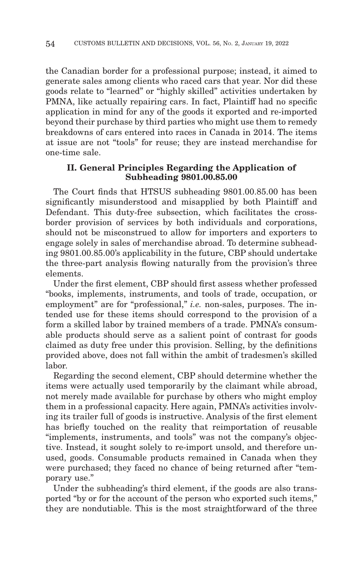the Canadian border for a professional purpose; instead, it aimed to generate sales among clients who raced cars that year. Nor did these goods relate to "learned" or "highly skilled" activities undertaken by PMNA, like actually repairing cars. In fact, Plaintiff had no specific application in mind for any of the goods it exported and re-imported beyond their purchase by third parties who might use them to remedy breakdowns of cars entered into races in Canada in 2014. The items at issue are not "tools" for reuse; they are instead merchandise for one-time sale.

# **II. General Principles Regarding the Application of Subheading 9801.00.85.00**

The Court finds that HTSUS subheading 9801.00.85.00 has been significantly misunderstood and misapplied by both Plaintiff and Defendant. This duty-free subsection, which facilitates the crossborder provision of services by both individuals and corporations, should not be misconstrued to allow for importers and exporters to engage solely in sales of merchandise abroad. To determine subheading 9801.00.85.00's applicability in the future, CBP should undertake the three-part analysis flowing naturally from the provision's three elements.

Under the first element, CBP should first assess whether professed "books, implements, instruments, and tools of trade, occupation, or employment" are for "professional," *i.e.* non-sales, purposes. The intended use for these items should correspond to the provision of a form a skilled labor by trained members of a trade. PMNA's consumable products should serve as a salient point of contrast for goods claimed as duty free under this provision. Selling, by the definitions provided above, does not fall within the ambit of tradesmen's skilled labor.

Regarding the second element, CBP should determine whether the items were actually used temporarily by the claimant while abroad, not merely made available for purchase by others who might employ them in a professional capacity. Here again, PMNA's activities involving its trailer full of goods is instructive. Analysis of the first element has briefly touched on the reality that reimportation of reusable "implements, instruments, and tools" was not the company's objective. Instead, it sought solely to re-import unsold, and therefore unused, goods. Consumable products remained in Canada when they were purchased; they faced no chance of being returned after "temporary use."

Under the subheading's third element, if the goods are also transported "by or for the account of the person who exported such items," they are nondutiable. This is the most straightforward of the three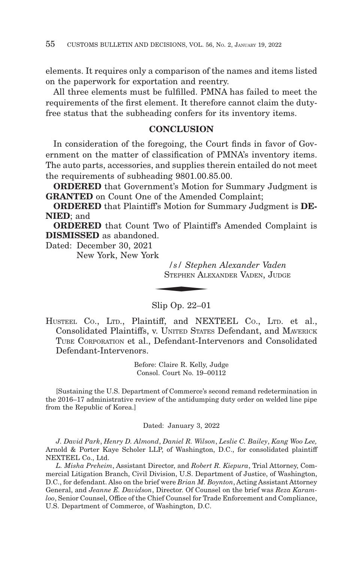elements. It requires only a comparison of the names and items listed on the paperwork for exportation and reentry.

All three elements must be fulfilled. PMNA has failed to meet the requirements of the first element. It therefore cannot claim the dutyfree status that the subheading confers for its inventory items.

# **CONCLUSION**

In consideration of the foregoing, the Court finds in favor of Government on the matter of classification of PMNA's inventory items. The auto parts, accessories, and supplies therein entailed do not meet the requirements of subheading 9801.00.85.00.

**ORDERED** that Government's Motion for Summary Judgment is **GRANTED** on Count One of the Amended Complaint;

**ORDERED** that Plaintiff's Motion for Summary Judgment is **DE-NIED**; and

**ORDERED** that Count Two of Plaintiff's Amended Complaint is **DISMISSED** as abandoned.

Dated: December 30, 2021

New York, New York

*/s/ Stephen Alexander Vaden* d.<br>-k<br>*|s| Stephe*<br>Stephen All STEPHEN ALEXANDER VADEN, JUDGE

Slip Op. 22–01

HUSTEEL Co., LTD., Plaintiff, and NEXTEEL Co., LTD. et al., Consolidated Plaintiffs, v. UNITED STATES Defendant, and MAVERICK TUBE CORPORATION et al., Defendant-Intervenors and Consolidated Defendant-Intervenors.

> Before: Claire R. Kelly, Judge Consol. Court No. 19–00112

[Sustaining the U.S. Department of Commerce's second remand redetermination in the 2016–17 administrative review of the antidumping duty order on welded line pipe from the Republic of Korea.]

Dated: January 3, 2022

*J. David Park*, *Henry D. Almond*, *Daniel R. Wilson*, *Leslie C. Bailey*, *Kang Woo Lee,* Arnold & Porter Kaye Scholer LLP, of Washington, D.C., for consolidated plaintiff NEXTEEL Co., Ltd.

*L. Misha Preheim*, Assistant Director, and *Robert R. Kiepura*, Trial Attorney, Commercial Litigation Branch, Civil Division, U.S. Department of Justice, of Washington, D.C., for defendant. Also on the brief were *Brian M. Boynton*, Acting Assistant Attorney General, and *Jeanne E. Davidson*, Director. Of Counsel on the brief was *Reza Karamloo*, Senior Counsel, Office of the Chief Counsel for Trade Enforcement and Compliance, U.S. Department of Commerce, of Washington, D.C.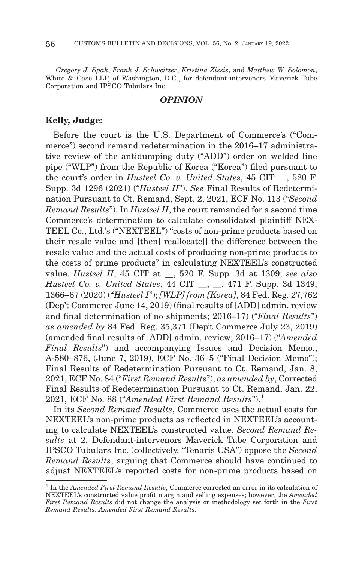*Gregory J. Spak*, *Frank J. Schweitzer*, *Kristina Zissis*, and *Matthew W. Solomon*, White & Case LLP, of Washington, D.C., for defendant-intervenors Maverick Tube Corporation and IPSCO Tubulars Inc.

#### *OPINION*

### **Kelly, Judge:**

Before the court is the U.S. Department of Commerce's ("Commerce") second remand redetermination in the 2016–17 administrative review of the antidumping duty ("ADD") order on welded line pipe ("WLP") from the Republic of Korea ("Korea") filed pursuant to the court's order in *Husteel Co. v. United States*, 45 CIT \_\_, 520 F. Supp. 3d 1296 (2021) ("*Husteel II*"). *See* Final Results of Redetermination Pursuant to Ct. Remand, Sept. 2, 2021, ECF No. 113 ("*Second Remand Results*"). In *Husteel II*, the court remanded for a second time Commerce's determination to calculate consolidated plaintiff NEX-TEEL Co., Ltd.'s ("NEXTEEL") "costs of non-prime products based on their resale value and [then] reallocate[] the difference between the resale value and the actual costs of producing non-prime products to the costs of prime products" in calculating NEXTEEL's constructed value. *Husteel II*, 45 CIT at \_\_, 520 F. Supp. 3d at 1309; *see also Husteel Co. v. United States*, 44 CIT \_\_, \_\_, 471 F. Supp. 3d 1349, 1366–67 (2020) ("*Husteel I*"); *[WLP] from [Korea]*, 84 Fed. Reg. 27,762 (Dep't Commerce June 14, 2019) (final results of [ADD] admin. review and final determination of no shipments; 2016–17) ("*Final Results*") *as amended by* 84 Fed. Reg. 35,371 (Dep't Commerce July 23, 2019) (amended final results of [ADD] admin. review; 2016–17) ("*Amended Final Results*") and accompanying Issues and Decision Memo., A-580–876, (June 7, 2019), ECF No. 36–5 ("Final Decision Memo"); Final Results of Redetermination Pursuant to Ct. Remand, Jan. 8, 2021, ECF No. 84 ("*First Remand Results*"), *as amended by*, Corrected Final Results of Redetermination Pursuant to Ct. Remand, Jan. 22, 2021, ECF No. 88 ("*Amended First Remand Results*").1

In its *Second Remand Results*, Commerce uses the actual costs for NEXTEEL's non-prime products as reflected in NEXTEEL's accounting to calculate NEXTEEL's constructed value. *Second Remand Results* at 2. Defendant-intervenors Maverick Tube Corporation and IPSCO Tubulars Inc. (collectively, "Tenaris USA") oppose the *Second Remand Results*, arguing that Commerce should have continued to adjust NEXTEEL's reported costs for non-prime products based on

<sup>1</sup> In the *Amended First Remand Results*, Commerce corrected an error in its calculation of NEXTEEL's constructed value profit margin and selling expenses; however, the *Amended First Remand Results* did not change the analysis or methodology set forth in the *First Remand Results*. *Amended First Remand Results*.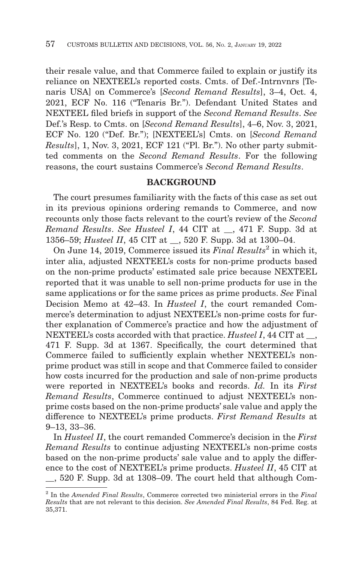their resale value, and that Commerce failed to explain or justify its reliance on NEXTEEL's reported costs. Cmts. of Def.-Intrnvnrs [Tenaris USA] on Commerce's [*Second Remand Results*], 3–4, Oct. 4, 2021, ECF No. 116 ("Tenaris Br."). Defendant United States and NEXTEEL filed briefs in support of the *Second Remand Results*. *See* Def.'s Resp. to Cmts. on [*Second Remand Results*], 4–6, Nov. 3, 2021, ECF No. 120 ("Def. Br."); [NEXTEEL's] Cmts. on [*Second Remand Results*], 1, Nov. 3, 2021, ECF 121 ("Pl. Br."). No other party submitted comments on the *Second Remand Results*. For the following reasons, the court sustains Commerce's *Second Remand Results*.

## **BACKGROUND**

The court presumes familiarity with the facts of this case as set out in its previous opinions ordering remands to Commerce, and now recounts only those facts relevant to the court's review of the *Second Remand Results*. *See Husteel I*, 44 CIT at \_\_, 471 F. Supp. 3d at 1356–59; *Husteel II*, 45 CIT at \_\_, 520 F. Supp. 3d at 1300–04.

On June 14, 2019, Commerce issued its *Final Results*<sup>2</sup> in which it, inter alia, adjusted NEXTEEL's costs for non-prime products based on the non-prime products' estimated sale price because NEXTEEL reported that it was unable to sell non-prime products for use in the same applications or for the same prices as prime products. *See* Final Decision Memo at 42–43. In *Husteel I*, the court remanded Commerce's determination to adjust NEXTEEL's non-prime costs for further explanation of Commerce's practice and how the adjustment of NEXTEEL's costs accorded with that practice. *Husteel I*, 44 CIT at \_\_, 471 F. Supp. 3d at 1367. Specifically, the court determined that Commerce failed to sufficiently explain whether NEXTEEL's nonprime product was still in scope and that Commerce failed to consider how costs incurred for the production and sale of non-prime products were reported in NEXTEEL's books and records. *Id.* In its *First Remand Results*, Commerce continued to adjust NEXTEEL's nonprime costs based on the non-prime products' sale value and apply the difference to NEXTEEL's prime products. *First Remand Results* at 9–13, 33–36.

In *Husteel II*, the court remanded Commerce's decision in the *First Remand Results* to continue adjusting NEXTEEL's non-prime costs based on the non-prime products' sale value and to apply the difference to the cost of NEXTEEL's prime products. *Husteel II*, 45 CIT at \_\_, 520 F. Supp. 3d at 1308–09. The court held that although Com-

<sup>2</sup> In the *Amended Final Results*, Commerce corrected two ministerial errors in the *Final Results* that are not relevant to this decision. *See Amended Final Results*, 84 Fed. Reg. at 35,371.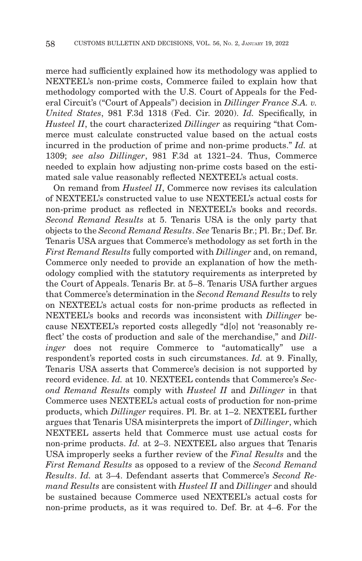merce had sufficiently explained how its methodology was applied to NEXTEEL's non-prime costs, Commerce failed to explain how that methodology comported with the U.S. Court of Appeals for the Federal Circuit's ("Court of Appeals") decision in *Dillinger France S.A. v. United States*, 981 F.3d 1318 (Fed. Cir. 2020). *Id.* Specifically, in *Husteel II*, the court characterized *Dillinger* as requiring "that Commerce must calculate constructed value based on the actual costs incurred in the production of prime and non-prime products." *Id.* at 1309; *see also Dillinger*, 981 F.3d at 1321–24. Thus, Commerce needed to explain how adjusting non-prime costs based on the estimated sale value reasonably reflected NEXTEEL's actual costs.

On remand from *Husteel II*, Commerce now revises its calculation of NEXTEEL's constructed value to use NEXTEEL's actual costs for non-prime product as reflected in NEXTEEL's books and records. *Second Remand Results* at 5. Tenaris USA is the only party that objects to the *Second Remand Results*. *See* Tenaris Br.; Pl. Br.; Def. Br. Tenaris USA argues that Commerce's methodology as set forth in the *First Remand Results* fully comported with *Dillinger* and, on remand, Commerce only needed to provide an explanation of how the methodology complied with the statutory requirements as interpreted by the Court of Appeals. Tenaris Br. at 5–8. Tenaris USA further argues that Commerce's determination in the *Second Remand Results* to rely on NEXTEEL's actual costs for non-prime products as reflected in NEXTEEL's books and records was inconsistent with *Dillinger* because NEXTEEL's reported costs allegedly "d[o] not 'reasonably reflect' the costs of production and sale of the merchandise," and *Dillinger* does not require Commerce to "automatically" use a respondent's reported costs in such circumstances. *Id.* at 9. Finally, Tenaris USA asserts that Commerce's decision is not supported by record evidence. *Id.* at 10. NEXTEEL contends that Commerce's *Second Remand Results* comply with *Husteel II* and *Dillinger* in that Commerce uses NEXTEEL's actual costs of production for non-prime products, which *Dillinger* requires. Pl. Br. at 1–2. NEXTEEL further argues that Tenaris USA misinterprets the import of *Dillinger*, which NEXTEEL asserts held that Commerce must use actual costs for non-prime products. *Id.* at 2–3. NEXTEEL also argues that Tenaris USA improperly seeks a further review of the *Final Results* and the *First Remand Results* as opposed to a review of the *Second Remand Results*. *Id.* at 3–4. Defendant asserts that Commerce's *Second Remand Results* are consistent with *Husteel II* and *Dillinger* and should be sustained because Commerce used NEXTEEL's actual costs for non-prime products, as it was required to. Def. Br. at 4–6. For the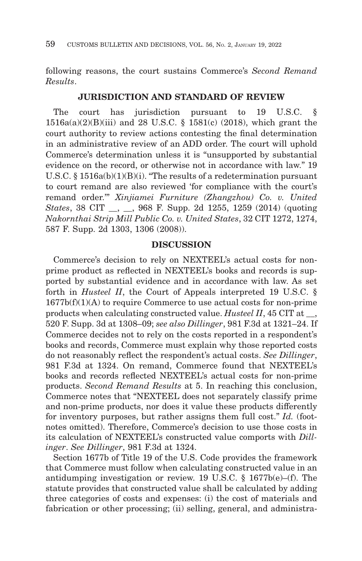following reasons, the court sustains Commerce's *Second Remand Results*.

### **JURISDICTION AND STANDARD OF REVIEW**

The court has jurisdiction pursuant to 19 U.S.C. § 1516a(a)(2)(B)(iii) and 28 U.S.C. § 1581(c) (2018), which grant the court authority to review actions contesting the final determination in an administrative review of an ADD order. The court will uphold Commerce's determination unless it is "unsupported by substantial evidence on the record, or otherwise not in accordance with law." 19 U.S.C. § 1516a(b)(1)(B)(i). "The results of a redetermination pursuant to court remand are also reviewed 'for compliance with the court's remand order.'" *Xinjiamei Furniture (Zhangzhou) Co. v. United States*, 38 CIT \_\_, \_\_, 968 F. Supp. 2d 1255, 1259 (2014) (quoting *Nakornthai Strip Mill Public Co. v. United States*, 32 CIT 1272, 1274, 587 F. Supp. 2d 1303, 1306 (2008)).

# **DISCUSSION**

Commerce's decision to rely on NEXTEEL's actual costs for nonprime product as reflected in NEXTEEL's books and records is supported by substantial evidence and in accordance with law. As set forth in *Husteel II*, the Court of Appeals interpreted 19 U.S.C. §  $1677b(f)(1)(A)$  to require Commerce to use actual costs for non-prime products when calculating constructed value. *Husteel II*, 45 CIT at \_\_, 520 F. Supp. 3d at 1308–09; *see also Dillinger*, 981 F.3d at 1321–24. If Commerce decides not to rely on the costs reported in a respondent's books and records, Commerce must explain why those reported costs do not reasonably reflect the respondent's actual costs. *See Dillinger*, 981 F.3d at 1324. On remand, Commerce found that NEXTEEL's books and records reflected NEXTEEL's actual costs for non-prime products. *Second Remand Results* at 5. In reaching this conclusion, Commerce notes that "NEXTEEL does not separately classify prime and non-prime products, nor does it value these products differently for inventory purposes, but rather assigns them full cost." *Id.* (footnotes omitted). Therefore, Commerce's decision to use those costs in its calculation of NEXTEEL's constructed value comports with *Dillinger*. *See Dillinger*, 981 F.3d at 1324.

Section 1677b of Title 19 of the U.S. Code provides the framework that Commerce must follow when calculating constructed value in an antidumping investigation or review. 19 U.S.C. § 1677b(e)–(f). The statute provides that constructed value shall be calculated by adding three categories of costs and expenses: (i) the cost of materials and fabrication or other processing; (ii) selling, general, and administra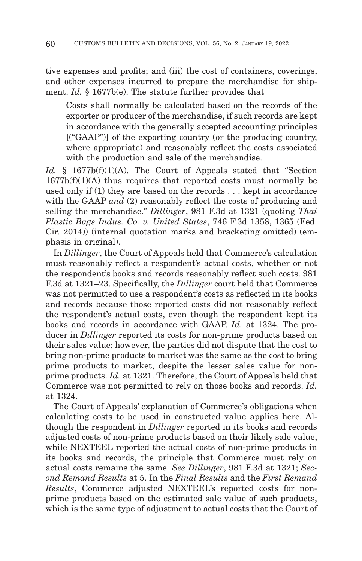tive expenses and profits; and (iii) the cost of containers, coverings, and other expenses incurred to prepare the merchandise for shipment. *Id.* § 1677b(e). The statute further provides that

Costs shall normally be calculated based on the records of the exporter or producer of the merchandise, if such records are kept in accordance with the generally accepted accounting principles [("GAAP")] of the exporting country (or the producing country, where appropriate) and reasonably reflect the costs associated with the production and sale of the merchandise.

Id. § 1677b(f)(1)(A). The Court of Appeals stated that "Section  $1677b(f)(1)(A)$  thus requires that reported costs must normally be used only if (1) they are based on the records . . . kept in accordance with the GAAP *and* (2) reasonably reflect the costs of producing and selling the merchandise." *Dillinger*, 981 F.3d at 1321 (quoting *Thai Plastic Bags Indus. Co. v. United States*, 746 F.3d 1358, 1365 (Fed. Cir. 2014)) (internal quotation marks and bracketing omitted) (emphasis in original).

In *Dillinger*, the Court of Appeals held that Commerce's calculation must reasonably reflect a respondent's actual costs, whether or not the respondent's books and records reasonably reflect such costs. 981 F.3d at 1321–23. Specifically, the *Dillinger* court held that Commerce was not permitted to use a respondent's costs as reflected in its books and records because those reported costs did not reasonably reflect the respondent's actual costs, even though the respondent kept its books and records in accordance with GAAP. *Id.* at 1324. The producer in *Dillinger* reported its costs for non-prime products based on their sales value; however, the parties did not dispute that the cost to bring non-prime products to market was the same as the cost to bring prime products to market, despite the lesser sales value for nonprime products. *Id.* at 1321. Therefore, the Court of Appeals held that Commerce was not permitted to rely on those books and records. *Id.* at 1324.

The Court of Appeals' explanation of Commerce's obligations when calculating costs to be used in constructed value applies here. Although the respondent in *Dillinger* reported in its books and records adjusted costs of non-prime products based on their likely sale value, while NEXTEEL reported the actual costs of non-prime products in its books and records, the principle that Commerce must rely on actual costs remains the same. *See Dillinger*, 981 F.3d at 1321; *Second Remand Results* at 5. In the *Final Results* and the *First Remand Results*, Commerce adjusted NEXTEEL's reported costs for nonprime products based on the estimated sale value of such products, which is the same type of adjustment to actual costs that the Court of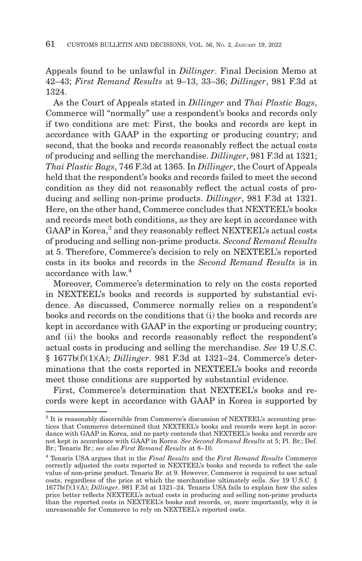Appeals found to be unlawful in *Dillinger*. Final Decision Memo at 42–43; *First Remand Results* at 9–13, 33–36; *Dillinger*, 981 F.3d at 1324.

As the Court of Appeals stated in *Dillinger* and *Thai Plastic Bags*, Commerce will "normally" use a respondent's books and records only if two conditions are met: First, the books and records are kept in accordance with GAAP in the exporting or producing country; and second, that the books and records reasonably reflect the actual costs of producing and selling the merchandise. *Dillinger*, 981 F.3d at 1321; *Thai Plastic Bags*, 746 F.3d at 1365. In *Dillinger*, the Court of Appeals held that the respondent's books and records failed to meet the second condition as they did not reasonably reflect the actual costs of producing and selling non-prime products. *Dillinger*, 981 F.3d at 1321. Here, on the other hand, Commerce concludes that NEXTEEL's books and records meet both conditions, as they are kept in accordance with  $\mathsf{GAAP}$  in  $\mathsf{Korea},^3$  and they reasonably reflect  $\mathsf{NEXTEL}$  actual costs of producing and selling non-prime products. *Second Remand Results* at 5. Therefore, Commerce's decision to rely on NEXTEEL's reported costs in its books and records in the *Second Remand Results* is in accordance with law.4

Moreover, Commerce's determination to rely on the costs reported in NEXTEEL's books and records is supported by substantial evidence. As discussed, Commerce normally relies on a respondent's books and records on the conditions that (i) the books and records are kept in accordance with GAAP in the exporting or producing country; and (ii) the books and records reasonably reflect the respondent's actual costs in producing and selling the merchandise. *See* 19 U.S.C. § 1677b(f)(1)(A); *Dillinger*. 981 F.3d at 1321–24. Commerce's determinations that the costs reported in NEXTEEL's books and records meet those conditions are supported by substantial evidence.

First, Commerce's determination that NEXTEEL's books and records were kept in accordance with GAAP in Korea is supported by

<sup>&</sup>lt;sup>3</sup> It is reasonably discernible from Commerce's discussion of NEXTEEL's accounting practices that Commerce determined that NEXTEEL's books and records were kept in accordance with GAAP in Korea, and no party contends that NEXTEEL's books and records are not kept in accordance with GAAP in Korea. *See Second Remand Results* at 5; Pl. Br.; Def. Br.; Tenaris Br.; *see also First Remand Results* at 8–10.

<sup>4</sup> Tenaris USA argues that in the *Final Results* and the *First Remand Results* Commerce correctly adjusted the costs reported in NEXTEEL's books and records to reflect the sale value of non-prime product. Tenaris Br. at 9. However, Commerce is required to use actual costs, regardless of the price at which the merchandise ultimately sells. *See* 19 U.S.C. § 1677b(f)(1)(A); *Dillinger*. 981 F.3d at 1321–24. Tenaris USA fails to explain how the sales price better reflects NEXTEEL's actual costs in producing and selling non-prime products than the reported costs in NEXTEEL's books and records, or, more importantly, why it is unreasonable for Commerce to rely on NEXTEEL's reported costs.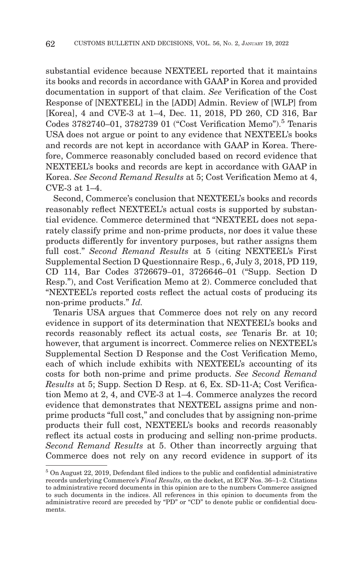substantial evidence because NEXTEEL reported that it maintains its books and records in accordance with GAAP in Korea and provided documentation in support of that claim. *See* Verification of the Cost Response of [NEXTEEL] in the [ADD] Admin. Review of [WLP] from [Korea], 4 and CVE-3 at 1–4, Dec. 11, 2018, PD 260, CD 316, Bar Codes 3782740-01, 3782739 01 ("Cost Verification Memo").<sup>5</sup> Tenaris USA does not argue or point to any evidence that NEXTEEL's books and records are not kept in accordance with GAAP in Korea. Therefore, Commerce reasonably concluded based on record evidence that NEXTEEL's books and records are kept in accordance with GAAP in Korea. *See Second Remand Results* at 5; Cost Verification Memo at 4, CVE-3 at 1–4.

Second, Commerce's conclusion that NEXTEEL's books and records reasonably reflect NEXTEEL's actual costs is supported by substantial evidence. Commerce determined that "NEXTEEL does not separately classify prime and non-prime products, nor does it value these products differently for inventory purposes, but rather assigns them full cost." *Second Remand Results* at 5 (citing NEXTEEL's First Supplemental Section D Questionnaire Resp., 6, July 3, 2018, PD 119, CD 114, Bar Codes 3726679–01, 3726646–01 ("Supp. Section D Resp."), and Cost Verification Memo at 2). Commerce concluded that "NEXTEEL's reported costs reflect the actual costs of producing its non-prime products." *Id.*

Tenaris USA argues that Commerce does not rely on any record evidence in support of its determination that NEXTEEL's books and records reasonably reflect its actual costs, *see* Tenaris Br. at 10; however, that argument is incorrect. Commerce relies on NEXTEEL's Supplemental Section D Response and the Cost Verification Memo, each of which include exhibits with NEXTEEL's accounting of its costs for both non-prime and prime products. *See Second Remand Results* at 5; Supp. Section D Resp. at 6, Ex. SD-11-A; Cost Verification Memo at 2, 4, and CVE-3 at 1–4. Commerce analyzes the record evidence that demonstrates that NEXTEEL assigns prime and nonprime products "full cost," and concludes that by assigning non-prime products their full cost, NEXTEEL's books and records reasonably reflect its actual costs in producing and selling non-prime products. *Second Remand Results* at 5. Other than incorrectly arguing that Commerce does not rely on any record evidence in support of its

<sup>5</sup> On August 22, 2019, Defendant filed indices to the public and confidential administrative records underlying Commerce's *Final Results*, on the docket, at ECF Nos. 36–1–2. Citations to administrative record documents in this opinion are to the numbers Commerce assigned to such documents in the indices. All references in this opinion to documents from the administrative record are preceded by "PD" or "CD" to denote public or confidential documents.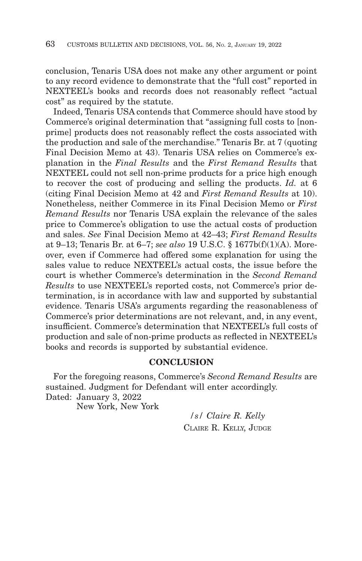conclusion, Tenaris USA does not make any other argument or point to any record evidence to demonstrate that the "full cost" reported in NEXTEEL's books and records does not reasonably reflect "actual cost" as required by the statute.

Indeed, Tenaris USA contends that Commerce should have stood by Commerce's original determination that "assigning full costs to [nonprime] products does not reasonably reflect the costs associated with the production and sale of the merchandise." Tenaris Br. at 7 (quoting Final Decision Memo at 43). Tenaris USA relies on Commerce's explanation in the *Final Results* and the *First Remand Results* that NEXTEEL could not sell non-prime products for a price high enough to recover the cost of producing and selling the products. *Id.* at 6 (citing Final Decision Memo at 42 and *First Remand Results* at 10). Nonetheless, neither Commerce in its Final Decision Memo or *First Remand Results* nor Tenaris USA explain the relevance of the sales price to Commerce's obligation to use the actual costs of production and sales. *See* Final Decision Memo at 42–43; *First Remand Results* at 9–13; Tenaris Br. at 6–7; *see also* 19 U.S.C. § 1677b(f)(1)(A). Moreover, even if Commerce had offered some explanation for using the sales value to reduce NEXTEEL's actual costs, the issue before the court is whether Commerce's determination in the *Second Remand Results* to use NEXTEEL's reported costs, not Commerce's prior determination, is in accordance with law and supported by substantial evidence. Tenaris USA's arguments regarding the reasonableness of Commerce's prior determinations are not relevant, and, in any event, insufficient. Commerce's determination that NEXTEEL's full costs of production and sale of non-prime products as reflected in NEXTEEL's books and records is supported by substantial evidence.

### **CONCLUSION**

For the foregoing reasons, Commerce's *Second Remand Results* are sustained. Judgment for Defendant will enter accordingly. Dated: January 3, 2022

New York, New York

*/s/ Claire R. Kelly* CLAIRE R. KELLY, JUDGE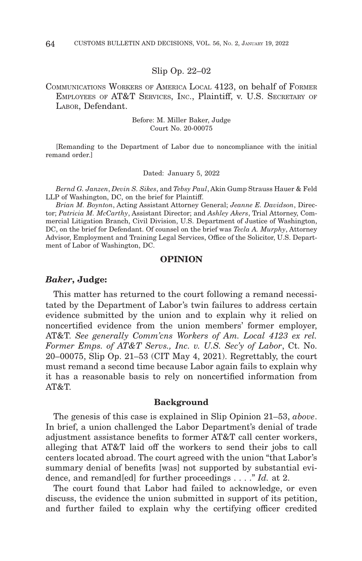#### Slip Op. 22–02

COMMUNICATIONS WORKERS OF AMERICA LOCAL 4123, on behalf of FORMER EMPLOYEES OF AT&T SERVICES, INC., Plaintiff, v. U.S. SECRETARY OF LABOR, Defendant.

> Before: M. Miller Baker, Judge Court No. 20-00075

[Remanding to the Department of Labor due to noncompliance with the initial remand order.]

Dated: January 5, 2022

*Bernd G. Janzen*, *Devin S. Sikes*, and *Tebsy Paul*, Akin Gump Strauss Hauer & Feld LLP of Washington, DC, on the brief for Plaintiff.

*Brian M. Boynton*, Acting Assistant Attorney General; *Jeanne E. Davidson*, Director; *Patricia M. McCarthy*, Assistant Director; and *Ashley Akers*, Trial Attorney, Commercial Litigation Branch, Civil Division, U.S. Department of Justice of Washington, DC, on the brief for Defendant. Of counsel on the brief was *Tecla A. Murphy*, Attorney Advisor, Employment and Training Legal Services, Office of the Solicitor, U.S. Department of Labor of Washington, DC.

### **OPINION**

#### *Baker***, Judge:**

This matter has returned to the court following a remand necessitated by the Department of Labor's twin failures to address certain evidence submitted by the union and to explain why it relied on noncertified evidence from the union members' former employer, AT&T. *See generally Comm'cns Workers of Am. Local 4123 ex rel. Former Emps. of AT&T Servs., Inc. v. U.S. Sec'y of Labor*, Ct. No. 20–00075, Slip Op. 21–53 (CIT May 4, 2021). Regrettably, the court must remand a second time because Labor again fails to explain why it has a reasonable basis to rely on noncertified information from AT&T.

#### **Background**

The genesis of this case is explained in Slip Opinion 21–53, *above*. In brief, a union challenged the Labor Department's denial of trade adjustment assistance benefits to former AT&T call center workers, alleging that AT&T laid off the workers to send their jobs to call centers located abroad. The court agreed with the union "that Labor's summary denial of benefits [was] not supported by substantial evidence, and remand[ed] for further proceedings . . . ." *Id.* at 2.

The court found that Labor had failed to acknowledge, or even discuss, the evidence the union submitted in support of its petition, and further failed to explain why the certifying officer credited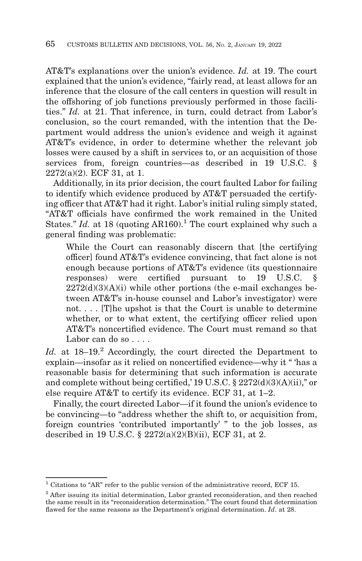AT&T's explanations over the union's evidence. *Id.* at 19. The court explained that the union's evidence, "fairly read, at least allows for an inference that the closure of the call centers in question will result in the offshoring of job functions previously performed in those facilities." *Id.* at 21. That inference, in turn, could detract from Labor's conclusion, so the court remanded, with the intention that the Department would address the union's evidence and weigh it against AT&T's evidence, in order to determine whether the relevant job losses were caused by a shift in services to, or an acquisition of those services from, foreign countries—as described in 19 U.S.C. § 2272(a)(2). ECF 31, at 1.

Additionally, in its prior decision, the court faulted Labor for failing to identify which evidence produced by AT&T persuaded the certifying officer that AT&T had it right. Labor's initial ruling simply stated, "AT&T officials have confirmed the work remained in the United States." *Id.* at 18 (quoting AR160).<sup>1</sup> The court explained why such a general finding was problematic:

While the Court can reasonably discern that [the certifying officer] found AT&T's evidence convincing, that fact alone is not enough because portions of AT&T's evidence (its questionnaire responses) were certified pursuant to 19 U.S.C.  $2272(d)(3)(A)(i)$  while other portions (the e-mail exchanges between AT&T's in-house counsel and Labor's investigator) were not. . . . [T]he upshot is that the Court is unable to determine whether, or to what extent, the certifying officer relied upon AT&T's noncertified evidence. The Court must remand so that Labor can do so . . . .

Id. at 18–19.<sup>2</sup> Accordingly, the court directed the Department to explain—insofar as it relied on noncertified evidence—why it " 'has a reasonable basis for determining that such information is accurate and complete without being certified,' 19 U.S.C. § 2272(d)(3)(A)(ii)," or else require AT&T to certify its evidence. ECF 31, at 1–2.

Finally, the court directed Labor—if it found the union's evidence to be convincing—to "address whether the shift to, or acquisition from, foreign countries 'contributed importantly' " to the job losses, as described in 19 U.S.C. § 2272(a)(2)(B)(ii), ECF 31, at 2.

 $^1$  Citations to "AR" refer to the public version of the administrative record, ECF 15.

<sup>&</sup>lt;sup>2</sup> After issuing its initial determination, Labor granted reconsideration, and then reached the same result in its "reconsideration determination." The court found that determination flawed for the same reasons as the Department's original determination. *Id*. at 28.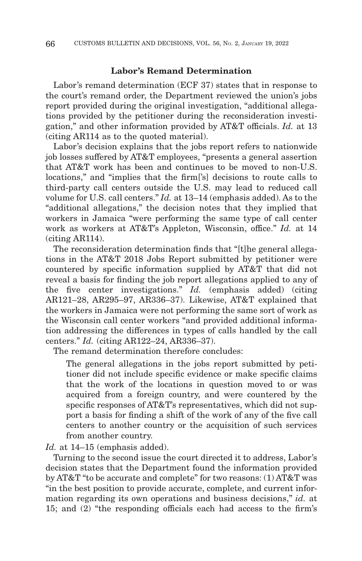### **Labor's Remand Determination**

Labor's remand determination (ECF 37) states that in response to the court's remand order, the Department reviewed the union's jobs report provided during the original investigation, "additional allegations provided by the petitioner during the reconsideration investigation," and other information provided by AT&T officials. *Id.* at 13 (citing AR114 as to the quoted material).

Labor's decision explains that the jobs report refers to nationwide job losses suffered by AT&T employees, "presents a general assertion that AT&T work has been and continues to be moved to non-U.S. locations," and "implies that the firm['s] decisions to route calls to third-party call centers outside the U.S. may lead to reduced call volume for U.S. call centers." *Id.* at 13–14 (emphasis added). As to the "additional allegations," the decision notes that they implied that workers in Jamaica "were performing the same type of call center work as workers at AT&T's Appleton, Wisconsin, office." *Id.* at 14 (citing AR114).

The reconsideration determination finds that "[t]he general allegations in the AT&T 2018 Jobs Report submitted by petitioner were countered by specific information supplied by AT&T that did not reveal a basis for finding the job report allegations applied to any of the five center investigations." *Id.* (emphasis added) (citing AR121–28, AR295–97, AR336–37). Likewise, AT&T explained that the workers in Jamaica were not performing the same sort of work as the Wisconsin call center workers "and provided additional information addressing the differences in types of calls handled by the call centers." *Id.* (citing AR122–24, AR336–37).

The remand determination therefore concludes:

The general allegations in the jobs report submitted by petitioner did not include specific evidence or make specific claims that the work of the locations in question moved to or was acquired from a foreign country, and were countered by the specific responses of AT&T's representatives, which did not support a basis for finding a shift of the work of any of the five call centers to another country or the acquisition of such services from another country.

*Id.* at 14–15 (emphasis added).

Turning to the second issue the court directed it to address, Labor's decision states that the Department found the information provided by AT&T "to be accurate and complete" for two reasons: (1) AT&T was "in the best position to provide accurate, complete, and current information regarding its own operations and business decisions," *id.* at 15; and (2) "the responding officials each had access to the firm's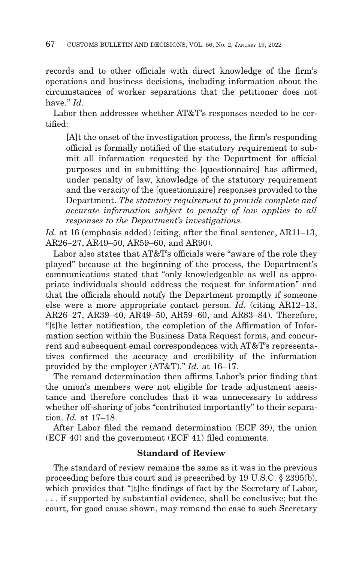records and to other officials with direct knowledge of the firm's operations and business decisions, including information about the circumstances of worker separations that the petitioner does not have." *Id.*

Labor then addresses whether AT&T's responses needed to be certified:

[A]t the onset of the investigation process, the firm's responding official is formally notified of the statutory requirement to submit all information requested by the Department for official purposes and in submitting the [questionnaire] has affirmed, under penalty of law, knowledge of the statutory requirement and the veracity of the [questionnaire] responses provided to the Department. *The statutory requirement to provide complete and accurate information subject to penalty of law applies to all responses to the Department's investigations.*

*Id.* at 16 (emphasis added) (citing, after the final sentence, AR11–13, AR26–27, AR49–50, AR59–60, and AR90).

Labor also states that AT&T's officials were "aware of the role they played" because at the beginning of the process, the Department's communications stated that "only knowledgeable as well as appropriate individuals should address the request for information" and that the officials should notify the Department promptly if someone else were a more appropriate contact person. *Id.* (citing AR12–13, AR26–27, AR39–40, AR49–50, AR59–60, and AR83–84). Therefore, "[t]he letter notification, the completion of the Affirmation of Information section within the Business Data Request forms, and concurrent and subsequent email correspondences with AT&T's representatives confirmed the accuracy and credibility of the information provided by the employer (AT&T)." *Id.* at 16–17.

The remand determination then affirms Labor's prior finding that the union's members were not eligible for trade adjustment assistance and therefore concludes that it was unnecessary to address whether off-shoring of jobs "contributed importantly" to their separation. *Id.* at 17–18.

After Labor filed the remand determination (ECF 39), the union (ECF 40) and the government (ECF 41) filed comments.

# **Standard of Review**

The standard of review remains the same as it was in the previous proceeding before this court and is prescribed by 19 U.S.C. § 2395(b), which provides that "[t]he findings of fact by the Secretary of Labor, . . . if supported by substantial evidence, shall be conclusive; but the court, for good cause shown, may remand the case to such Secretary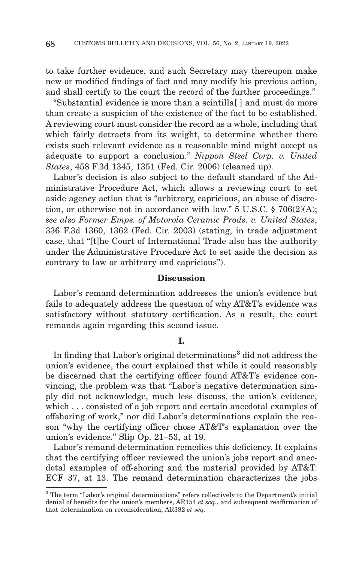to take further evidence, and such Secretary may thereupon make new or modified findings of fact and may modify his previous action, and shall certify to the court the record of the further proceedings."

"Substantial evidence is more than a scintilla[ ] and must do more than create a suspicion of the existence of the fact to be established. A reviewing court must consider the record as a whole, including that which fairly detracts from its weight, to determine whether there exists such relevant evidence as a reasonable mind might accept as adequate to support a conclusion." *Nippon Steel Corp. v. United States*, 458 F.3d 1345, 1351 (Fed. Cir. 2006) (cleaned up).

Labor's decision is also subject to the default standard of the Administrative Procedure Act, which allows a reviewing court to set aside agency action that is "arbitrary, capricious, an abuse of discretion, or otherwise not in accordance with law." 5 U.S.C. § 706(2)(A); *see also Former Emps. of Motorola Ceramic Prods. v. United States*, 336 F.3d 1360, 1362 (Fed. Cir. 2003) (stating, in trade adjustment case, that "[t]he Court of International Trade also has the authority under the Administrative Procedure Act to set aside the decision as contrary to law or arbitrary and capricious").

### **Discussion**

Labor's remand determination addresses the union's evidence but fails to adequately address the question of why AT&T's evidence was satisfactory without statutory certification. As a result, the court remands again regarding this second issue.

### **I.**

In finding that Labor's original determinations<sup>3</sup> did not address the union's evidence, the court explained that while it could reasonably be discerned that the certifying officer found AT&T's evidence convincing, the problem was that "Labor's negative determination simply did not acknowledge, much less discuss, the union's evidence, which . . . consisted of a job report and certain anecdotal examples of offshoring of work," nor did Labor's determinations explain the reason "why the certifying officer chose AT&T's explanation over the union's evidence." Slip Op. 21–53, at 19.

Labor's remand determination remedies this deficiency. It explains that the certifying officer reviewed the union's jobs report and anecdotal examples of off-shoring and the material provided by AT&T. ECF 37, at 13. The remand determination characterizes the jobs

<sup>&</sup>lt;sup>3</sup> The term "Labor's original determinations" refers collectively to the Department's initial denial of benefits for the union's members, AR154 *et seq.*, and subsequent reaffirmation of that determination on reconsideration, AR382 *et seq.*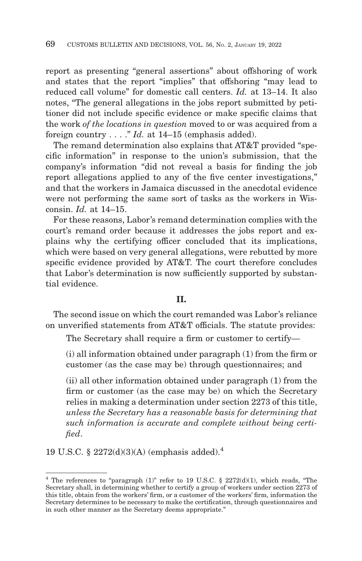report as presenting "general assertions" about offshoring of work and states that the report "implies" that offshoring "may lead to reduced call volume" for domestic call centers. *Id.* at 13–14. It also notes, "The general allegations in the jobs report submitted by petitioner did not include specific evidence or make specific claims that the work *of the locations in question* moved to or was acquired from a foreign country . . . ." *Id.* at 14–15 (emphasis added).

The remand determination also explains that AT&T provided "specific information" in response to the union's submission, that the company's information "did not reveal a basis for finding the job report allegations applied to any of the five center investigations," and that the workers in Jamaica discussed in the anecdotal evidence were not performing the same sort of tasks as the workers in Wisconsin. *Id.* at 14–15.

For these reasons, Labor's remand determination complies with the court's remand order because it addresses the jobs report and explains why the certifying officer concluded that its implications, which were based on very general allegations, were rebutted by more specific evidence provided by AT&T. The court therefore concludes that Labor's determination is now sufficiently supported by substantial evidence.

## **II.**

The second issue on which the court remanded was Labor's reliance on unverified statements from AT&T officials. The statute provides:

The Secretary shall require a firm or customer to certify—

(i) all information obtained under paragraph (1) from the firm or customer (as the case may be) through questionnaires; and

(ii) all other information obtained under paragraph (1) from the firm or customer (as the case may be) on which the Secretary relies in making a determination under section 2273 of this title, *unless the Secretary has a reasonable basis for determining that such information is accurate and complete without being certified*.

19 U.S.C. § 2272(d)(3)(A) (emphasis added).<sup>4</sup>

<sup>&</sup>lt;sup>4</sup> The references to "paragraph  $(1)$ " refer to 19 U.S.C. § 2272(d)(1), which reads, "The Secretary shall, in determining whether to certify a group of workers under section 2273 of this title, obtain from the workers' firm, or a customer of the workers' firm, information the Secretary determines to be necessary to make the certification, through questionnaires and in such other manner as the Secretary deems appropriate."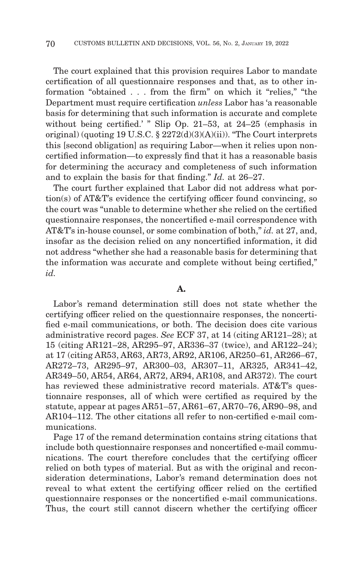The court explained that this provision requires Labor to mandate certification of all questionnaire responses and that, as to other information "obtained . . . from the firm" on which it "relies," "the Department must require certification *unless* Labor has 'a reasonable basis for determining that such information is accurate and complete without being certified.' " Slip Op. 21–53, at 24–25 (emphasis in original) (quoting 19 U.S.C. § 2272(d)(3)(A)(ii)). "The Court interprets this [second obligation] as requiring Labor—when it relies upon noncertified information—to expressly find that it has a reasonable basis for determining the accuracy and completeness of such information and to explain the basis for that finding." *Id.* at 26–27.

The court further explained that Labor did not address what portion(s) of AT&T's evidence the certifying officer found convincing, so the court was "unable to determine whether she relied on the certified questionnaire responses, the noncertified e-mail correspondence with AT&T's in-house counsel, or some combination of both," *id.* at 27, and, insofar as the decision relied on any noncertified information, it did not address "whether she had a reasonable basis for determining that the information was accurate and complete without being certified," *id.*

# **A.**

Labor's remand determination still does not state whether the certifying officer relied on the questionnaire responses, the noncertified e-mail communications, or both. The decision does cite various administrative record pages. *See* ECF 37, at 14 (citing AR121–28); at 15 (citing AR121–28, AR295–97, AR336–37 (twice), and AR122–24); at 17 (citing AR53, AR63, AR73, AR92, AR106, AR250–61, AR266–67, AR272–73, AR295–97, AR300–03, AR307–11, AR325, AR341–42, AR349–50, AR54, AR64, AR72, AR94, AR108, and AR372). The court has reviewed these administrative record materials. AT&T's questionnaire responses, all of which were certified as required by the statute, appear at pages AR51–57, AR61–67, AR70–76, AR90–98, and AR104–112. The other citations all refer to non-certified e-mail communications.

Page 17 of the remand determination contains string citations that include both questionnaire responses and noncertified e-mail communications. The court therefore concludes that the certifying officer relied on both types of material. But as with the original and reconsideration determinations, Labor's remand determination does not reveal to what extent the certifying officer relied on the certified questionnaire responses or the noncertified e-mail communications. Thus, the court still cannot discern whether the certifying officer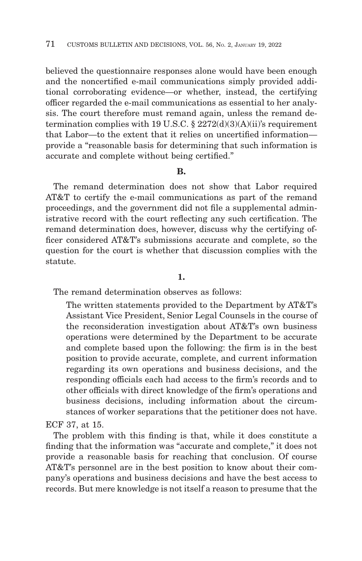believed the questionnaire responses alone would have been enough and the noncertified e-mail communications simply provided additional corroborating evidence—or whether, instead, the certifying officer regarded the e-mail communications as essential to her analysis. The court therefore must remand again, unless the remand determination complies with 19 U.S.C.  $\S 2272(d)(3)(A)(ii)$ 's requirement that Labor—to the extent that it relies on uncertified information provide a "reasonable basis for determining that such information is accurate and complete without being certified."

# **B.**

The remand determination does not show that Labor required AT&T to certify the e-mail communications as part of the remand proceedings, and the government did not file a supplemental administrative record with the court reflecting any such certification. The remand determination does, however, discuss why the certifying officer considered AT&T's submissions accurate and complete, so the question for the court is whether that discussion complies with the statute.

### **1.**

The remand determination observes as follows:

The written statements provided to the Department by AT&T's Assistant Vice President, Senior Legal Counsels in the course of the reconsideration investigation about AT&T's own business operations were determined by the Department to be accurate and complete based upon the following: the firm is in the best position to provide accurate, complete, and current information regarding its own operations and business decisions, and the responding officials each had access to the firm's records and to other officials with direct knowledge of the firm's operations and business decisions, including information about the circumstances of worker separations that the petitioner does not have.

ECF 37, at 15.

The problem with this finding is that, while it does constitute a finding that the information was "accurate and complete," it does not provide a reasonable basis for reaching that conclusion. Of course AT&T's personnel are in the best position to know about their company's operations and business decisions and have the best access to records. But mere knowledge is not itself a reason to presume that the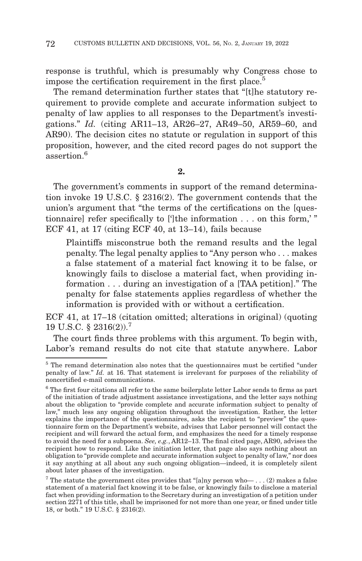response is truthful, which is presumably why Congress chose to impose the certification requirement in the first place.<sup>5</sup>

The remand determination further states that "[t]he statutory requirement to provide complete and accurate information subject to penalty of law applies to all responses to the Department's investigations." *Id.* (citing AR11–13, AR26–27, AR49–50, AR59–60, and AR90). The decision cites no statute or regulation in support of this proposition, however, and the cited record pages do not support the assertion<sup>6</sup>

**2.**

The government's comments in support of the remand determination invoke 19 U.S.C. § 2316(2). The government contends that the union's argument that "the terms of the certifications on the [questionnaire] refer specifically to [']the information . . . on this form,' " ECF 41, at 17 (citing ECF 40, at 13–14), fails because

Plaintiffs misconstrue both the remand results and the legal penalty. The legal penalty applies to "Any person who . . . makes a false statement of a material fact knowing it to be false, or knowingly fails to disclose a material fact, when providing information . . . during an investigation of a [TAA petition]." The penalty for false statements applies regardless of whether the information is provided with or without a certification.

ECF 41, at 17–18 (citation omitted; alterations in original) (quoting 19 U.S.C. § 2316(2)).7

The court finds three problems with this argument. To begin with, Labor's remand results do not cite that statute anywhere. Labor

<sup>&</sup>lt;sup>5</sup> The remand determination also notes that the questionnaires must be certified "under" penalty of law." *Id.* at 16. That statement is irrelevant for purposes of the reliability of noncertified e-mail communications.

 $6$  The first four citations all refer to the same boilerplate letter Labor sends to firms as part of the initiation of trade adjustment assistance investigations, and the letter says nothing about the obligation to "provide complete and accurate information subject to penalty of law," much less any ongoing obligation throughout the investigation. Rather, the letter explains the importance of the questionnaires, asks the recipient to "preview" the questionnaire form on the Department's website, advises that Labor personnel will contact the recipient and will forward the actual form, and emphasizes the need for a timely response to avoid the need for a subpoena. *See, e.g.*, AR12–13. The final cited page, AR90, advises the recipient how to respond. Like the initiation letter, that page also says nothing about an obligation to "provide complete and accurate information subject to penalty of law," nor does it say anything at all about any such ongoing obligation—indeed, it is completely silent about later phases of the investigation.

<sup>&</sup>lt;sup>7</sup> The statute the government cites provides that "[a]ny person who— . . . (2) makes a false statement of a material fact knowing it to be false, or knowingly fails to disclose a material fact when providing information to the Secretary during an investigation of a petition under section 2271 of this title, shall be imprisoned for not more than one year, or fined under title 18, or both." 19 U.S.C. § 2316(2).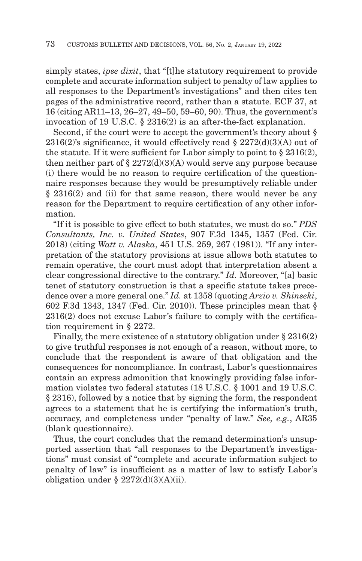simply states, *ipse dixit*, that "[t]he statutory requirement to provide complete and accurate information subject to penalty of law applies to all responses to the Department's investigations" and then cites ten pages of the administrative record, rather than a statute. ECF 37, at 16 (citing AR11–13, 26–27, 49–50, 59–60, 90). Thus, the government's invocation of 19 U.S.C. § 2316(2) is an after-the-fact explanation.

Second, if the court were to accept the government's theory about §  $2316(2)$ 's significance, it would effectively read §  $2272(d)(3)(A)$  out of the statute. If it were sufficient for Labor simply to point to § 2316(2), then neither part of  $\S 2272(d)(3)(A)$  would serve any purpose because (i) there would be no reason to require certification of the questionnaire responses because they would be presumptively reliable under § 2316(2) and (ii) for that same reason, there would never be any reason for the Department to require certification of any other information.

"If it is possible to give effect to both statutes, we must do so." *PDS Consultants, Inc. v. United States*, 907 F.3d 1345, 1357 (Fed. Cir. 2018) (citing *Watt v. Alaska*, 451 U.S. 259, 267 (1981)). "If any interpretation of the statutory provisions at issue allows both statutes to remain operative, the court must adopt that interpretation absent a clear congressional directive to the contrary." *Id.* Moreover, "[a] basic tenet of statutory construction is that a specific statute takes precedence over a more general one." *Id.* at 1358 (quoting *Arzio v. Shinseki*, 602 F.3d 1343, 1347 (Fed. Cir. 2010)). These principles mean that § 2316(2) does not excuse Labor's failure to comply with the certification requirement in § 2272.

Finally, the mere existence of a statutory obligation under § 2316(2) to give truthful responses is not enough of a reason, without more, to conclude that the respondent is aware of that obligation and the consequences for noncompliance. In contrast, Labor's questionnaires contain an express admonition that knowingly providing false information violates two federal statutes (18 U.S.C. § 1001 and 19 U.S.C. § 2316), followed by a notice that by signing the form, the respondent agrees to a statement that he is certifying the information's truth, accuracy, and completeness under "penalty of law." *See, e.g.*, AR35 (blank questionnaire).

Thus, the court concludes that the remand determination's unsupported assertion that "all responses to the Department's investigations" must consist of "complete and accurate information subject to penalty of law" is insufficient as a matter of law to satisfy Labor's obligation under  $\S 2272(d)(3)(A)(ii)$ .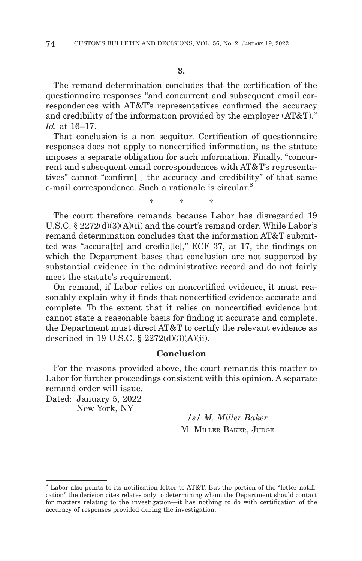The remand determination concludes that the certification of the questionnaire responses "and concurrent and subsequent email correspondences with AT&T's representatives confirmed the accuracy and credibility of the information provided by the employer (AT&T)." *Id.* at 16–17.

That conclusion is a non sequitur. Certification of questionnaire responses does not apply to noncertified information, as the statute imposes a separate obligation for such information. Finally, "concurrent and subsequent email correspondences with AT&T's representatives" cannot "confirm[ ] the accuracy and credibility" of that same e-mail correspondence. Such a rationale is circular.<sup>8</sup>

\*\* \*

The court therefore remands because Labor has disregarded 19 U.S.C. § 2272(d)(3)(A)(ii) and the court's remand order. While Labor's remand determination concludes that the information AT&T submitted was "accura[te] and credib[le]," ECF 37, at 17, the findings on which the Department bases that conclusion are not supported by substantial evidence in the administrative record and do not fairly meet the statute's requirement.

On remand, if Labor relies on noncertified evidence, it must reasonably explain why it finds that noncertified evidence accurate and complete. To the extent that it relies on noncertified evidence but cannot state a reasonable basis for finding it accurate and complete, the Department must direct AT&T to certify the relevant evidence as described in 19 U.S.C. § 2272(d)(3)(A)(ii).

### **Conclusion**

For the reasons provided above, the court remands this matter to Labor for further proceedings consistent with this opinion. A separate remand order will issue.

Dated: January 5, 2022 New York, NY

> */s/ M. Miller Baker* M. MILLER BAKER, JUDGE

<sup>8</sup> Labor also points to its notification letter to AT&T. But the portion of the "letter notification" the decision cites relates only to determining whom the Department should contact for matters relating to the investigation—it has nothing to do with certification of the accuracy of responses provided during the investigation.